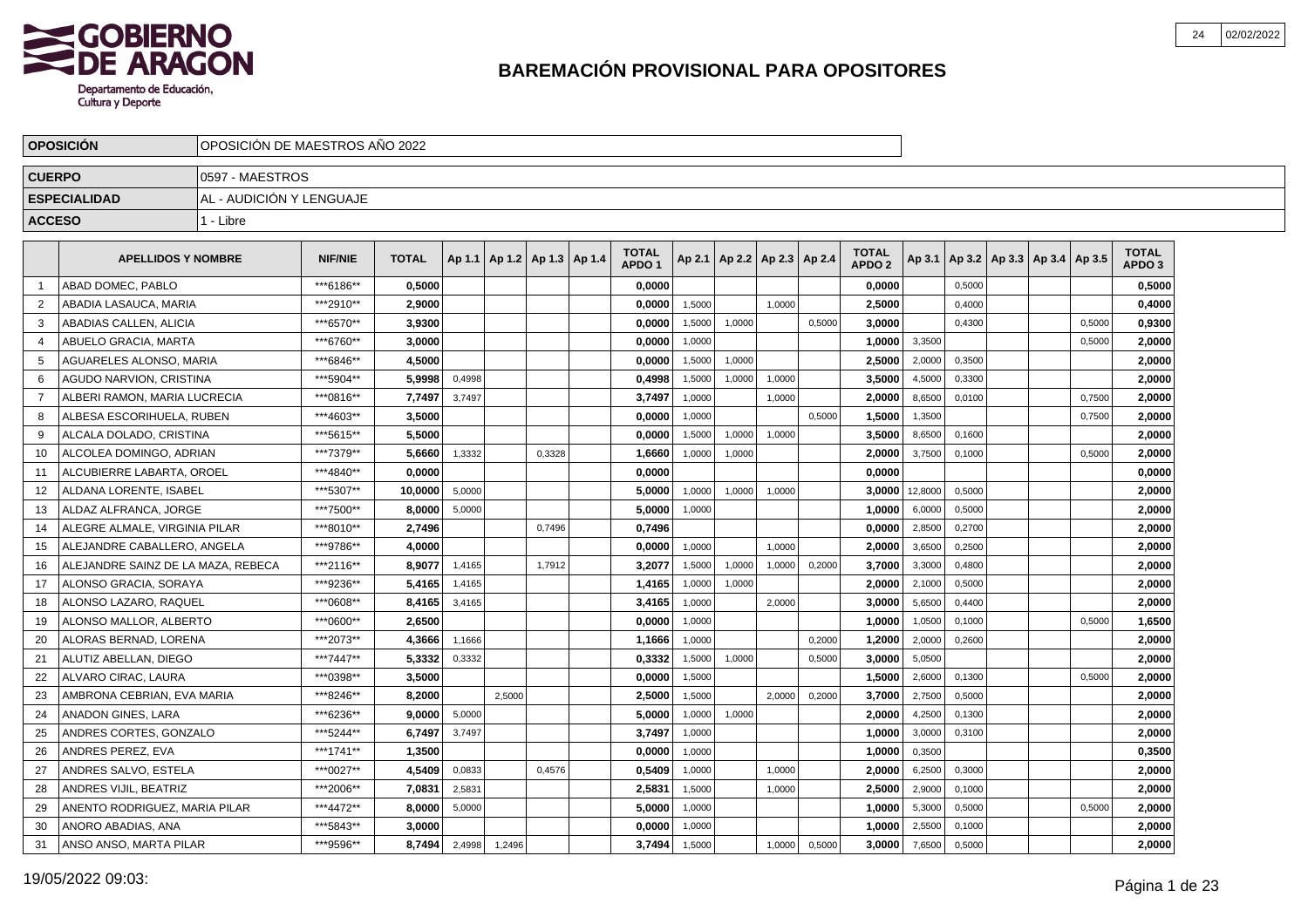

|                | <b>OPOSICION</b>                   | OPOSICION DE MAESTROS ANO 2022 |                |              |        |                                   |        |                                   |        |        |                          |        |                                   |         |        |                                   |        |                                   |  |
|----------------|------------------------------------|--------------------------------|----------------|--------------|--------|-----------------------------------|--------|-----------------------------------|--------|--------|--------------------------|--------|-----------------------------------|---------|--------|-----------------------------------|--------|-----------------------------------|--|
| <b>CUERPO</b>  |                                    | 0597 - MAESTROS                |                |              |        |                                   |        |                                   |        |        |                          |        |                                   |         |        |                                   |        |                                   |  |
|                | <b>ESPECIALIDAD</b>                | AL - AUDICIÓN Y LENGUAJE       |                |              |        |                                   |        |                                   |        |        |                          |        |                                   |         |        |                                   |        |                                   |  |
| <b>ACCESO</b>  |                                    | 1 - Libre                      |                |              |        |                                   |        |                                   |        |        |                          |        |                                   |         |        |                                   |        |                                   |  |
|                | <b>APELLIDOS Y NOMBRE</b>          |                                | <b>NIF/NIE</b> | <b>TOTAL</b> |        | Ap 1.1   Ap 1.2   Ap 1.3   Ap 1.4 |        | <b>TOTAL</b><br>APDO <sub>1</sub> | Ap 2.1 |        | Ap 2.2   Ap 2.3   Ap 2.4 |        | <b>TOTAL</b><br>APDO <sub>2</sub> | Ap 3.1  |        | Ap 3.2   Ap 3.3   Ap 3.4   Ap 3.5 |        | <b>TOTAL</b><br>APDO <sub>3</sub> |  |
|                | ABAD DOMEC, PABLO                  |                                | ***6186**      | 0.5000       |        |                                   |        | 0.0000                            |        |        |                          |        | 0.0000                            |         | 0.5000 |                                   |        | 0.5000                            |  |
| 2              | ABADIA LASAUCA, MARIA              |                                | ***2910**      | 2.9000       |        |                                   |        | 0,0000                            | 1.5000 |        | 1,0000                   |        | 2,5000                            |         | 0.4000 |                                   |        | 0,4000                            |  |
| 3              | ABADIAS CALLEN. ALICIA             |                                | ***6570**      | 3.9300       |        |                                   |        | 0.0000                            | 1,5000 | 1,0000 |                          | 0,5000 | 3.0000                            |         | 0.4300 |                                   | 0.5000 | 0,9300                            |  |
| 4              | ABUELO GRACIA, MARTA               |                                | ***6760**      | 3.0000       |        |                                   |        | 0.0000                            | 1,0000 |        |                          |        | 1.0000                            | 3,3500  |        |                                   | 0,5000 | 2,0000                            |  |
| 5              | AGUARELES ALONSO, MARIA            |                                | ***6846**      | 4.5000       |        |                                   |        | 0,0000                            | 1,5000 | 1,0000 |                          |        | 2,5000                            | 2,0000  | 0,3500 |                                   |        | 2,0000                            |  |
| 6              | AGUDO NARVION, CRISTINA            |                                | ***5904**      | 5.9998       | 0,4998 |                                   |        | 0,4998                            | 1,5000 | 1,0000 | 1,0000                   |        | 3,5000                            | 4,5000  | 0,3300 |                                   |        | 2,0000                            |  |
| $\overline{7}$ | ALBERI RAMON, MARIA LUCRECIA       |                                | ***0816**      | 7,7497       | 3,7497 |                                   |        | 3,7497                            | 1,0000 |        | 1,0000                   |        | 2,0000                            | 8,6500  | 0,0100 |                                   | 0,7500 | 2,0000                            |  |
| 8              | ALBESA ESCORIHUELA, RUBEN          |                                | ***4603**      | 3.5000       |        |                                   |        | 0.0000                            | 1.0000 |        |                          | 0.5000 | 1.5000                            | 1,3500  |        |                                   | 0,7500 | 2,0000                            |  |
| 9              | ALCALA DOLADO. CRISTINA            |                                | ***5615**      | 5.5000       |        |                                   |        | 0,0000                            | 1,5000 | 1,0000 | 1,0000                   |        | 3.5000                            | 8,6500  | 0,1600 |                                   |        | 2,0000                            |  |
| 10             | ALCOLEA DOMINGO. ADRIAN            |                                | ***7379**      | 5,6660       | 1,3332 |                                   | 0,3328 | 1,6660                            | 1,0000 | 1,0000 |                          |        | 2,0000                            | 3,7500  | 0,1000 |                                   | 0,5000 | 2,0000                            |  |
| 11             | ALCUBIERRE LABARTA, OROEL          |                                | ***4840**      | 0.0000       |        |                                   |        | 0,0000                            |        |        |                          |        | 0,0000                            |         |        |                                   |        | 0,0000                            |  |
| 12             | ALDANA LORENTE. ISABEL             |                                | ***5307**      | 10,0000      | 5,0000 |                                   |        | 5,0000                            | 1,0000 | 1,0000 | 1,0000                   |        | 3.0000                            | 12,8000 | 0,5000 |                                   |        | 2,0000                            |  |
| 13             | ALDAZ ALFRANCA. JORGE              |                                | ***7500**      | 8,0000       | 5,0000 |                                   |        | 5,0000                            | 1,0000 |        |                          |        | 1,0000                            | 6,0000  | 0,5000 |                                   |        | 2,0000                            |  |
| 14             | ALEGRE ALMALE, VIRGINIA PILAR      |                                | ***8010**      | 2,7496       |        |                                   | 0,7496 | 0,7496                            |        |        |                          |        | 0,0000                            | 2,8500  | 0,2700 |                                   |        | 2,0000                            |  |
| 15             | ALEJANDRE CABALLERO. ANGELA        |                                | ***9786**      | 4.0000       |        |                                   |        | 0.0000                            | 1.0000 |        | 1.0000                   |        | 2.0000                            | 3,6500  | 0,2500 |                                   |        | 2,0000                            |  |
| 16             | ALEJANDRE SAINZ DE LA MAZA. REBECA |                                | ***2116**      | 8.9077       | 1,4165 |                                   | 1,7912 | 3,2077                            | 1,5000 | 1,0000 | 1.0000                   | 0,2000 | 3.7000                            | 3,3000  | 0,4800 |                                   |        | 2,0000                            |  |
| 17             | ALONSO GRACIA, SORAYA              |                                | ***9236**      | 5.4165       | 1,4165 |                                   |        | 1,4165                            | 1,0000 | 1,0000 |                          |        | 2.0000                            | 2,1000  | 0,5000 |                                   |        | 2,0000                            |  |
| 18             | ALONSO LAZARO. RAQUEL              |                                | ***0608**      | 8,4165       | 3,4165 |                                   |        | 3,4165                            | 1,0000 |        | 2,0000                   |        | 3.0000                            | 5,6500  | 0,4400 |                                   |        | 2,0000                            |  |
| 19             | ALONSO MALLOR, ALBERTO             |                                | ***0600**      | 2,6500       |        |                                   |        | 0,0000                            | 1,0000 |        |                          |        | 1,0000                            | 1,0500  | 0,1000 |                                   | 0,5000 | 1,6500                            |  |
| 20             | ALORAS BERNAD, LORENA              |                                | ***2073**      | 4,3666       | 1,1666 |                                   |        | 1,1666                            | 1,0000 |        |                          | 0,2000 | 1,2000                            | 2,0000  | 0,2600 |                                   |        | 2,0000                            |  |
| 21             | ALUTIZ ABELLAN, DIEGO              |                                | ***7447**      | 5,3332       | 0,3332 |                                   |        | 0,3332                            | 1,5000 | 1,0000 |                          | 0,5000 | 3,0000                            | 5,0500  |        |                                   |        | 2,0000                            |  |
| 22             | ALVARO CIRAC, LAURA                |                                | ***0398**      | 3.5000       |        |                                   |        | 0.0000                            | 1,5000 |        |                          |        | 1.5000                            | 2,6000  | 0.1300 |                                   | 0.5000 | 2,0000                            |  |
| 23             | AMBRONA CEBRIAN, EVA MARIA         |                                | ***8246**      | 8.2000       |        | 2.5000                            |        | 2.5000                            | 1,5000 |        | 2,0000                   | 0,2000 | 3.7000                            | 2,7500  | 0,5000 |                                   |        | 2,0000                            |  |
| 24             | ANADON GINES, LARA                 |                                | ***6236**      | 9,0000       | 5,0000 |                                   |        | 5.0000                            | 1,0000 | 1,0000 |                          |        | 2.0000                            | 4,2500  | 0,1300 |                                   |        | 2,0000                            |  |
| 25             | ANDRES CORTES, GONZALO             |                                | ***5244**      | 6,7497       | 3,7497 |                                   |        | 3,7497                            | 1,0000 |        |                          |        | 1.0000                            | 3,0000  | 0,3100 |                                   |        | 2,0000                            |  |
| 26             | ANDRES PEREZ, EVA                  |                                | ***1741**      | 1,3500       |        |                                   |        | 0,0000                            | 1,0000 |        |                          |        | 1,0000                            | 0,3500  |        |                                   |        | 0,3500                            |  |
| 27             | ANDRES SALVO, ESTELA               |                                | ***0027**      | 4,5409       | 0,0833 |                                   | 0,4576 | 0,5409                            | 1,0000 |        | 1,0000                   |        | 2,0000                            | 6,2500  | 0,3000 |                                   |        | 2,0000                            |  |
| 28             | ANDRES VIJIL, BEATRIZ              |                                | ***2006**      | 7,0831       | 2,5831 |                                   |        | 2,5831                            | 1,5000 |        | 1,0000                   |        | 2,5000                            | 2,9000  | 0,1000 |                                   |        | 2,0000                            |  |
| 29             | ANENTO RODRIGUEZ, MARIA PILAR      |                                | ***4472**      | 8,0000       | 5,0000 |                                   |        | 5.0000                            | 1,0000 |        |                          |        | 1.0000                            | 5,3000  | 0,5000 |                                   | 0.5000 | 2,0000                            |  |
| 30             | ANORO ABADIAS, ANA                 |                                | ***5843**      | 3,0000       |        |                                   |        | 0,0000                            | 1,0000 |        |                          |        | 1.0000                            | 2,5500  | 0,1000 |                                   |        | 2,0000                            |  |
| 31             | ANSO ANSO, MARTA PILAR             |                                | ***9596**      | 8.7494       | 2,4998 | 1,2496                            |        | 3,7494                            | 1,5000 |        | 1,0000                   | 0,5000 | 3.0000                            | 7,6500  | 0,5000 |                                   |        | 2,0000                            |  |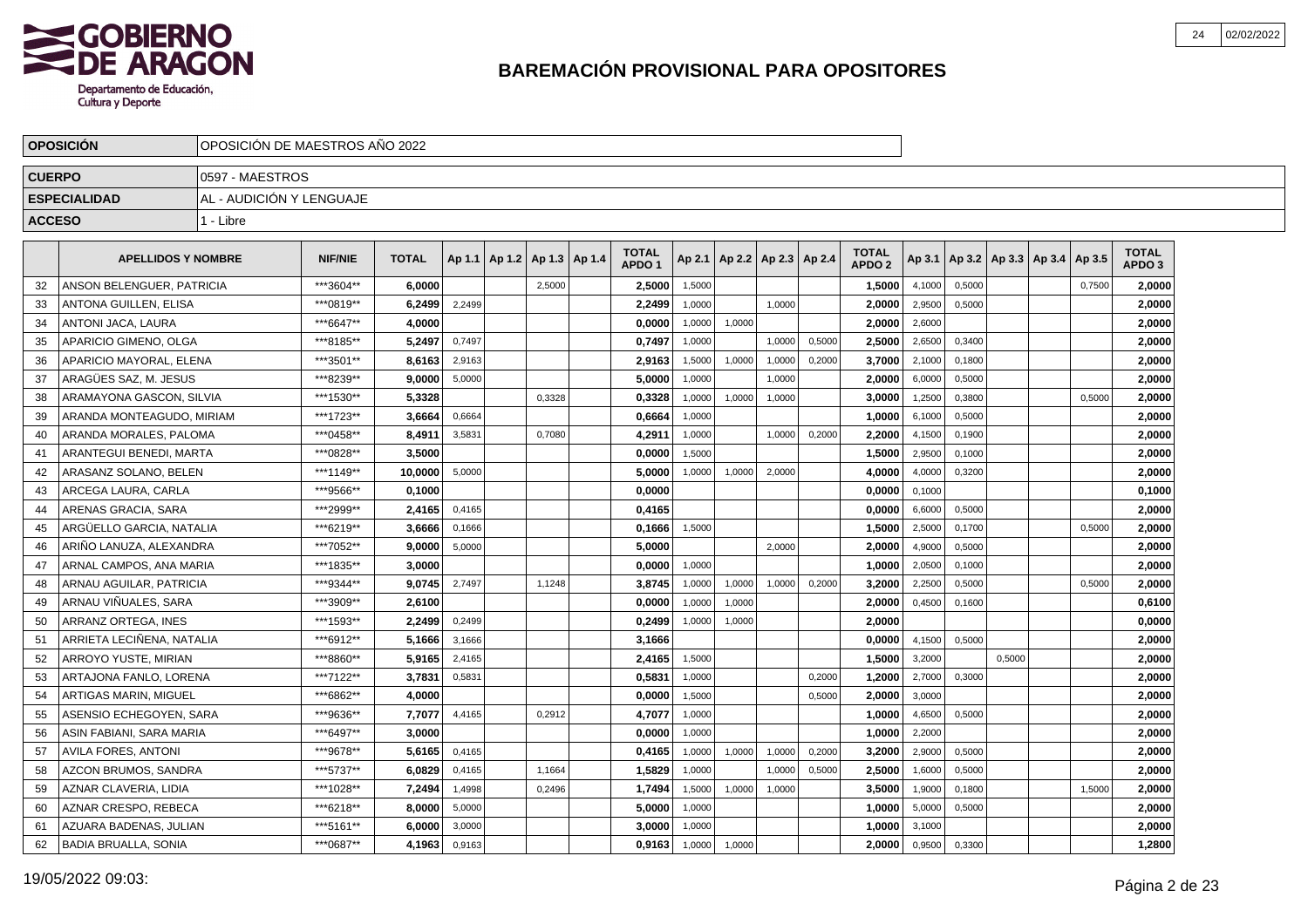

|               | <b>OPOSICION</b>           |                          | OPOSICION DE MAESTROS ANO 2022 |              |        |  |                                   |  |                                   |        |        |                          |        |                                   |        |        |        |                                   |        |                                   |  |
|---------------|----------------------------|--------------------------|--------------------------------|--------------|--------|--|-----------------------------------|--|-----------------------------------|--------|--------|--------------------------|--------|-----------------------------------|--------|--------|--------|-----------------------------------|--------|-----------------------------------|--|
| <b>CUERPO</b> |                            | 0597 - MAESTROS          |                                |              |        |  |                                   |  |                                   |        |        |                          |        |                                   |        |        |        |                                   |        |                                   |  |
|               | <b>ESPECIALIDAD</b>        | AL - AUDICIÓN Y LENGUAJE |                                |              |        |  |                                   |  |                                   |        |        |                          |        |                                   |        |        |        |                                   |        |                                   |  |
| <b>ACCESO</b> |                            | 1 - Libre                |                                |              |        |  |                                   |  |                                   |        |        |                          |        |                                   |        |        |        |                                   |        |                                   |  |
|               | <b>APELLIDOS Y NOMBRE</b>  |                          | <b>NIF/NIE</b>                 | <b>TOTAL</b> |        |  | Ap 1.1   Ap 1.2   Ap 1.3   Ap 1.4 |  | <b>TOTAL</b><br>APDO <sub>1</sub> | Ap 2.1 |        | Ap 2.2   Ap 2.3   Ap 2.4 |        | <b>TOTAL</b><br>APDO <sub>2</sub> | Ap 3.1 |        |        | Ap 3.2   Ap 3.3   Ap 3.4   Ap 3.5 |        | <b>TOTAL</b><br>APDO <sub>3</sub> |  |
| 32            | ANSON BELENGUER, PATRICIA  |                          | ***3604**                      | 6.0000       |        |  | 2,5000                            |  | 2,5000                            | 1,5000 |        |                          |        | 1,5000                            | 4,1000 | 0,5000 |        |                                   | 0,7500 | 2.0000                            |  |
| 33            | ANTONA GUILLEN, ELISA      |                          | ***0819**                      | 6,2499       | 2,2499 |  |                                   |  | 2,2499                            | 1,0000 |        | 1.0000                   |        | 2,0000                            | 2,9500 | 0,5000 |        |                                   |        | 2,0000                            |  |
| 34            | ANTONI JACA, LAURA         |                          | ***6647**                      | 4,0000       |        |  |                                   |  | 0,0000                            | 1,0000 | 1,0000 |                          |        | 2,0000                            | 2,6000 |        |        |                                   |        | 2,0000                            |  |
| 35            | APARICIO GIMENO, OLGA      |                          | ***8185**                      | 5,2497       | 0,7497 |  |                                   |  | 0,7497                            | 1,0000 |        | 1,0000                   | 0,5000 | 2,5000                            | 2,6500 | 0,3400 |        |                                   |        | 2,0000                            |  |
| 36            | APARICIO MAYORAL, ELENA    |                          | ***3501**                      | 8,6163       | 2,9163 |  |                                   |  | 2,9163                            | 1,5000 | 1,0000 | 1,0000                   | 0,2000 | 3,7000                            | 2,1000 | 0,1800 |        |                                   |        | 2,0000                            |  |
| 37            | ARAGÜES SAZ. M. JESUS      |                          | ***8239**                      | 9,0000       | 5,0000 |  |                                   |  | 5.0000                            | 1,0000 |        | 1.0000                   |        | 2.0000                            | 6,0000 | 0,5000 |        |                                   |        | 2.0000                            |  |
| 38            | ARAMAYONA GASCON, SILVIA   |                          | ***1530**                      | 5,3328       |        |  | 0,3328                            |  | 0,3328                            | 1,0000 | 1,0000 | 1,0000                   |        | 3,0000                            | 1,2500 | 0,3800 |        |                                   | 0,5000 | 2,0000                            |  |
| 39            | ARANDA MONTEAGUDO, MIRIAM  |                          | ***1723**                      | 3,6664       | 0,6664 |  |                                   |  | 0,6664                            | 1,0000 |        |                          |        | 1,0000                            | 6,1000 | 0,5000 |        |                                   |        | 2,0000                            |  |
| 40            | ARANDA MORALES, PALOMA     |                          | ***0458**                      | 8,4911       | 3,5831 |  | 0,7080                            |  | 4,2911                            | 1,0000 |        | 1,0000                   | 0,2000 | 2,2000                            | 4,1500 | 0,1900 |        |                                   |        | 2,0000                            |  |
| 41            | ARANTEGUI BENEDI, MARTA    |                          | ***0828**                      | 3,5000       |        |  |                                   |  | 0,0000                            | 1,5000 |        |                          |        | 1,5000                            | 2,9500 | 0,1000 |        |                                   |        | 2,0000                            |  |
| 42            | ARASANZ SOLANO, BELEN      |                          | ***1149**                      | 10,0000      | 5,0000 |  |                                   |  | 5,0000                            | 1,0000 | 1,0000 | 2,0000                   |        | 4,0000                            | 4,0000 | 0,3200 |        |                                   |        | 2,0000                            |  |
| 43            | ARCEGA LAURA, CARLA        |                          | ***9566**                      | 0,1000       |        |  |                                   |  | 0,0000                            |        |        |                          |        | 0,0000                            | 0,1000 |        |        |                                   |        | 0,1000                            |  |
| 44            | ARENAS GRACIA, SARA        |                          | ***2999**                      | 2,4165       | 0,4165 |  |                                   |  | 0,4165                            |        |        |                          |        | 0,0000                            | 6,6000 | 0,5000 |        |                                   |        | 2,0000                            |  |
| 45            | ARGÜELLO GARCIA. NATALIA   |                          | ***6219**                      | 3,6666       | 0,1666 |  |                                   |  | 0,1666                            | 1,5000 |        |                          |        | 1,5000                            | 2,5000 | 0,1700 |        |                                   | 0,5000 | 2,0000                            |  |
| 46            | ARIÑO LANUZA, ALEXANDRA    |                          | ***7052**                      | 9,0000       | 5,0000 |  |                                   |  | 5,0000                            |        |        | 2,0000                   |        | 2,0000                            | 4,9000 | 0,5000 |        |                                   |        | 2,0000                            |  |
| 47            | ARNAL CAMPOS, ANA MARIA    |                          | ***1835**                      | 3,0000       |        |  |                                   |  | 0,0000                            | 1,0000 |        |                          |        | 1,0000                            | 2,0500 | 0,1000 |        |                                   |        | 2,0000                            |  |
| 48            | ARNAU AGUILAR, PATRICIA    |                          | ***9344**                      | 9,0745       | 2,7497 |  | 1,1248                            |  | 3,8745                            | 1,0000 | 1,0000 | 1,0000                   | 0,2000 | 3,2000                            | 2,2500 | 0,5000 |        |                                   | 0,5000 | 2,0000                            |  |
| 49            | ARNAU VIÑUALES. SARA       |                          | ***3909**                      | 2,6100       |        |  |                                   |  | 0.0000                            | 1,0000 | 1,0000 |                          |        | 2.0000                            | 0,4500 | 0.1600 |        |                                   |        | 0,6100                            |  |
| 50            | ARRANZ ORTEGA. INES        |                          | ***1593**                      | 2,2499       | 0,2499 |  |                                   |  | 0,2499                            | 1,0000 | 1,0000 |                          |        | 2,0000                            |        |        |        |                                   |        | 0,0000                            |  |
| 51            | ARRIETA LECIÑENA, NATALIA  |                          | ***6912**                      | 5,1666       | 3,1666 |  |                                   |  | 3,1666                            |        |        |                          |        | 0,0000                            | 4,1500 | 0,5000 |        |                                   |        | 2,0000                            |  |
| 52            | ARROYO YUSTE, MIRIAN       |                          | ***8860**                      | 5,9165       | 2,4165 |  |                                   |  | 2,4165                            | 1,5000 |        |                          |        | 1,5000                            | 3,2000 |        | 0,5000 |                                   |        | 2,0000                            |  |
| 53            | ARTAJONA FANLO, LORENA     |                          | ***7122**                      | 3,7831       | 0,5831 |  |                                   |  | 0,5831                            | 1,0000 |        |                          | 0,2000 | 1,2000                            | 2,7000 | 0,3000 |        |                                   |        | 2,0000                            |  |
| 54            | ARTIGAS MARIN, MIGUEL      |                          | ***6862**                      | 4,0000       |        |  |                                   |  | 0,0000                            | 1,5000 |        |                          | 0,5000 | 2,0000                            | 3,0000 |        |        |                                   |        | 2,0000                            |  |
| 55            | ASENSIO ECHEGOYEN, SARA    |                          | ***9636**                      | 7.7077       | 4,4165 |  | 0,2912                            |  | 4,7077                            | 1,0000 |        |                          |        | 1,0000                            | 4,6500 | 0,5000 |        |                                   |        | 2,0000                            |  |
| 56            | ASIN FABIANI, SARA MARIA   |                          | ***6497**                      | 3.0000       |        |  |                                   |  | 0,0000                            | 1,0000 |        |                          |        | 1.0000                            | 2,2000 |        |        |                                   |        | 2,0000                            |  |
| 57            | <b>AVILA FORES, ANTONI</b> |                          | ***9678**                      | 5.6165       | 0,4165 |  |                                   |  | 0,4165                            | 1,0000 | 1,0000 | 1,0000                   | 0,2000 | 3,2000                            | 2,9000 | 0,5000 |        |                                   |        | 2,0000                            |  |
| 58            | AZCON BRUMOS, SANDRA       |                          | ***5737**                      | 6,0829       | 0,4165 |  | 1,1664                            |  | 1,5829                            | 1,0000 |        | 1,0000                   | 0,5000 | 2,5000                            | 1,6000 | 0,5000 |        |                                   |        | 2,0000                            |  |
| 59            | AZNAR CLAVERIA, LIDIA      |                          | ***1028**                      | 7,2494       | 1,4998 |  | 0,2496                            |  | 1,7494                            | 1,5000 | 1,0000 | 1,0000                   |        | 3,5000                            | 1,9000 | 0,1800 |        |                                   | 1,5000 | 2,0000                            |  |
| 60            | AZNAR CRESPO, REBECA       |                          | ***6218**                      | 8,0000       | 5,0000 |  |                                   |  | 5,0000                            | 1,0000 |        |                          |        | 1,0000                            | 5,0000 | 0,5000 |        |                                   |        | 2,0000                            |  |
| 61            | AZUARA BADENAS, JULIAN     |                          | ***5161**                      | 6,0000       | 3,0000 |  |                                   |  | 3,0000                            | 1,0000 |        |                          |        | 1.0000                            | 3,1000 |        |        |                                   |        | 2.0000                            |  |
| 62            | BADIA BRUALLA, SONIA       |                          | ***0687**                      | 4,1963       | 0,9163 |  |                                   |  | 0,9163                            | 1,0000 | 1,0000 |                          |        | 2.0000                            | 0,9500 | 0,3300 |        |                                   |        | 1,2800                            |  |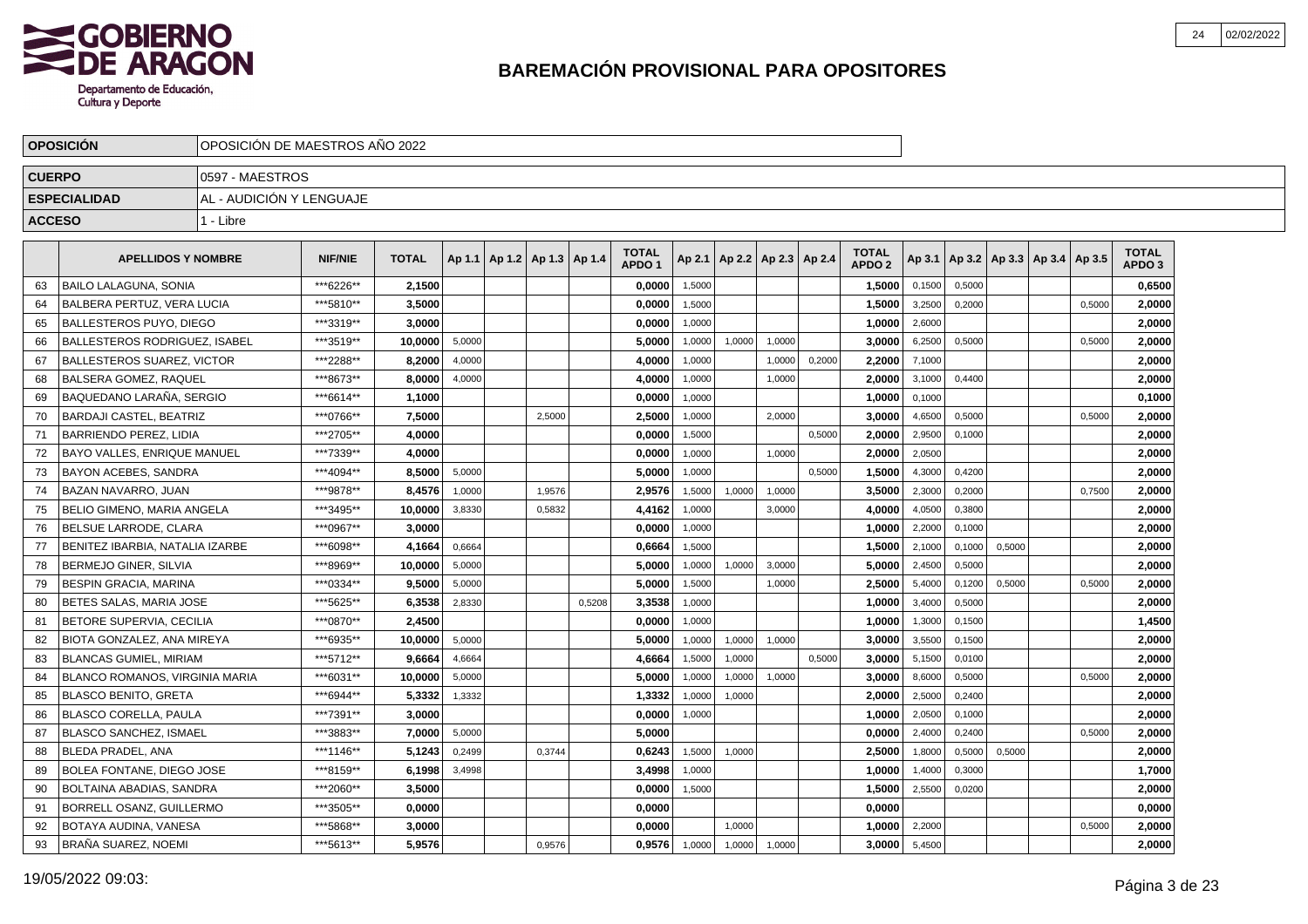

|               | <b>OPOSICION</b>                      |                          | OPOSICION DE MAESTROS ANO 2022 |              |        |                                   |        |        |                                   |        |                          |        |        |                                   |        |        |        |                                   |        |                                   |  |
|---------------|---------------------------------------|--------------------------|--------------------------------|--------------|--------|-----------------------------------|--------|--------|-----------------------------------|--------|--------------------------|--------|--------|-----------------------------------|--------|--------|--------|-----------------------------------|--------|-----------------------------------|--|
| <b>CUERPO</b> |                                       | 0597 - MAESTROS          |                                |              |        |                                   |        |        |                                   |        |                          |        |        |                                   |        |        |        |                                   |        |                                   |  |
|               | <b>ESPECIALIDAD</b>                   | AL - AUDICIÓN Y LENGUAJE |                                |              |        |                                   |        |        |                                   |        |                          |        |        |                                   |        |        |        |                                   |        |                                   |  |
| <b>ACCESO</b> |                                       | 1 - Libre                |                                |              |        |                                   |        |        |                                   |        |                          |        |        |                                   |        |        |        |                                   |        |                                   |  |
|               | <b>APELLIDOS Y NOMBRE</b>             |                          | <b>NIF/NIE</b>                 | <b>TOTAL</b> |        | Ap 1.1   Ap 1.2   Ap 1.3   Ap 1.4 |        |        | <b>TOTAL</b><br>APDO <sub>1</sub> | Ap 2.1 | Ap 2.2   Ap 2.3   Ap 2.4 |        |        | <b>TOTAL</b><br>APDO <sub>2</sub> | Ap 3.1 |        |        | Ap 3.2   Ap 3.3   Ap 3.4   Ap 3.5 |        | <b>TOTAL</b><br>APDO <sub>3</sub> |  |
| 63            | BAILO LALAGUNA, SONIA                 |                          | ***6226**                      | 2,1500       |        |                                   |        |        | 0,0000                            | 1,5000 |                          |        |        | 1,5000                            | 0,1500 | 0,5000 |        |                                   |        | 0,6500                            |  |
| 64            | BALBERA PERTUZ, VERA LUCIA            |                          | ***5810**                      | 3.5000       |        |                                   |        |        | 0.0000                            | 1.5000 |                          |        |        | 1.5000                            | 3,2500 | 0.2000 |        |                                   | 0.5000 | 2.0000                            |  |
| 65            | BALLESTEROS PUYO, DIEGO               |                          | ***3319**                      | 3.0000       |        |                                   |        |        | 0,0000                            | 1.0000 |                          |        |        | 1.0000                            | 2,6000 |        |        |                                   |        | 2.0000                            |  |
| 66            | BALLESTEROS RODRIGUEZ. ISABEL         |                          | ***3519**                      | 10.0000      | 5,0000 |                                   |        |        | 5.0000                            | 1,0000 | 1,0000                   | 1.0000 |        | 3.0000                            | 6,2500 | 0,5000 |        |                                   | 0,5000 | 2,0000                            |  |
| 67            | BALLESTEROS SUAREZ, VICTOR            |                          | ***2288**                      | 8,2000       | 4,0000 |                                   |        |        | 4,0000                            | 1,0000 |                          | 1,0000 | 0,2000 | 2,2000                            | 7,1000 |        |        |                                   |        | 2,0000                            |  |
| 68            | BALSERA GOMEZ. RAQUEL                 |                          | ***8673**                      | 8.0000       | 4.0000 |                                   |        |        | 4.0000                            | 1,0000 |                          | 1,0000 |        | 2.0000                            | 3,1000 | 0.4400 |        |                                   |        | 2.0000                            |  |
| 69            | BAQUEDANO LARAÑA, SERGIO              |                          | ***6614**                      | 1,1000       |        |                                   |        |        | 0,0000                            | 1,0000 |                          |        |        | 1.0000                            | 0,1000 |        |        |                                   |        | 0,1000                            |  |
| 70            | BARDAJI CASTEL. BEATRIZ               |                          | ***0766**                      | 7,5000       |        |                                   | 2,5000 |        | 2,5000                            | 1,0000 |                          | 2,0000 |        | 3.0000                            | 4,6500 | 0,5000 |        |                                   | 0,5000 | 2,0000                            |  |
| 71            | BARRIENDO PEREZ, LIDIA                |                          | ***2705**                      | 4,0000       |        |                                   |        |        | 0,0000                            | 1,5000 |                          |        | 0,5000 | 2,0000                            | 2,9500 | 0,1000 |        |                                   |        | 2,0000                            |  |
| 72            | <b>BAYO VALLES. ENRIQUE MANUEL</b>    |                          | ***7339**                      | 4,0000       |        |                                   |        |        | 0.0000                            | 1.0000 |                          | 1.0000 |        | 2.0000                            | 2,0500 |        |        |                                   |        | 2,0000                            |  |
| 73            | BAYON ACEBES. SANDRA                  |                          | ***4094**                      | 8,5000       | 5,0000 |                                   |        |        | 5.0000                            | 1.0000 |                          |        | 0.5000 | 1,5000                            | 4,3000 | 0.4200 |        |                                   |        | 2,0000                            |  |
| 74            | BAZAN NAVARRO, JUAN                   |                          | ***9878**                      | 8,4576       | 1,0000 |                                   | 1,9576 |        | 2,9576                            | 1,5000 | 1,0000                   | 1,0000 |        | 3,5000                            | 2,3000 | 0,2000 |        |                                   | 0,7500 | 2,0000                            |  |
| 75            | <b>IBELIO GIMENO. MARIA ANGELA</b>    |                          | ***3495**                      | 10,0000      | 3,8330 |                                   | 0,5832 |        | 4,4162                            | 1,0000 |                          | 3,0000 |        | 4,0000                            | 4,0500 | 0,3800 |        |                                   |        | 2,0000                            |  |
| 76            | <b>BELSUE LARRODE. CLARA</b>          |                          | *** 0967**                     | 3,0000       |        |                                   |        |        | 0.0000                            | 1.0000 |                          |        |        | 1,0000                            | 2,2000 | 0.1000 |        |                                   |        | 2,0000                            |  |
| 77            | BENITEZ IBARBIA. NATALIA IZARBE       |                          | ***6098**                      | 4,1664       | 0.6664 |                                   |        |        | 0,6664                            | 1.5000 |                          |        |        | 1,5000                            | 2,1000 | 0,1000 | 0,5000 |                                   |        | 2,0000                            |  |
| 78            | <b>BERMEJO GINER, SILVIA</b>          |                          | ***8969**                      | 10,0000      | 5,0000 |                                   |        |        | 5.0000                            | 1,0000 | 1,0000                   | 3,0000 |        | 5,0000                            | 2,4500 | 0,5000 |        |                                   |        | 2,0000                            |  |
| 79            | <b>BESPIN GRACIA, MARINA</b>          |                          | ***0334**                      | 9,5000       | 5,0000 |                                   |        |        | 5,0000                            | 1,5000 |                          | 1,0000 |        | 2,5000                            | 5,4000 | 0,1200 | 0,5000 |                                   | 0,5000 | 2,0000                            |  |
| 80            | BETES SALAS, MARIA JOSE               |                          | ***5625**                      | 6.3538       | 2.8330 |                                   |        | 0.5208 | 3.3538                            | 1.0000 |                          |        |        | 1.0000                            | 3,4000 | 0,5000 |        |                                   |        | 2.0000                            |  |
| 81            | BETORE SUPERVIA, CECILIA              |                          | ***0870**                      | 2.4500       |        |                                   |        |        | 0.0000                            | 1.0000 |                          |        |        | 1,0000                            | 1,3000 | 0.1500 |        |                                   |        | 1,4500                            |  |
| 82            | BIOTA GONZALEZ, ANA MIREYA            |                          | ***6935**                      | 10,0000      | 5,0000 |                                   |        |        | 5.0000                            | 1,0000 | 1,0000                   | 1.0000 |        | 3.0000                            | 3,5500 | 0,1500 |        |                                   |        | 2,0000                            |  |
| 83            | BLANCAS GUMIEL. MIRIAM                |                          | ***5712**                      | 9,6664       | 4,6664 |                                   |        |        | 4,6664                            | 1,5000 | 1,0000                   |        | 0,5000 | 3,0000                            | 5,1500 | 0,0100 |        |                                   |        | 2,0000                            |  |
| 84            | <b>BLANCO ROMANOS, VIRGINIA MARIA</b> |                          | ***6031**                      | 10.0000      | 5,0000 |                                   |        |        | 5.0000                            | 1,0000 | 1,0000                   | 1,0000 |        | 3.0000                            | 8,6000 | 0.5000 |        |                                   | 0.5000 | 2.0000                            |  |
| 85            | <b>BLASCO BENITO, GRETA</b>           |                          | ***6944**                      | 5,3332       | 1,3332 |                                   |        |        | 1,3332                            | 1,0000 | 1,0000                   |        |        | 2.0000                            | 2,5000 | 0.2400 |        |                                   |        | 2.0000                            |  |
| 86            | <b>BLASCO CORELLA, PAULA</b>          |                          | ***7391**                      | 3,0000       |        |                                   |        |        | 0,0000                            | 1,0000 |                          |        |        | 1,0000                            | 2,0500 | 0,1000 |        |                                   |        | 2.0000                            |  |
| 87            | <b>BLASCO SANCHEZ, ISMAEL</b>         |                          | ***3883**                      | 7,0000       | 5,0000 |                                   |        |        | 5,0000                            |        |                          |        |        | 0,0000                            | 2,4000 | 0,2400 |        |                                   | 0,5000 | 2,0000                            |  |
| 88            | <b>BLEDA PRADEL, ANA</b>              |                          | ***1146**                      | 5,1243       | 0.2499 |                                   | 0.3744 |        | 0,6243                            | 1,5000 | 1.0000                   |        |        | 2,5000                            | 1,8000 | 0,5000 | 0,5000 |                                   |        | 2,0000                            |  |
| 89            | <b>BOLEA FONTANE, DIEGO JOSE</b>      |                          | ***8159**                      | 6.1998       | 3,4998 |                                   |        |        | 3.4998                            | 1,0000 |                          |        |        | 1.0000                            | 1,4000 | 0,3000 |        |                                   |        | 1,7000                            |  |
| 90            | BOLTAINA ABADIAS, SANDRA              |                          | ***2060**                      | 3,5000       |        |                                   |        |        | 0,0000                            | 1,5000 |                          |        |        | 1,5000                            | 2,5500 | 0,0200 |        |                                   |        | 2,0000                            |  |
| 91            | <b>BORRELL OSANZ, GUILLERMO</b>       |                          | ***3505**                      | 0,0000       |        |                                   |        |        | 0,0000                            |        |                          |        |        | 0.0000                            |        |        |        |                                   |        | 0,0000                            |  |
| 92            | BOTAYA AUDINA, VANESA                 |                          | ***5868**                      | 3,0000       |        |                                   |        |        | 0,0000                            |        | 1,0000                   |        |        | 1,0000                            | 2,2000 |        |        |                                   | 0,5000 | 2,0000                            |  |
| 93            | IBRAÑA SUAREZ. NOEMI                  |                          | ***5613**                      | 5.9576       |        |                                   | 0.9576 |        | 0.9576                            | 1,0000 | 1,0000                   | 1.0000 |        | 3.0000                            | 5,4500 |        |        |                                   |        | 2.0000                            |  |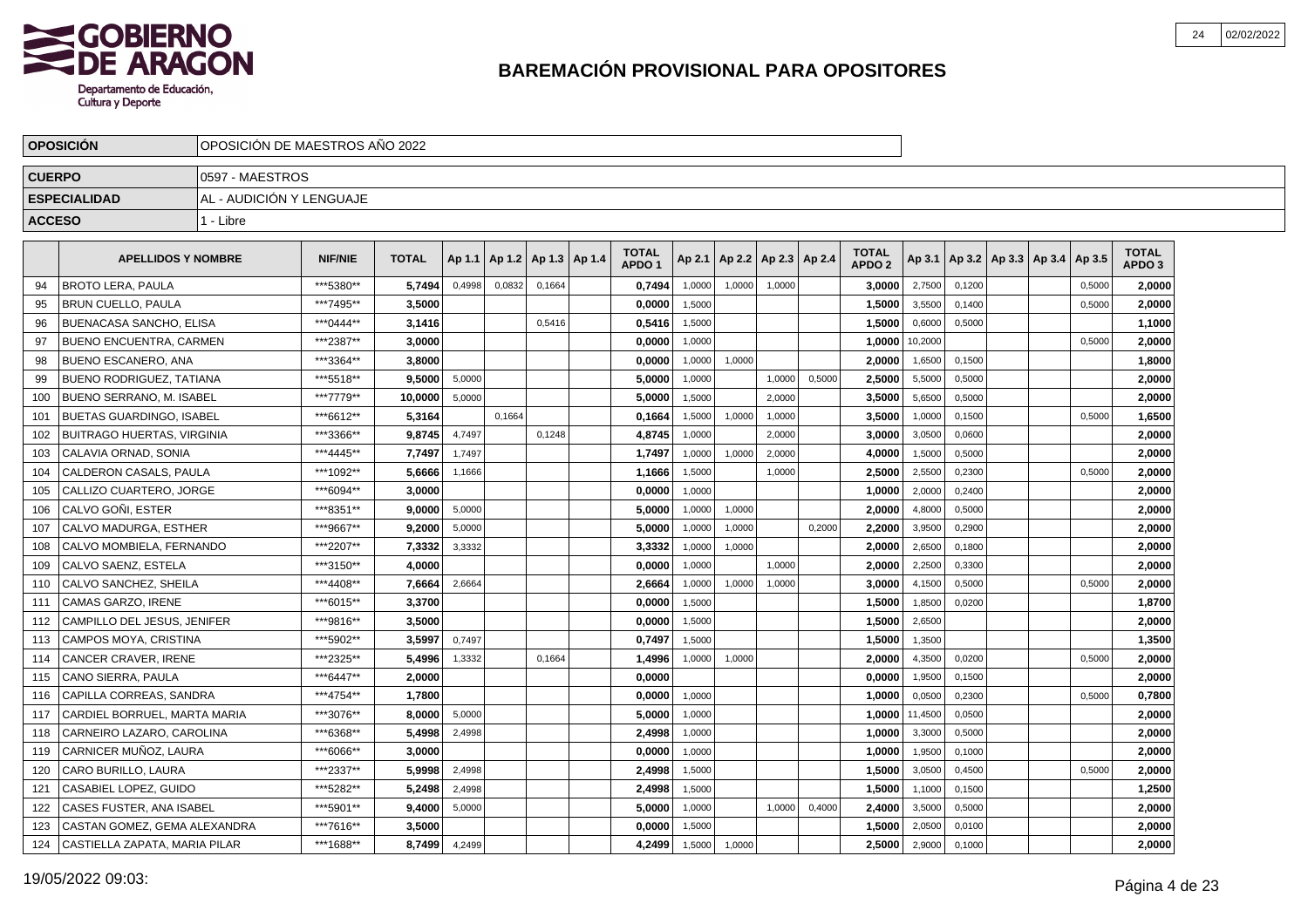

|               | <b>OPOSICION</b>                | OPOSICION DE MAESTROS ANO 2022 |                |              |        |        |                          |                                   |        |        |                          |        |                                   |         |        |                                   |        |                                   |  |
|---------------|---------------------------------|--------------------------------|----------------|--------------|--------|--------|--------------------------|-----------------------------------|--------|--------|--------------------------|--------|-----------------------------------|---------|--------|-----------------------------------|--------|-----------------------------------|--|
| <b>CUERPO</b> |                                 | 0597 - MAESTROS                |                |              |        |        |                          |                                   |        |        |                          |        |                                   |         |        |                                   |        |                                   |  |
|               | <b>ESPECIALIDAD</b>             | AL - AUDICIÓN Y LENGUAJE       |                |              |        |        |                          |                                   |        |        |                          |        |                                   |         |        |                                   |        |                                   |  |
| <b>ACCESO</b> |                                 | 1 - Libre                      |                |              |        |        |                          |                                   |        |        |                          |        |                                   |         |        |                                   |        |                                   |  |
|               | <b>APELLIDOS Y NOMBRE</b>       |                                | <b>NIF/NIE</b> | <b>TOTAL</b> | Ap 1.1 |        | Ap 1.2   Ap 1.3   Ap 1.4 | <b>TOTAL</b><br>APDO <sub>1</sub> | Ap 2.1 |        | Ap 2.2   Ap 2.3   Ap 2.4 |        | <b>TOTAL</b><br>APDO <sub>2</sub> | Ap 3.1  |        | Ap 3.2   Ap 3.3   Ap 3.4   Ap 3.5 |        | <b>TOTAL</b><br>APDO <sub>3</sub> |  |
| 94            | <b>BROTO LERA, PAULA</b>        |                                | ***5380**      | 5.7494       | 0.4998 | 0.0832 | 0.1664                   | 0,7494                            | 1.0000 | 1.0000 | 1.0000                   |        | 3.0000                            | 2,7500  | 0.1200 |                                   | 0.5000 | 2.0000                            |  |
| 95            | <b>BRUN CUELLO, PAULA</b>       |                                | ***7495**      | 3,5000       |        |        |                          | 0,0000                            | 1,5000 |        |                          |        | 1,5000                            | 3,5500  | 0.1400 |                                   | 0.5000 | 2,0000                            |  |
| 96            | <b>BUENACASA SANCHO, ELISA</b>  |                                | *** 0444**     | 3,1416       |        |        | 0,5416                   | 0.5416                            | 1,5000 |        |                          |        | 1,5000                            | 0,6000  | 0.5000 |                                   |        | 1,1000                            |  |
| 97            | <b>BUENO ENCUENTRA, CARMEN</b>  |                                | ***2387**      | 3.0000       |        |        |                          | 0,0000                            | 1,0000 |        |                          |        | 1,0000                            | 10,2000 |        |                                   | 0,5000 | 2,0000                            |  |
| 98            | <b>BUENO ESCANERO, ANA</b>      |                                | ***3364**      | 3,8000       |        |        |                          | 0,0000                            | 1,0000 | 1,0000 |                          |        | 2,0000                            | 1,6500  | 0,1500 |                                   |        | 1,8000                            |  |
| 99            | I BUENO RODRIGUEZ. TATIANA      |                                | ***5518**      | 9,5000       | 5,0000 |        |                          | 5,0000                            | 1,0000 |        | 1,0000                   | 0,5000 | 2,5000                            | 5,5000  | 0,5000 |                                   |        | 2,0000                            |  |
| 100           | BUENO SERRANO, M. ISABEL        |                                | ***7779**      | 10,0000      | 5,0000 |        |                          | 5,0000                            | 1,5000 |        | 2,0000                   |        | 3,5000                            | 5,6500  | 0,5000 |                                   |        | 2,0000                            |  |
| 101           | BUETAS GUARDINGO. ISABEL        |                                | ***6612**      | 5,3164       |        | 0.1664 |                          | 0.1664                            | 1,5000 | 1,0000 | 1.0000                   |        | 3,5000                            | 1,0000  | 0.1500 |                                   | 0.5000 | 1,6500                            |  |
| 102           | BUITRAGO HUERTAS, VIRGINIA      |                                | ***3366**      | 9,8745       | 4,7497 |        | 0,1248                   | 4,8745                            | 1,0000 |        | 2,0000                   |        | 3.0000                            | 3,0500  | 0,0600 |                                   |        | 2,0000                            |  |
| 103           | CALAVIA ORNAD. SONIA            |                                | ***4445**      | 7,7497       | 1,7497 |        |                          | 1,7497                            | 1,0000 | 1,0000 | 2,0000                   |        | 4,0000                            | 1,5000  | 0,5000 |                                   |        | 2,0000                            |  |
| 104           | CALDERON CASALS, PAULA          |                                | ***1092**      | 5,6666       | 1,1666 |        |                          | 1,1666                            | 1,5000 |        | 1,0000                   |        | 2,5000                            | 2,5500  | 0,2300 |                                   | 0,5000 | 2,0000                            |  |
| 105           | CALLIZO CUARTERO, JORGE         |                                | ***6094**      | 3,0000       |        |        |                          | 0,0000                            | 1,0000 |        |                          |        | 1,0000                            | 2,0000  | 0,2400 |                                   |        | 2,0000                            |  |
| 106           | CALVO GOÑI. ESTER               |                                | ***8351**      | 9,0000       | 5,0000 |        |                          | 5,0000                            | 1,0000 | 1,0000 |                          |        | 2,0000                            | 4,8000  | 0,5000 |                                   |        | 2,0000                            |  |
| 107           | CALVO MADURGA, ESTHER           |                                | ***9667**      | 9,2000       | 5,0000 |        |                          | 5,0000                            | 1,0000 | 1,0000 |                          | 0,2000 | 2,2000                            | 3,9500  | 0,2900 |                                   |        | 2,0000                            |  |
| 108           | CALVO MOMBIELA, FERNANDO        |                                | ***2207**      | 7.3332       | 3,3332 |        |                          | 3.3332                            | 1,0000 | 1,0000 |                          |        | 2.0000                            | 2,6500  | 0,1800 |                                   |        | 2.0000                            |  |
| 109           | CALVO SAENZ, ESTELA             |                                | ***3150**      | 4.0000       |        |        |                          | 0,0000                            | 1,0000 |        | 1.0000                   |        | 2,0000                            | 2,2500  | 0,3300 |                                   |        | 2,0000                            |  |
| 110           | CALVO SANCHEZ, SHEILA           |                                | ***4408**      | 7.6664       | 2,6664 |        |                          | 2,6664                            | 1,0000 | 1,0000 | 1,0000                   |        | 3,0000                            | 4,1500  | 0.5000 |                                   | 0,5000 | 2,0000                            |  |
| 111           | <b>CAMAS GARZO, IRENE</b>       |                                | ***6015**      | 3,3700       |        |        |                          | 0,0000                            | 1,5000 |        |                          |        | 1,5000                            | 1,8500  | 0,0200 |                                   |        | 1,8700                            |  |
| 112           | CAMPILLO DEL JESUS, JENIFER     |                                | ***9816**      | 3,5000       |        |        |                          | 0,0000                            | 1,5000 |        |                          |        | 1,5000                            | 2,6500  |        |                                   |        | 2,0000                            |  |
| 113           | CAMPOS MOYA, CRISTINA           |                                | ***5902**      | 3,5997       | 0,7497 |        |                          | 0,7497                            | 1,5000 |        |                          |        | 1,5000                            | 1,3500  |        |                                   |        | 1,3500                            |  |
| 114           | CANCER CRAVER, IRENE            |                                | ***2325**      | 5,4996       | 1,3332 |        | 0,1664                   | 1,4996                            | 1,0000 | 1,0000 |                          |        | 2,0000                            | 4,3500  | 0,0200 |                                   | 0,5000 | 2,0000                            |  |
| 115           | <b>CANO SIERRA, PAULA</b>       |                                | ***6447**      | 2.0000       |        |        |                          | 0.0000                            |        |        |                          |        | 0.0000                            | 1,9500  | 0.1500 |                                   |        | 2.0000                            |  |
| 116           | CAPILLA CORREAS, SANDRA         |                                | ***4754**      | 1.7800       |        |        |                          | 0.0000                            | 1,0000 |        |                          |        | 1.0000                            | 0,0500  | 0,2300 |                                   | 0,5000 | 0,7800                            |  |
| 117           | CARDIEL BORRUEL. MARTA MARIA    |                                | ***3076**      | 8.0000       | 5,0000 |        |                          | 5,0000                            | 1,0000 |        |                          |        | 1,0000                            | 11,4500 | 0,0500 |                                   |        | 2,0000                            |  |
| 118           | CARNEIRO LAZARO. CAROLINA       |                                | ***6368**      | 5,4998       | 2,4998 |        |                          | 2,4998                            | 1,0000 |        |                          |        | 1,0000                            | 3,3000  | 0,5000 |                                   |        | 2,0000                            |  |
| 119           | CARNICER MUÑOZ, LAURA           |                                | ***6066**      | 3,0000       |        |        |                          | 0,0000                            | 1,0000 |        |                          |        | 1,0000                            | 1,9500  | 0,1000 |                                   |        | 2,0000                            |  |
| 120           | CARO BURILLO, LAURA             |                                | ***2337**      | 5,9998       | 2,4998 |        |                          | 2,4998                            | 1,5000 |        |                          |        | 1,5000                            | 3,0500  | 0,4500 |                                   | 0,5000 | 2,0000                            |  |
| 121           | CASABIEL LOPEZ, GUIDO           |                                | ***5282**      | 5,2498       | 2,4998 |        |                          | 2,4998                            | 1,5000 |        |                          |        | 1,5000                            | 1,1000  | 0,1500 |                                   |        | 1,2500                            |  |
| 122           | <b>CASES FUSTER, ANA ISABEL</b> |                                | ***5901**      | 9,4000       | 5,0000 |        |                          | 5.0000                            | 1,0000 |        | 1.0000                   | 0,4000 | 2.4000                            | 3,5000  | 0,5000 |                                   |        | 2,0000                            |  |
| 123           | CASTAN GOMEZ, GEMA ALEXANDRA    |                                | ***7616**      | 3,5000       |        |        |                          | 0,0000                            | 1,5000 |        |                          |        | 1,5000                            | 2,0500  | 0,0100 |                                   |        | 2,0000                            |  |
| 124           | CASTIELLA ZAPATA. MARIA PILAR   |                                | ***1688**      | 8,7499       | 4,2499 |        |                          | 4.2499                            | 1,5000 | 1,0000 |                          |        | 2,5000                            | 2,9000  | 0,1000 |                                   |        | 2,0000                            |  |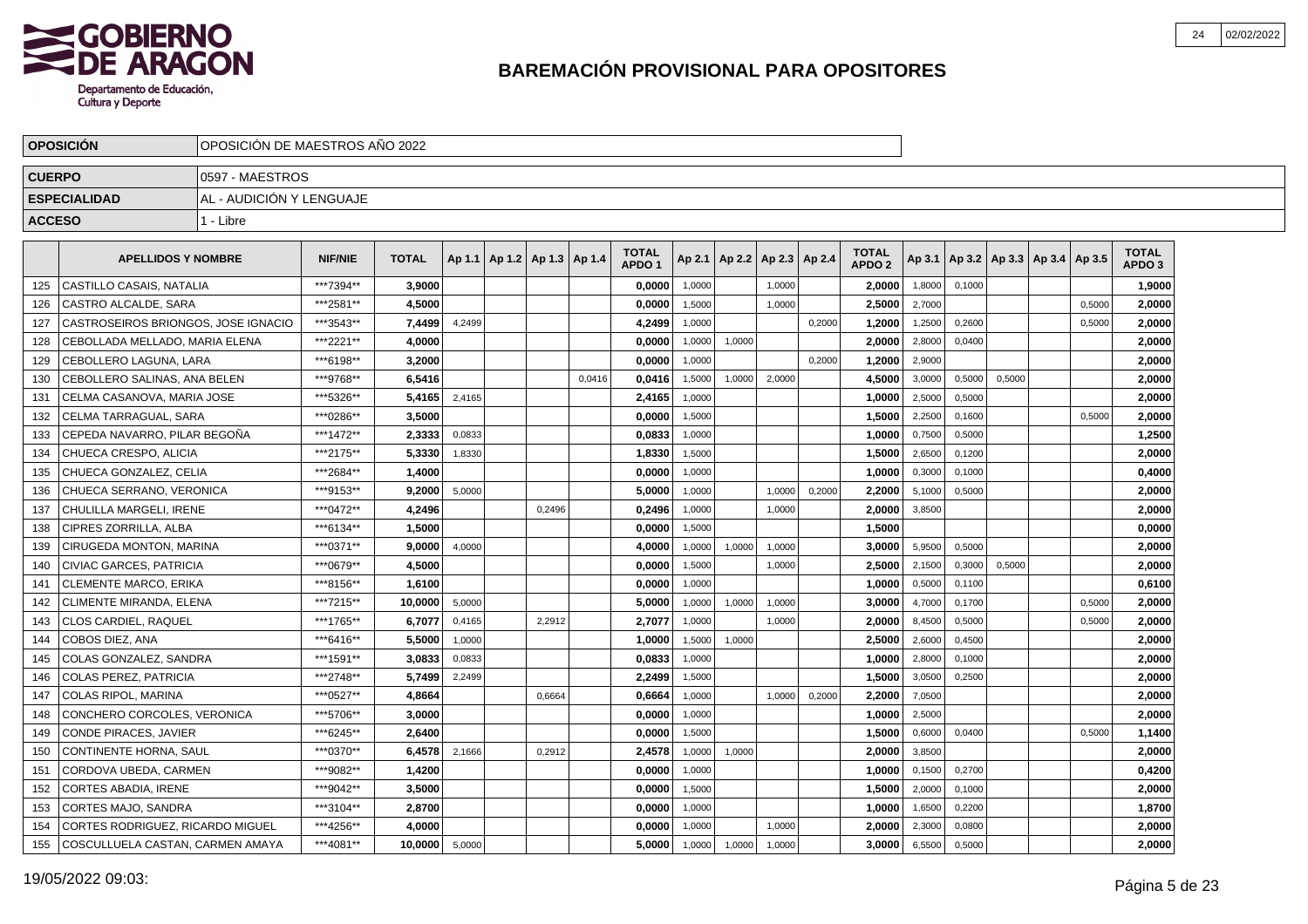

|               | <b>OPOSICION</b>                        | OPOSICION DE MAESTROS ANO 2022 |                |              |        |                                   |        |                                   |        |                          |        |        |                                   |        |        |                                   |        |                                   |  |
|---------------|-----------------------------------------|--------------------------------|----------------|--------------|--------|-----------------------------------|--------|-----------------------------------|--------|--------------------------|--------|--------|-----------------------------------|--------|--------|-----------------------------------|--------|-----------------------------------|--|
| <b>CUERPO</b> |                                         | 10597 - MAESTROS               |                |              |        |                                   |        |                                   |        |                          |        |        |                                   |        |        |                                   |        |                                   |  |
|               | <b>ESPECIALIDAD</b>                     | AL - AUDICIÓN Y LENGUAJE       |                |              |        |                                   |        |                                   |        |                          |        |        |                                   |        |        |                                   |        |                                   |  |
| <b>ACCESO</b> |                                         | 1 - Libre                      |                |              |        |                                   |        |                                   |        |                          |        |        |                                   |        |        |                                   |        |                                   |  |
|               |                                         |                                |                |              |        |                                   |        |                                   |        |                          |        |        |                                   |        |        |                                   |        |                                   |  |
|               | <b>APELLIDOS Y NOMBRE</b>               |                                | <b>NIF/NIE</b> | <b>TOTAL</b> |        | Ap 1.1   Ap 1.2   Ap 1.3   Ap 1.4 |        | <b>TOTAL</b><br>APDO <sub>1</sub> | Ap 2.1 | Ap 2.2   Ap 2.3   Ap 2.4 |        |        | <b>TOTAL</b><br>APDO <sub>2</sub> | Ap 3.1 |        | Ap 3.2   Ap 3.3   Ap 3.4   Ap 3.5 |        | <b>TOTAL</b><br>APDO <sub>3</sub> |  |
| 125           | CASTILLO CASAIS, NATALIA                |                                | ***7394**      | 3.9000       |        |                                   |        | 0,0000                            | 1,0000 |                          | 1.0000 |        | 2,0000                            | 1,8000 | 0.1000 |                                   |        | 1,9000                            |  |
| 126           | CASTRO ALCALDE, SARA                    |                                | ***2581**      | 4,5000       |        |                                   |        | 0,0000                            | 1,5000 |                          | 1.0000 |        | 2,5000                            | 2,7000 |        |                                   | 0.5000 | 2,0000                            |  |
| 127           | CASTROSEIROS BRIONGOS, JOSE IGNACIO     |                                | ***3543**      | 7,4499       | 4,2499 |                                   |        | 4,2499                            | 1,0000 |                          |        | 0,2000 | 1,2000                            | 1,2500 | 0,2600 |                                   | 0,5000 | 2,0000                            |  |
| 128           | CEBOLLADA MELLADO, MARIA ELENA          |                                | ***2221**      | 4.0000       |        |                                   |        | 0,0000                            | 1,0000 | 1,0000                   |        |        | 2,0000                            | 2,8000 | 0,0400 |                                   |        | 2,0000                            |  |
| 129           | CEBOLLERO LAGUNA, LARA                  |                                | ***6198**      | 3,2000       |        |                                   |        | 0,0000                            | 1,0000 |                          |        | 0,2000 | 1,2000                            | 2,9000 |        |                                   |        | 2,0000                            |  |
| 130           | CEBOLLERO SALINAS, ANA BELEN            |                                | ***9768**      | 6.5416       |        |                                   | 0.0416 | 0.0416                            | 1,5000 | 1,0000                   | 2,0000 |        | 4.5000                            | 3,0000 | 0,5000 | 0,5000                            |        | 2.0000                            |  |
| 131           | CELMA CASANOVA. MARIA JOSE              |                                | ***5326**      | 5.4165       | 2,4165 |                                   |        | 2,4165                            | 1,0000 |                          |        |        | 1,0000                            | 2,5000 | 0,5000 |                                   |        | 2,0000                            |  |
| 132           | l CELMA TARRAGUAL. SARA                 |                                | ***0286**      | 3,5000       |        |                                   |        | 0,0000                            | 1,5000 |                          |        |        | 1,5000                            | 2,2500 | 0,1600 |                                   | 0,5000 | 2,0000                            |  |
| 133           | CEPEDA NAVARRO. PILAR BEGOÑA            |                                | ***1472**      | 2,3333       | 0,0833 |                                   |        | 0,0833                            | 1,0000 |                          |        |        | 1,0000                            | 0,7500 | 0,5000 |                                   |        | 1,2500                            |  |
| 134           | CHUECA CRESPO, ALICIA                   |                                | ***2175**      | 5,3330       | 1,8330 |                                   |        | 1,8330                            | 1,5000 |                          |        |        | 1,5000                            | 2,6500 | 0,1200 |                                   |        | 2,0000                            |  |
| 135           | CHUECA GONZALEZ, CELIA                  |                                | ***2684**      | 1,4000       |        |                                   |        | 0,0000                            | 1,0000 |                          |        |        | 1,0000                            | 0,3000 | 0,1000 |                                   |        | 0,4000                            |  |
| 136           | CHUECA SERRANO, VERONICA                |                                | ***9153**      | 9,2000       | 5.0000 |                                   |        | 5,0000                            | 1,0000 |                          | 1.0000 | 0,2000 | 2,2000                            | 5,1000 | 0,5000 |                                   |        | 2,0000                            |  |
| 137           | CHULILLA MARGELI. IRENE                 |                                | ***0472**      | 4,2496       |        | 0.2496                            |        | 0,2496                            | 1,0000 |                          | 1.0000 |        | 2,0000                            | 3,8500 |        |                                   |        | 2,0000                            |  |
| 138           | CIPRES ZORRILLA, ALBA                   |                                | ***6134**      | 1.5000       |        |                                   |        | 0,0000                            | 1,5000 |                          |        |        | 1,5000                            |        |        |                                   |        | 0,0000                            |  |
| 139           | CIRUGEDA MONTON, MARINA                 |                                | ***0371**      | 9,0000       | 4,0000 |                                   |        | 4,0000                            | 1,0000 | 1,0000                   | 1,0000 |        | 3,0000                            | 5,9500 | 0,5000 |                                   |        | 2,0000                            |  |
| 140           | CIVIAC GARCES, PATRICIA                 |                                | ***0679**      | 4,5000       |        |                                   |        | 0,0000                            | 1,5000 |                          | 1,0000 |        | 2,5000                            | 2,1500 | 0,3000 | 0,5000                            |        | 2,0000                            |  |
| 141           | <b>CLEMENTE MARCO, ERIKA</b>            |                                | ***8156**      | 1,6100       |        |                                   |        | 0,0000                            | 1,0000 |                          |        |        | 1,0000                            | 0,5000 | 0,1100 |                                   |        | 0,6100                            |  |
| 142           | CLIMENTE MIRANDA, ELENA                 |                                | ***7215**      | 10.0000      | 5.0000 |                                   |        | 5.0000                            | 1,0000 | 1,0000                   | 1,0000 |        | 3.0000                            | 4,7000 | 0.1700 |                                   | 0.5000 | 2,0000                            |  |
| 143           | <b>CLOS CARDIEL, RAQUEL</b>             |                                | ***1765**      | 6.7077       | 0,4165 | 2,2912                            |        | 2,7077                            | 1,0000 |                          | 1,0000 |        | 2.0000                            | 8,4500 | 0,5000 |                                   | 0,5000 | 2,0000                            |  |
| 144           | COBOS DIEZ. ANA                         |                                | ***6416**      | 5,5000       | 1,0000 |                                   |        | 1,0000                            | 1,5000 | 1,0000                   |        |        | 2,5000                            | 2,6000 | 0,4500 |                                   |        | 2,0000                            |  |
| 145           | COLAS GONZALEZ, SANDRA                  |                                | ***1591**      | 3,0833       | 0,0833 |                                   |        | 0,0833                            | 1,0000 |                          |        |        | 1,0000                            | 2,8000 | 0,1000 |                                   |        | 2,0000                            |  |
| 146           | <b>COLAS PEREZ, PATRICIA</b>            |                                | ***2748**      | 5,7499       | 2,2499 |                                   |        | 2,2499                            | 1,5000 |                          |        |        | 1,5000                            | 3,0500 | 0,2500 |                                   |        | 2,0000                            |  |
| 147           | COLAS RIPOL, MARINA                     |                                | ***0527**      | 4,8664       |        | 0,6664                            |        | 0,6664                            | 1,0000 |                          | 1,0000 | 0,2000 | 2,2000                            | 7,0500 |        |                                   |        | 2,0000                            |  |
| 148           | CONCHERO CORCOLES. VERONICA             |                                | ***5706**      | 3.0000       |        |                                   |        | 0.0000                            | 1,0000 |                          |        |        | 1.0000                            | 2,5000 |        |                                   |        | 2,0000                            |  |
| 149           | <b>CONDE PIRACES, JAVIER</b>            |                                | ***6245**      | 2.6400       |        |                                   |        | 0,0000                            | 1,5000 |                          |        |        | 1,5000                            | 0,6000 | 0,0400 |                                   | 0,5000 | 1,1400                            |  |
| 150           | <b>CONTINENTE HORNA, SAUL</b>           |                                | ***0370**      | 6,4578       | 2,1666 | 0,2912                            |        | 2,4578                            | 1,0000 | 1,0000                   |        |        | 2,0000                            | 3,8500 |        |                                   |        | 2,0000                            |  |
| 151           | CORDOVA UBEDA, CARMEN                   |                                | ***9082**      | 1,4200       |        |                                   |        | 0,0000                            | 1,0000 |                          |        |        | 1,0000                            | 0,1500 | 0,2700 |                                   |        | 0,4200                            |  |
| 152           | <b>CORTES ABADIA, IRENE</b>             |                                | ***9042**      | 3,5000       |        |                                   |        | 0,0000                            | 1,5000 |                          |        |        | 1,5000                            | 2,0000 | 0,1000 |                                   |        | 2,0000                            |  |
| 153           | CORTES MAJO, SANDRA                     |                                | ***3104**      | 2,8700       |        |                                   |        | 0,0000                            | 1,0000 |                          |        |        | 1,0000                            | 1,6500 | 0,2200 |                                   |        | 1,8700                            |  |
| 154           | <b>CORTES RODRIGUEZ, RICARDO MIGUEL</b> |                                | ***4256**      | 4,0000       |        |                                   |        | 0.0000                            | 1,0000 |                          | 1.0000 |        | 2.0000                            | 2,3000 | 0,0800 |                                   |        | 2.0000                            |  |
| 155           | COSCULLUELA CASTAN, CARMEN AMAYA        |                                | ***4081**      | 10,0000      | 5,0000 |                                   |        | 5,0000                            | 1,0000 | 1,0000                   | 1,0000 |        | 3,0000                            | 6,5500 | 0,5000 |                                   |        | 2,0000                            |  |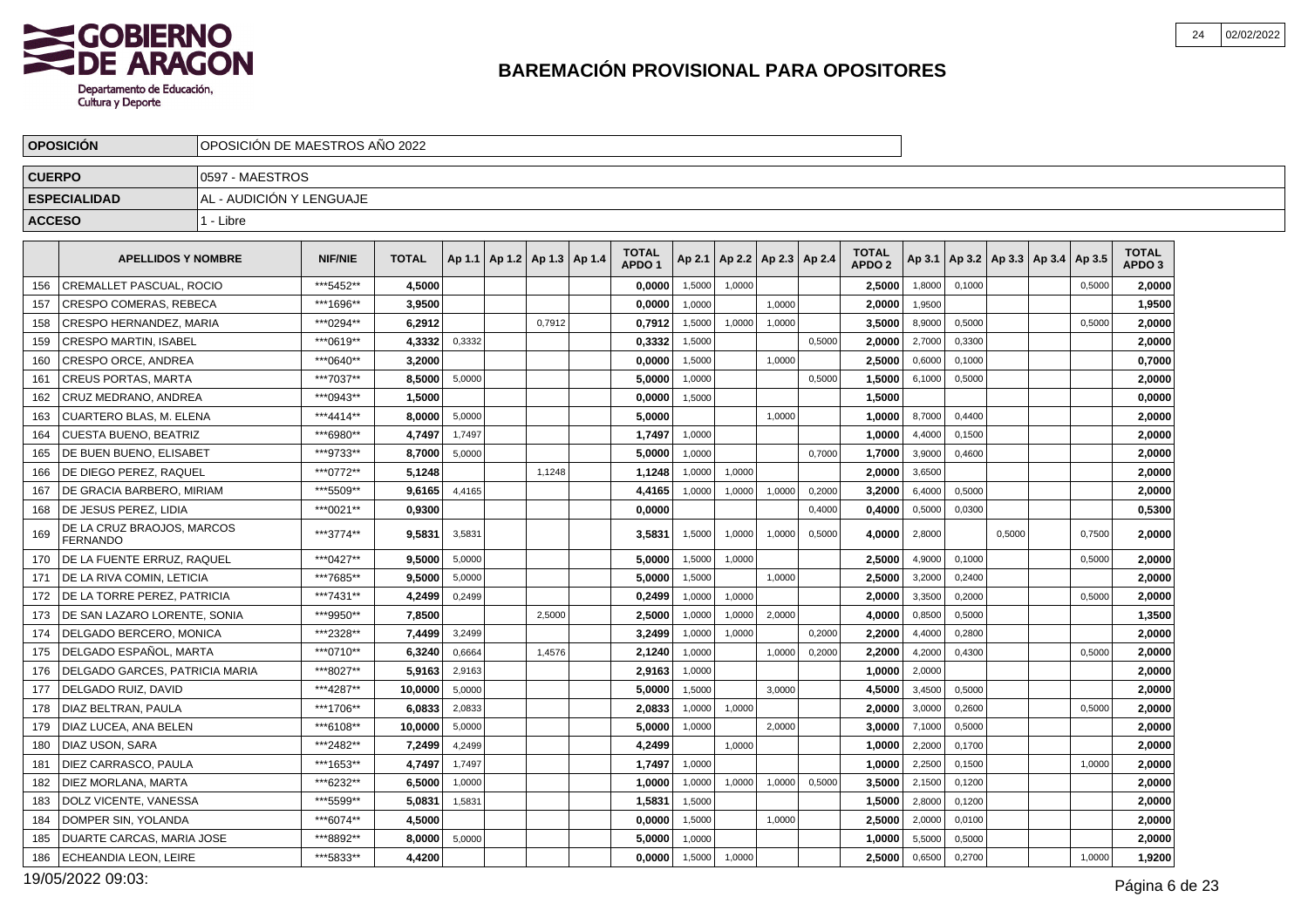

|               | <b>OPOSICION</b>                              | OPOSICIÓN DE MAESTROS ANO 2022 |                |              |        |                                   |        |                                   |        |        |                          |        |                                   |        |        |                                            |        |                                   |  |
|---------------|-----------------------------------------------|--------------------------------|----------------|--------------|--------|-----------------------------------|--------|-----------------------------------|--------|--------|--------------------------|--------|-----------------------------------|--------|--------|--------------------------------------------|--------|-----------------------------------|--|
| <b>CUERPO</b> |                                               | 0597 - MAESTROS                |                |              |        |                                   |        |                                   |        |        |                          |        |                                   |        |        |                                            |        |                                   |  |
|               | <b>ESPECIALIDAD</b>                           | AL - AUDICIÓN Y LENGUAJE       |                |              |        |                                   |        |                                   |        |        |                          |        |                                   |        |        |                                            |        |                                   |  |
| <b>ACCESO</b> |                                               | 1 - Libre                      |                |              |        |                                   |        |                                   |        |        |                          |        |                                   |        |        |                                            |        |                                   |  |
|               | <b>APELLIDOS Y NOMBRE</b>                     |                                | <b>NIF/NIE</b> | <b>TOTAL</b> |        | Ap 1.1   Ap 1.2   Ap 1.3   Ap 1.4 |        | <b>TOTAL</b><br>APDO <sub>1</sub> | Ap 2.1 |        | Ap 2.2   Ap 2.3   Ap 2.4 |        | <b>TOTAL</b><br>APDO <sub>2</sub> |        |        | Ap 3.1   Ap 3.2   Ap 3.3   Ap 3.4   Ap 3.5 |        | <b>TOTAL</b><br>APDO <sub>3</sub> |  |
| 156           | <b>CREMALLET PASCUAL, ROCIO</b>               |                                | *** 5452**     | 4.5000       |        |                                   |        | 0.0000                            | 1,5000 | 1.0000 |                          |        | 2.5000                            | 1,8000 | 0.1000 |                                            | 0,5000 | 2,0000                            |  |
| 157           | CRESPO COMERAS, REBECA                        |                                | ***1696**      | 3,9500       |        |                                   |        | 0,0000                            | 1.0000 |        | 1.0000                   |        | 2,0000                            | 1,9500 |        |                                            |        | 1,9500                            |  |
| 158           | CRESPO HERNANDEZ, MARIA                       |                                | ***0294**      | 6.2912       |        |                                   | 0,7912 | 0,7912                            | 1,5000 | 1,0000 | 1,0000                   |        | 3.5000                            | 8,9000 | 0,5000 |                                            | 0,5000 | 2,0000                            |  |
| 159           | <b>CRESPO MARTIN, ISABEL</b>                  |                                | ***0619**      | 4,3332       | 0,3332 |                                   |        | 0,3332                            | 1,5000 |        |                          | 0,5000 | 2,0000                            | 2,7000 | 0,3300 |                                            |        | 2,0000                            |  |
| 160           | <b>CRESPO ORCE, ANDREA</b>                    |                                | ***0640**      | 3,2000       |        |                                   |        | 0,0000                            | 1,5000 |        | 1.0000                   |        | 2,5000                            | 0,6000 | 0,1000 |                                            |        | 0,7000                            |  |
| 161           | <b>CREUS PORTAS, MARTA</b>                    |                                | ***7037**      | 8.5000       | 5,0000 |                                   |        | 5,0000                            | 1,0000 |        |                          | 0.5000 | 1.5000                            | 6,1000 | 0,5000 |                                            |        | 2,0000                            |  |
| 162           | CRUZ MEDRANO, ANDREA                          |                                | ***0943**      | 1,5000       |        |                                   |        | 0,0000                            | 1,5000 |        |                          |        | 1,5000                            |        |        |                                            |        | 0,0000                            |  |
| 163           | <b>CUARTERO BLAS, M. ELENA</b>                |                                | ***4414**      | 8.0000       | 5,0000 |                                   |        | 5,0000                            |        |        | 1,0000                   |        | 1,0000                            | 8,7000 | 0.4400 |                                            |        | 2,0000                            |  |
| 164           | <b>CUESTA BUENO, BEATRIZ</b>                  |                                | ***6980**      | 4.7497       | 1,7497 |                                   |        | 1,7497                            | 1,0000 |        |                          |        | 1.0000                            | 4,4000 | 0,1500 |                                            |        | 2,0000                            |  |
| 165           | DE BUEN BUENO, ELISABET                       |                                | ***9733**      | 8,7000       | 5,0000 |                                   |        | 5,0000                            | 1,0000 |        |                          | 0,7000 | 1,7000                            | 3,9000 | 0,4600 |                                            |        | 2,0000                            |  |
| 166           | DE DIEGO PEREZ, RAQUEL                        |                                | ***0772**      | 5.1248       |        |                                   | 1,1248 | 1,1248                            | 1,0000 | 1,0000 |                          |        | 2.0000                            | 3,6500 |        |                                            |        | 2,0000                            |  |
| 167           | DE GRACIA BARBERO, MIRIAM                     |                                | ***5509**      | 9.6165       | 4,4165 |                                   |        | 4.4165                            | 1,0000 | 1,0000 | 1,0000                   | 0,2000 | 3,2000                            | 6,4000 | 0,5000 |                                            |        | 2,0000                            |  |
| 168           | DE JESUS PEREZ, LIDIA                         |                                | ***0021**      | 0,9300       |        |                                   |        | 0,0000                            |        |        |                          | 0,4000 | 0,4000                            | 0,5000 | 0,0300 |                                            |        | 0,5300                            |  |
| 169           | DE LA CRUZ BRAOJOS, MARCOS<br><b>FERNANDO</b> |                                | ***3774**      | 9,5831       | 3,5831 |                                   |        | 3,5831                            | 1,5000 | 1,0000 | 1,0000                   | 0,5000 | 4,0000                            | 2,8000 |        | 0,5000                                     | 0,7500 | 2,0000                            |  |
| 170           | DE LA FUENTE ERRUZ. RAQUEL                    |                                | ***0427**      | 9.5000       | 5,0000 |                                   |        | 5.0000                            | 1,5000 | 1,0000 |                          |        | 2.5000                            | 4,9000 | 0,1000 |                                            | 0,5000 | 2.0000                            |  |
| 171           | DE LA RIVA COMIN, LETICIA                     |                                | ***7685**      | 9,5000       | 5,0000 |                                   |        | 5,0000                            | 1,5000 |        | 1,0000                   |        | 2,5000                            | 3,2000 | 0,2400 |                                            |        | 2,0000                            |  |
| 172           | DE LA TORRE PEREZ, PATRICIA                   |                                | ***7431**      | 4,2499       | 0,2499 |                                   |        | 0,2499                            | 1,0000 | 1,0000 |                          |        | 2,0000                            | 3,3500 | 0,2000 |                                            | 0,5000 | 2,0000                            |  |
| 173           | DE SAN LAZARO LORENTE, SONIA                  |                                | ***9950**      | 7.8500       |        |                                   | 2,5000 | 2,5000                            | 1,0000 | 1,0000 | 2,0000                   |        | 4.0000                            | 0,8500 | 0,5000 |                                            |        | 1,3500                            |  |
| 174           | DELGADO BERCERO, MONICA                       |                                | ***2328**      | 7,4499       | 3,2499 |                                   |        | 3,2499                            | 1,0000 | 1,0000 |                          | 0,2000 | 2,2000                            | 4,4000 | 0,2800 |                                            |        | 2,0000                            |  |
| 175           | DELGADO ESPAÑOL. MARTA                        |                                | ***0710**      | 6,3240       | 0,6664 |                                   | 1,4576 | 2,1240                            | 1,0000 |        | 1,0000                   | 0,2000 | 2,2000                            | 4,2000 | 0.4300 |                                            | 0,5000 | 2,0000                            |  |
| 176           | DELGADO GARCES, PATRICIA MARIA                |                                | ***8027**      | 5.9163       | 2,9163 |                                   |        | 2,9163                            | 1,0000 |        |                          |        | 1.0000                            | 2,0000 |        |                                            |        | 2,0000                            |  |
| 177           | DELGADO RUIZ. DAVID                           |                                | ***4287**      | 10,0000      | 5,0000 |                                   |        | 5,0000                            | 1,5000 |        | 3,0000                   |        | 4,5000                            | 3,4500 | 0,5000 |                                            |        | 2,0000                            |  |
| 178           | DIAZ BELTRAN, PAULA                           |                                | ***1706**      | 6.0833       | 2,0833 |                                   |        | 2,0833                            | 1,0000 | 1,0000 |                          |        | 2.0000                            | 3,0000 | 0,2600 |                                            | 0,5000 | 2,0000                            |  |
| 179           | DIAZ LUCEA, ANA BELEN                         |                                | ***6108**      | 10,0000      | 5,0000 |                                   |        | 5,0000                            | 1.0000 |        | 2.0000                   |        | 3,0000                            | 7,1000 | 0,5000 |                                            |        | 2,0000                            |  |
| 180           | DIAZ USON, SARA                               |                                | ***2482**      | 7,2499       | 4,2499 |                                   |        | 4,2499                            |        | 1,0000 |                          |        | 1,0000                            | 2,2000 | 0,1700 |                                            |        | 2,0000                            |  |
| 181           | DIEZ CARRASCO. PAULA                          |                                | ***1653**      | 4.7497       | 1,7497 |                                   |        | 1.7497                            | 1,0000 |        |                          |        | 1.0000                            | 2,2500 | 0.1500 |                                            | 1,0000 | 2,0000                            |  |
| 182           | DIEZ MORLANA, MARTA                           |                                | ***6232**      | 6,5000       | 1,0000 |                                   |        | 1,0000                            | 1,0000 | 1,0000 | 1,0000                   | 0,5000 | 3,5000                            | 2,1500 | 0,1200 |                                            |        | 2,0000                            |  |
| 183           | DOLZ VICENTE, VANESSA                         |                                | ***5599**      | 5,0831       | 1,5831 |                                   |        | 1,5831                            | 1,5000 |        |                          |        | 1,5000                            | 2,8000 | 0,1200 |                                            |        | 2,0000                            |  |
| 184           | DOMPER SIN, YOLANDA                           |                                | ***6074**      | 4,5000       |        |                                   |        | 0,0000                            | 1,5000 |        | 1.0000                   |        | 2,5000                            | 2,0000 | 0,0100 |                                            |        | 2,0000                            |  |
| 185           | DUARTE CARCAS, MARIA JOSE                     |                                | ***8892**      | 8,0000       | 5,0000 |                                   |        | 5,0000                            | 1,0000 |        |                          |        | 1,0000                            | 5,5000 | 0,5000 |                                            |        | 2,0000                            |  |
| 186           | ECHEANDIA LEON, LEIRE                         |                                | ***5833**      | 4,4200       |        |                                   |        | 0,0000                            | 1,5000 | 1,0000 |                          |        | 2,5000                            | 0,6500 | 0,2700 |                                            | 1,0000 | 1,9200                            |  |

19/05/2022 09:03: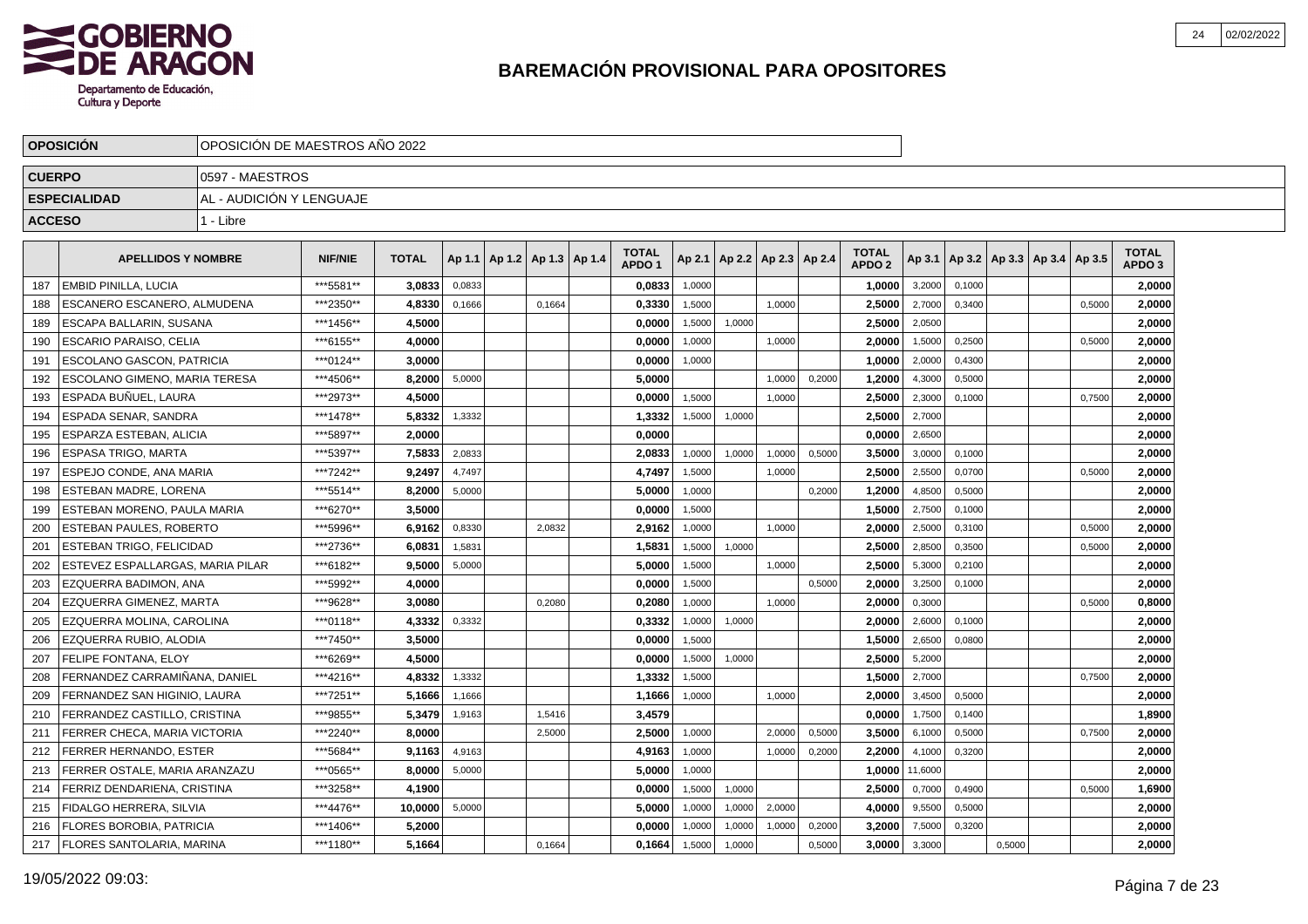

|               | <b>OPOSICIÓN</b>                 | OPOSICIÓN DE MAESTROS AÑO 2022 |                |              |        |                                   |                                   |        |        |                          |        |                                   |         |        |        |                                            |        |                                   |  |
|---------------|----------------------------------|--------------------------------|----------------|--------------|--------|-----------------------------------|-----------------------------------|--------|--------|--------------------------|--------|-----------------------------------|---------|--------|--------|--------------------------------------------|--------|-----------------------------------|--|
| <b>CUERPO</b> |                                  | 0597 - MAESTROS                |                |              |        |                                   |                                   |        |        |                          |        |                                   |         |        |        |                                            |        |                                   |  |
|               | <b>ESPECIALIDAD</b>              | AL - AUDICIÓN Y LENGUAJE       |                |              |        |                                   |                                   |        |        |                          |        |                                   |         |        |        |                                            |        |                                   |  |
| <b>ACCESO</b> |                                  | 1 - Libre                      |                |              |        |                                   |                                   |        |        |                          |        |                                   |         |        |        |                                            |        |                                   |  |
|               |                                  |                                |                |              |        |                                   |                                   |        |        |                          |        |                                   |         |        |        |                                            |        |                                   |  |
|               | <b>APELLIDOS Y NOMBRE</b>        |                                | <b>NIF/NIE</b> | <b>TOTAL</b> |        | Ap 1.1   Ap 1.2   Ap 1.3   Ap 1.4 | <b>TOTAL</b><br>APDO <sub>1</sub> | Ap 2.1 |        | Ap 2.2   Ap 2.3   Ap 2.4 |        | <b>TOTAL</b><br>APDO <sub>2</sub> |         |        |        | Ap 3.1   Ap 3.2   Ap 3.3   Ap 3.4   Ap 3.5 |        | <b>TOTAL</b><br>APDO <sub>3</sub> |  |
| 187           | <b>EMBID PINILLA, LUCIA</b>      |                                | ***5581**      | 3.0833       | 0.0833 |                                   | 0,0833                            | 1,0000 |        |                          |        | 1,0000                            | 3,2000  | 0.1000 |        |                                            |        | 2,0000                            |  |
| 188           | ESCANERO ESCANERO, ALMUDENA      |                                | ***2350**      | 4,8330       | 0,1666 | 0.1664                            | 0,3330                            | 1,5000 |        | 1.0000                   |        | 2,5000                            | 2,7000  | 0.3400 |        |                                            | 0.5000 | 2,0000                            |  |
| 189           | ESCAPA BALLARIN, SUSANA          |                                | ***1456**      | 4,5000       |        |                                   | 0,0000                            | 1,5000 | 1,0000 |                          |        | 2,5000                            | 2,0500  |        |        |                                            |        | 2,0000                            |  |
| 190           | <b>ESCARIO PARAISO, CELIA</b>    |                                | ***6155**      | 4,0000       |        |                                   | 0,0000                            | 1,0000 |        | 1,0000                   |        | 2,0000                            | 1,5000  | 0,2500 |        |                                            | 0,5000 | 2,0000                            |  |
| 191           | ESCOLANO GASCON. PATRICIA        |                                | ***0124**      | 3.0000       |        |                                   | 0,0000                            | 1,0000 |        |                          |        | 1,0000                            | 2,0000  | 0,4300 |        |                                            |        | 2,0000                            |  |
| 192           | ESCOLANO GIMENO. MARIA TERESA    |                                | ***4506**      | 8.2000       | 5,0000 |                                   | 5,0000                            |        |        | 1,0000                   | 0,2000 | 1.2000                            | 4,3000  | 0,5000 |        |                                            |        | 2,0000                            |  |
| 193           | ESPADA BUÑUEL. LAURA             |                                | ***2973**      | 4.5000       |        |                                   | 0,0000                            | 1.5000 |        | 1,0000                   |        | 2.5000                            | 2,3000  | 0.1000 |        |                                            | 0,7500 | 2,0000                            |  |
| 194           | ESPADA SENAR. SANDRA             |                                | ***1478**      | 5.8332       | 1,3332 |                                   | 1,3332                            | 1.5000 | 1,0000 |                          |        | 2.5000                            | 2,7000  |        |        |                                            |        | 2,0000                            |  |
| 195           | ESPARZA ESTEBAN, ALICIA          |                                | ***5897**      | 2,0000       |        |                                   | 0,0000                            |        |        |                          |        | 0,0000                            | 2,6500  |        |        |                                            |        | 2,0000                            |  |
| 196           | ESPASA TRIGO, MARTA              |                                | ***5397**      | 7,5833       | 2,0833 |                                   | 2,0833                            | 1,0000 | 1,0000 | 1,0000                   | 0,5000 | 3,5000                            | 3,0000  | 0,1000 |        |                                            |        | 2,0000                            |  |
| 197           | ESPEJO CONDE, ANA MARIA          |                                | ***7242**      | 9,2497       | 4,7497 |                                   | 4,7497                            | 1,5000 |        | 1,0000                   |        | 2,5000                            | 2,5500  | 0,0700 |        |                                            | 0,5000 | 2,0000                            |  |
| 198           | ESTEBAN MADRE, LORENA            |                                | ***5514**      | 8.2000       | 5,0000 |                                   | 5,0000                            | 1,0000 |        |                          | 0,2000 | 1,2000                            | 4,8500  | 0,5000 |        |                                            |        | 2,0000                            |  |
| 199           | ESTEBAN MORENO, PAULA MARIA      |                                | ***6270**      | 3.5000       |        |                                   | 0,0000                            | 1,5000 |        |                          |        | 1.5000                            | 2,7500  | 0,1000 |        |                                            |        | 2,0000                            |  |
| 200           | <b>ESTEBAN PAULES, ROBERTO</b>   |                                | *** 5996**     | 6.9162       | 0,8330 | 2.0832                            | 2,9162                            | 1,0000 |        | 1,0000                   |        | 2.0000                            | 2,5000  | 0,3100 |        |                                            | 0,5000 | 2,0000                            |  |
| 201           | ESTEBAN TRIGO, FELICIDAD         |                                | ***2736**      | 6,0831       | 1,5831 |                                   | 1,5831                            | 1,5000 | 1,0000 |                          |        | 2,5000                            | 2,8500  | 0,3500 |        |                                            | 0,5000 | 2,0000                            |  |
| 202           | ESTEVEZ ESPALLARGAS, MARIA PILAR |                                | ***6182**      | 9,5000       | 5,0000 |                                   | 5,0000                            | 1,5000 |        | 1,0000                   |        | 2,5000                            | 5,3000  | 0,2100 |        |                                            |        | 2,0000                            |  |
| 203           | EZQUERRA BADIMON, ANA            |                                | *** 5992**     | 4,0000       |        |                                   | 0,0000                            | 1,5000 |        |                          | 0,5000 | 2,0000                            | 3,2500  | 0,1000 |        |                                            |        | 2,0000                            |  |
| 204           | EZQUERRA GIMENEZ, MARTA          |                                | ***9628**      | 3,0080       |        | 0.2080                            | 0,2080                            | 1,0000 |        | 1,0000                   |        | 2,0000                            | 0,3000  |        |        |                                            | 0,5000 | 0,8000                            |  |
| 205           | EZQUERRA MOLINA, CAROLINA        |                                | ***0118**      | 4,3332       | 0,3332 |                                   | 0,3332                            | 1,0000 | 1,0000 |                          |        | 2,0000                            | 2,6000  | 0,1000 |        |                                            |        | 2,0000                            |  |
| 206           | EZQUERRA RUBIO, ALODIA           |                                | ***7450**      | 3.5000       |        |                                   | 0.0000                            | 1,5000 |        |                          |        | 1.5000                            | 2,6500  | 0,0800 |        |                                            |        | 2,0000                            |  |
| 207           | FELIPE FONTANA. ELOY             |                                | ***6269**      | 4,5000       |        |                                   | 0,0000                            | 1.5000 | 1,0000 |                          |        | 2,5000                            | 5,2000  |        |        |                                            |        | 2,0000                            |  |
| 208           | FERNANDEZ CARRAMIÑANA. DANIEL    |                                | ***4216**      | 4,8332       | 1,3332 |                                   | 1,3332                            | 1,5000 |        |                          |        | 1,5000                            | 2,7000  |        |        |                                            | 0,7500 | 2,0000                            |  |
| 209           | FERNANDEZ SAN HIGINIO, LAURA     |                                | ***7251**      | 5,1666       | 1,1666 |                                   | 1,1666                            | 1,0000 |        | 1,0000                   |        | 2,0000                            | 3,4500  | 0,5000 |        |                                            |        | 2,0000                            |  |
| 210           | FERRANDEZ CASTILLO, CRISTINA     |                                | ***9855**      | 5,3479       | 1,9163 | 1,5416                            | 3,4579                            |        |        |                          |        | 0.0000                            | 1,7500  | 0,1400 |        |                                            |        | 1,8900                            |  |
| 211           | FERRER CHECA, MARIA VICTORIA     |                                | ***2240**      | 8.0000       |        | 2.5000                            | 2,5000                            | 1,0000 |        | 2.0000                   | 0,5000 | 3,5000                            | 6,1000  | 0,5000 |        |                                            | 0,7500 | 2,0000                            |  |
| 212           | FERRER HERNANDO, ESTER           |                                | ***5684**      | 9.1163       | 4,9163 |                                   | 4,9163                            | 1,0000 |        | 1,0000                   | 0,2000 | 2,2000                            | 4,1000  | 0,3200 |        |                                            |        | 2,0000                            |  |
| 213           | FERRER OSTALE. MARIA ARANZAZU    |                                | ***0565**      | 8.0000       | 5,0000 |                                   | 5.0000                            | 1,0000 |        |                          |        | 1.0000                            | 11,6000 |        |        |                                            |        | 2.0000                            |  |
| 214           | FERRIZ DENDARIENA, CRISTINA      |                                | ***3258**      | 4,1900       |        |                                   | 0,0000                            | 1,5000 | 1,0000 |                          |        | 2,5000                            | 0,7000  | 0,4900 |        |                                            | 0,5000 | 1,6900                            |  |
| 215           | FIDALGO HERRERA, SILVIA          |                                | ***4476**      | 10,0000      | 5,0000 |                                   | 5,0000                            | 1,0000 | 1,0000 | 2,0000                   |        | 4,0000                            | 9,5500  | 0,5000 |        |                                            |        | 2,0000                            |  |
| 216           | FLORES BOROBIA, PATRICIA         |                                | ***1406**      | 5,2000       |        |                                   | 0,0000                            | 1,0000 | 1,0000 | 1,0000                   | 0,2000 | 3,2000                            | 7,5000  | 0,3200 |        |                                            |        | 2,0000                            |  |
| 217           | FLORES SANTOLARIA, MARINA        |                                | ***1180**      | 5.1664       |        | 0,1664                            | 0,1664                            | 1,5000 | 1,0000 |                          | 0,5000 | 3,0000                            | 3,3000  |        | 0,5000 |                                            |        | 2,0000                            |  |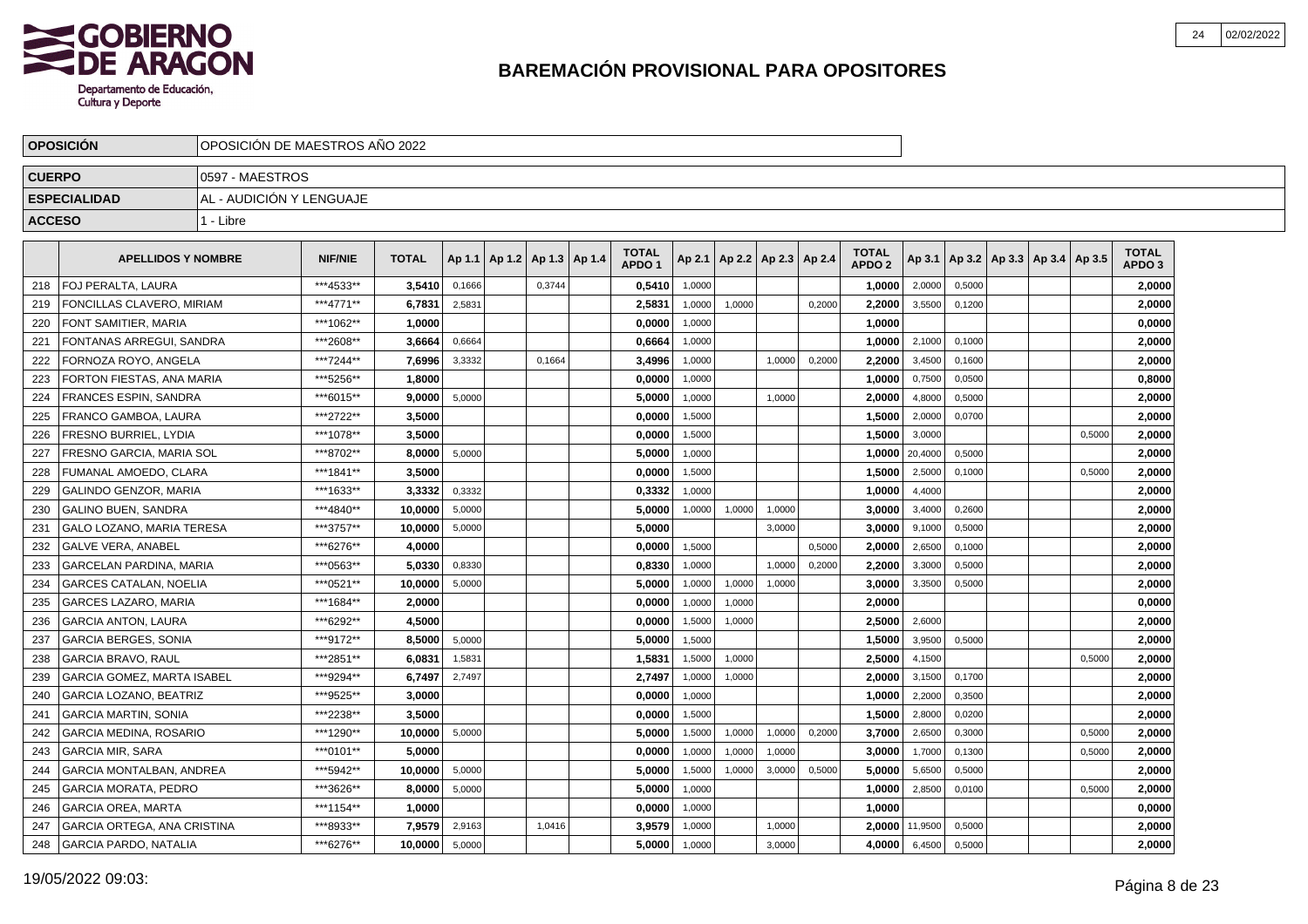

|               | <b>OPOSICION</b>                   |                          | IOPOSICION DE MAESTROS ANO 2022 |              |        |                                   |        |  |                                   |        |                          |        |        |                                   |         |        |                                   |        |                                   |  |
|---------------|------------------------------------|--------------------------|---------------------------------|--------------|--------|-----------------------------------|--------|--|-----------------------------------|--------|--------------------------|--------|--------|-----------------------------------|---------|--------|-----------------------------------|--------|-----------------------------------|--|
| <b>CUERPO</b> |                                    | 10597 - MAESTROS         |                                 |              |        |                                   |        |  |                                   |        |                          |        |        |                                   |         |        |                                   |        |                                   |  |
|               | <b>ESPECIALIDAD</b>                | AL - AUDICIÓN Y LENGUAJE |                                 |              |        |                                   |        |  |                                   |        |                          |        |        |                                   |         |        |                                   |        |                                   |  |
| <b>ACCESO</b> |                                    | 1 - Libre                |                                 |              |        |                                   |        |  |                                   |        |                          |        |        |                                   |         |        |                                   |        |                                   |  |
|               |                                    |                          |                                 |              |        |                                   |        |  |                                   |        |                          |        |        |                                   |         |        |                                   |        |                                   |  |
|               | <b>APELLIDOS Y NOMBRE</b>          |                          | <b>NIF/NIE</b>                  | <b>TOTAL</b> |        | Ap 1.1   Ap 1.2   Ap 1.3   Ap 1.4 |        |  | <b>TOTAL</b><br>APDO <sub>1</sub> | Ap 2.1 | Ap 2.2   Ap 2.3   Ap 2.4 |        |        | <b>TOTAL</b><br>APDO <sub>2</sub> | Ap 3.1  |        | Ap 3.2   Ap 3.3   Ap 3.4   Ap 3.5 |        | <b>TOTAL</b><br>APDO <sub>3</sub> |  |
| 218           | <b>FOJ PERALTA, LAURA</b>          |                          | ***4533**                       | 3,5410       | 0,1666 |                                   | 0,3744 |  | 0,5410                            | 1,0000 |                          |        |        | 1,0000                            | 2,0000  | 0,5000 |                                   |        | 2,0000                            |  |
| 219           | FONCILLAS CLAVERO, MIRIAM          |                          | ***4771**                       | 6,7831       | 2,5831 |                                   |        |  | 2,5831                            | 1,0000 | 1,0000                   |        | 0,2000 | 2,2000                            | 3,5500  | 0,1200 |                                   |        | 2,0000                            |  |
| 220           | FONT SAMITIER, MARIA               |                          | ***1062**                       | 1,0000       |        |                                   |        |  | 0,0000                            | 1,0000 |                          |        |        | 1,0000                            |         |        |                                   |        | 0,0000                            |  |
| 221           | FONTANAS ARREGUI, SANDRA           |                          | ***2608**                       | 3,6664       | 0,6664 |                                   |        |  | 0,6664                            | 1,0000 |                          |        |        | 1,0000                            | 2,1000  | 0,1000 |                                   |        | 2,0000                            |  |
| 222           | FORNOZA ROYO, ANGELA               |                          | ***7244**                       | 7,6996       | 3,3332 |                                   | 0,1664 |  | 3,4996                            | 1,0000 |                          | 1,0000 | 0,2000 | 2,2000                            | 3,4500  | 0,1600 |                                   |        | 2,0000                            |  |
| 223           | FORTON FIESTAS, ANA MARIA          |                          | ***5256**                       | 1.8000       |        |                                   |        |  | 0.0000                            | 1,0000 |                          |        |        | 1.0000                            | 0,7500  | 0.0500 |                                   |        | 0,8000                            |  |
| 224           | <b>FRANCES ESPIN, SANDRA</b>       |                          | ***6015**                       | 9.0000       | 5,0000 |                                   |        |  | 5,0000                            | 1,0000 |                          | 1,0000 |        | 2,0000                            | 4,8000  | 0,5000 |                                   |        | 2,0000                            |  |
| 225           | <b>FRANCO GAMBOA, LAURA</b>        |                          | ***2722**                       | 3,5000       |        |                                   |        |  | 0,0000                            | 1,5000 |                          |        |        | 1,5000                            | 2,0000  | 0,0700 |                                   |        | 2,0000                            |  |
| 226           | FRESNO BURRIEL, LYDIA              |                          | ***1078**                       | 3,5000       |        |                                   |        |  | 0,0000                            | 1,5000 |                          |        |        | 1,5000                            | 3,0000  |        |                                   | 0,5000 | 2,0000                            |  |
| 227           | FRESNO GARCIA, MARIA SOL           |                          | ***8702**                       | 8,0000       | 5,0000 |                                   |        |  | 5,0000                            | 1,0000 |                          |        |        | 1,0000                            | 20,4000 | 0,5000 |                                   |        | 2,0000                            |  |
| 228           | FUMANAL AMOEDO, CLARA              |                          | ***1841**                       | 3,5000       |        |                                   |        |  | 0,0000                            | 1,5000 |                          |        |        | 1,5000                            | 2,5000  | 0,1000 |                                   | 0,5000 | 2,0000                            |  |
| 229           | <b>GALINDO GENZOR, MARIA</b>       |                          | ***1633**                       | 3,3332       | 0,3332 |                                   |        |  | 0,3332                            | 1.0000 |                          |        |        | 1,0000                            | 4,4000  |        |                                   |        | 2,0000                            |  |
| 230           | <b>GALINO BUEN, SANDRA</b>         |                          | ***4840**                       | 10,0000      | 5,0000 |                                   |        |  | 5,0000                            | 1,0000 | 1,0000                   | 1.0000 |        | 3,0000                            | 3,4000  | 0.2600 |                                   |        | 2,0000                            |  |
| 231           | <b>GALO LOZANO, MARIA TERESA</b>   |                          | ***3757**                       | 10.0000      | 5,0000 |                                   |        |  | 5.0000                            |        |                          | 3,0000 |        | 3,0000                            | 9,1000  | 0,5000 |                                   |        | 2,0000                            |  |
| 232           | <b>GALVE VERA, ANABEL</b>          |                          | ***6276**                       | 4,0000       |        |                                   |        |  | 0,0000                            | 1,5000 |                          |        | 0,5000 | 2,0000                            | 2,6500  | 0,1000 |                                   |        | 2,0000                            |  |
| 233           | GARCELAN PARDINA, MARIA            |                          | ***0563**                       | 5,0330       | 0,8330 |                                   |        |  | 0,8330                            | 1,0000 |                          | 1,0000 | 0,2000 | 2,2000                            | 3,3000  | 0,5000 |                                   |        | 2,0000                            |  |
| 234           | <b>GARCES CATALAN, NOELIA</b>      |                          | ***0521**                       | 10,0000      | 5,0000 |                                   |        |  | 5,0000                            | 1,0000 | 1,0000                   | 1,0000 |        | 3,0000                            | 3,3500  | 0,5000 |                                   |        | 2,0000                            |  |
| 235           | <b>GARCES LAZARO, MARIA</b>        |                          | ***1684**                       | 2.0000       |        |                                   |        |  | 0.0000                            | 1,0000 | 1,0000                   |        |        | 2.0000                            |         |        |                                   |        | 0,0000                            |  |
| 236           | <b>GARCIA ANTON, LAURA</b>         |                          | ***6292**                       | 4.5000       |        |                                   |        |  | 0.0000                            | 1,5000 | 1,0000                   |        |        | 2.5000                            | 2,6000  |        |                                   |        | 2,0000                            |  |
| 237           | <b>GARCIA BERGES, SONIA</b>        |                          | ***9172**                       | 8.5000       | 5,0000 |                                   |        |  | 5,0000                            | 1,5000 |                          |        |        | 1,5000                            | 3,9500  | 0,5000 |                                   |        | 2,0000                            |  |
| 238           | <b>GARCIA BRAVO, RAUL</b>          |                          | ***2851**                       | 6,0831       | 1,5831 |                                   |        |  | 1,5831                            | 1,5000 | 1,0000                   |        |        | 2,5000                            | 4,1500  |        |                                   | 0,5000 | 2,0000                            |  |
| 239           | <b>GARCIA GOMEZ, MARTA ISABEL</b>  |                          | ***9294**                       | 6,7497       | 2,7497 |                                   |        |  | 2,7497                            | 1,0000 | 1,0000                   |        |        | 2,0000                            | 3,1500  | 0,1700 |                                   |        | 2,0000                            |  |
| 240           | <b>GARCIA LOZANO, BEATRIZ</b>      |                          | ***9525**                       | 3,0000       |        |                                   |        |  | 0,0000                            | 1,0000 |                          |        |        | 1,0000                            | 2,2000  | 0,3500 |                                   |        | 2,0000                            |  |
| 241           | <b>GARCIA MARTIN, SONIA</b>        |                          | ***2238**                       | 3.5000       |        |                                   |        |  | 0.0000                            | 1,5000 |                          |        |        | 1.5000                            | 2,8000  | 0,0200 |                                   |        | 2.0000                            |  |
| 242           | <b>GARCIA MEDINA, ROSARIO</b>      |                          | ***1290**                       | 10.0000      | 5,0000 |                                   |        |  | 5,0000                            | 1,5000 | 1,0000                   | 1,0000 | 0,2000 | 3,7000                            | 2,6500  | 0,3000 |                                   | 0,5000 | 2,0000                            |  |
| 243           | <b>GARCIA MIR. SARA</b>            |                          | ***0101**                       | 5.0000       |        |                                   |        |  | 0,0000                            | 1,0000 | 1,0000                   | 1,0000 |        | 3.0000                            | 1,7000  | 0,1300 |                                   | 0,5000 | 2,0000                            |  |
| 244           | <b>GARCIA MONTALBAN, ANDREA</b>    |                          | ***5942**                       | 10,0000      | 5,0000 |                                   |        |  | 5,0000                            | 1,5000 | 1,0000                   | 3,0000 | 0,5000 | 5,0000                            | 5,6500  | 0,5000 |                                   |        | 2,0000                            |  |
| 245           | <b>GARCIA MORATA, PEDRO</b>        |                          | ***3626**                       | 8,0000       | 5,0000 |                                   |        |  | 5,0000                            | 1,0000 |                          |        |        | 1,0000                            | 2,8500  | 0,0100 |                                   | 0,5000 | 2,0000                            |  |
| 246           | <b>GARCIA OREA, MARTA</b>          |                          | ***1154**                       | 1,0000       |        |                                   |        |  | 0,0000                            | 1,0000 |                          |        |        | 1,0000                            |         |        |                                   |        | 0,0000                            |  |
| 247           | <b>GARCIA ORTEGA, ANA CRISTINA</b> |                          | ***8933**                       | 7.9579       | 2,9163 |                                   | 1,0416 |  | 3,9579                            | 1,0000 |                          | 1,0000 |        | 2.0000                            | 11,9500 | 0,5000 |                                   |        | 2.0000                            |  |
| 248           | <b>GARCIA PARDO, NATALIA</b>       |                          | ***6276**                       | 10,0000      | 5,0000 |                                   |        |  | 5,0000                            | 1,0000 |                          | 3,0000 |        | 4,0000                            | 6,4500  | 0,5000 |                                   |        | 2,0000                            |  |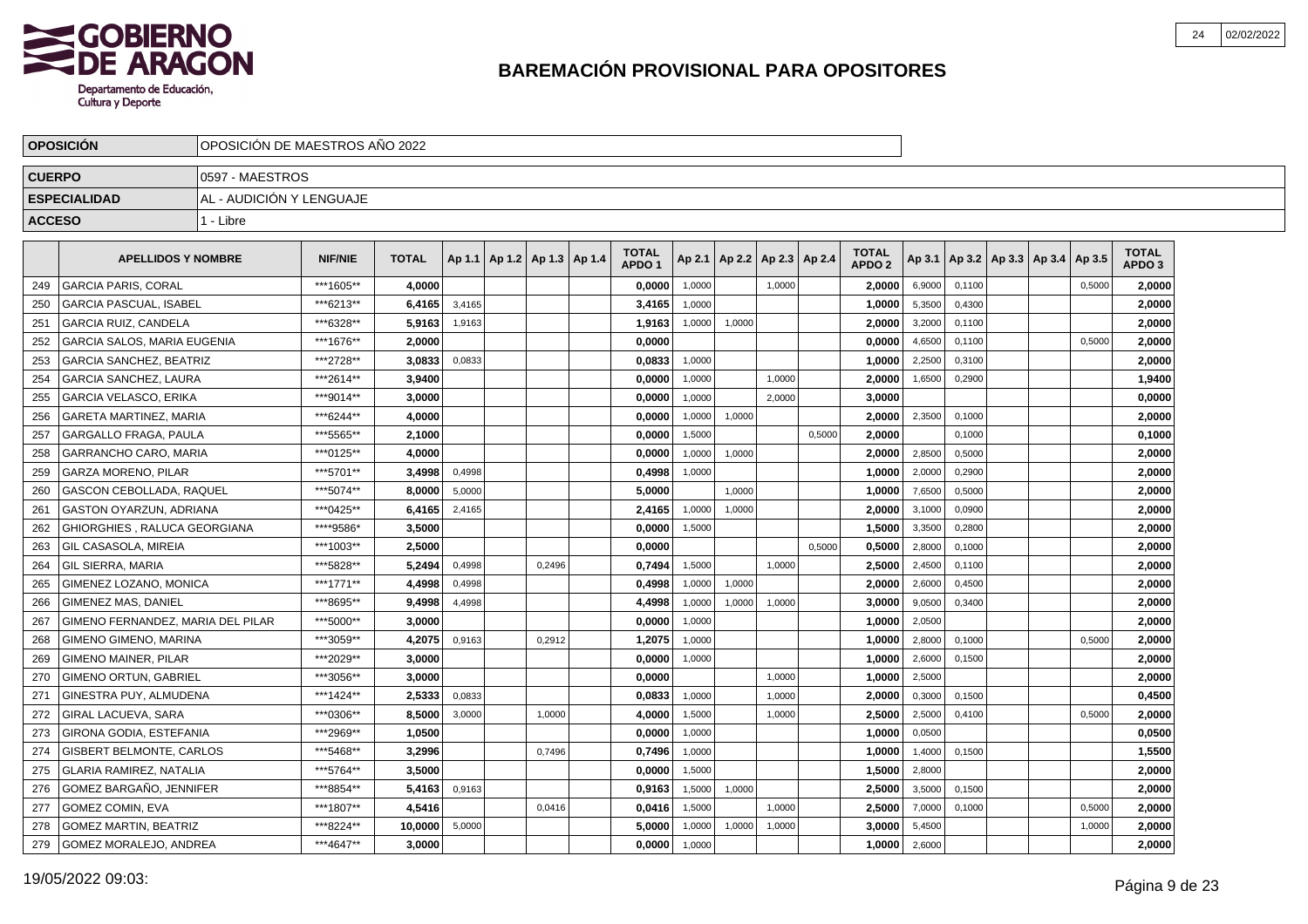

|               | <b>OPOSICION</b>                  | OPOSICION DE MAESTROS ANO 2022 |                |              |        |                                   |        |                                   |        |                          |        |        |                                   |        |        |                                   |        |                                   |  |
|---------------|-----------------------------------|--------------------------------|----------------|--------------|--------|-----------------------------------|--------|-----------------------------------|--------|--------------------------|--------|--------|-----------------------------------|--------|--------|-----------------------------------|--------|-----------------------------------|--|
| <b>CUERPO</b> |                                   | 10597 - MAESTROS               |                |              |        |                                   |        |                                   |        |                          |        |        |                                   |        |        |                                   |        |                                   |  |
|               | <b>ESPECIALIDAD</b>               | AL - AUDICIÓN Y LENGUAJE       |                |              |        |                                   |        |                                   |        |                          |        |        |                                   |        |        |                                   |        |                                   |  |
| <b>ACCESO</b> |                                   | 1 - Libre                      |                |              |        |                                   |        |                                   |        |                          |        |        |                                   |        |        |                                   |        |                                   |  |
|               |                                   |                                |                |              |        |                                   |        |                                   |        |                          |        |        |                                   |        |        |                                   |        |                                   |  |
|               | <b>APELLIDOS Y NOMBRE</b>         |                                | <b>NIF/NIE</b> | <b>TOTAL</b> |        | Ap 1.1   Ap 1.2   Ap 1.3   Ap 1.4 |        | <b>TOTAL</b><br>APDO <sub>1</sub> | Ap 2.1 | Ap 2.2   Ap 2.3   Ap 2.4 |        |        | <b>TOTAL</b><br>APDO <sub>2</sub> | Ap 3.1 |        | Ap 3.2   Ap 3.3   Ap 3.4   Ap 3.5 |        | <b>TOTAL</b><br>APDO <sub>3</sub> |  |
| 249           | <b>GARCIA PARIS, CORAL</b>        |                                | ***1605**      | 4,0000       |        |                                   |        | 0,0000                            | 1,0000 |                          | 1.0000 |        | 2.0000                            | 6,9000 | 0.1100 |                                   | 0,5000 | 2,0000                            |  |
| 250           | <b>GARCIA PASCUAL, ISABEL</b>     |                                | ***6213**      | 6,4165       | 3,4165 |                                   |        | 3,4165                            | 1.0000 |                          |        |        | 1,0000                            | 5,3500 | 0,4300 |                                   |        | 2,0000                            |  |
| 251           | <b>GARCIA RUIZ, CANDELA</b>       |                                | ***6328**      | 5.9163       | 1,9163 |                                   |        | 1,9163                            | 1,0000 | 1,0000                   |        |        | 2,0000                            | 3,2000 | 0,1100 |                                   |        | 2,0000                            |  |
| 252           | GARCIA SALOS, MARIA EUGENIA       |                                | ***1676**      | 2.0000       |        |                                   |        | 0.0000                            |        |                          |        |        | 0,0000                            | 4,6500 | 0,1100 |                                   | 0,5000 | 2,0000                            |  |
| 253           | <b>GARCIA SANCHEZ, BEATRIZ</b>    |                                | ***2728**      | 3,0833       | 0,0833 |                                   |        | 0,0833                            | 1,0000 |                          |        |        | 1,0000                            | 2,2500 | 0,3100 |                                   |        | 2,0000                            |  |
| 254           | <b>GARCIA SANCHEZ, LAURA</b>      |                                | ***2614**      | 3.9400       |        |                                   |        | 0.0000                            | 1,0000 |                          | 1.0000 |        | 2.0000                            | 1,6500 | 0.2900 |                                   |        | 1,9400                            |  |
| 255           | <b>GARCIA VELASCO, ERIKA</b>      |                                | ***9014**      | 3.0000       |        |                                   |        | 0,0000                            | 1,0000 |                          | 2.0000 |        | 3.0000                            |        |        |                                   |        | 0,0000                            |  |
| 256           | <b>GARETA MARTINEZ, MARIA</b>     |                                | ***6244**      | 4,0000       |        |                                   |        | 0,0000                            | 1,0000 | 1,0000                   |        |        | 2,0000                            | 2,3500 | 0.1000 |                                   |        | 2,0000                            |  |
| 257           | <b>GARGALLO FRAGA, PAULA</b>      |                                | ***5565**      | 2,1000       |        |                                   |        | 0,0000                            | 1,5000 |                          |        | 0,5000 | 2,0000                            |        | 0,1000 |                                   |        | 0,1000                            |  |
| 258           | <b>GARRANCHO CARO, MARIA</b>      |                                | ***0125**      | 4,0000       |        |                                   |        | 0,0000                            | 1,0000 | 1,0000                   |        |        | 2,0000                            | 2,8500 | 0,5000 |                                   |        | 2,0000                            |  |
| 259           | GARZA MORENO, PILAR               |                                | ***5701**      | 3,4998       | 0,4998 |                                   |        | 0,4998                            | 1,0000 |                          |        |        | 1,0000                            | 2,0000 | 0,2900 |                                   |        | 2,0000                            |  |
| 260           | <b>GASCON CEBOLLADA, RAQUEL</b>   |                                | ***5074**      | 8,0000       | 5,0000 |                                   |        | 5.0000                            |        | 1,0000                   |        |        | 1,0000                            | 7,6500 | 0,5000 |                                   |        | 2,0000                            |  |
| 261           | <b>GASTON OYARZUN, ADRIANA</b>    |                                | ***0425**      | 6,4165       | 2,4165 |                                   |        | 2,4165                            | 1,0000 | 1.0000                   |        |        | 2,0000                            | 3,1000 | 0.0900 |                                   |        | 2,0000                            |  |
| 262           | GHIORGHIES, RALUCA GEORGIANA      |                                | ****9586*      | 3.5000       |        |                                   |        | 0,0000                            | 1,5000 |                          |        |        | 1,5000                            | 3,3500 | 0,2800 |                                   |        | 2,0000                            |  |
| 263           | <b>GIL CASASOLA, MIREIA</b>       |                                | ***1003**      | 2,5000       |        |                                   |        | 0,0000                            |        |                          |        | 0,5000 | 0,5000                            | 2,8000 | 0,1000 |                                   |        | 2,0000                            |  |
| 264           | <b>GIL SIERRA, MARIA</b>          |                                | ***5828**      | 5,2494       | 0,4998 |                                   | 0.2496 | 0,7494                            | 1,5000 |                          | 1,0000 |        | 2,5000                            | 2,4500 | 0,1100 |                                   |        | 2,0000                            |  |
| 265           | GIMENEZ LOZANO, MONICA            |                                | ***1771**      | 4,4998       | 0,4998 |                                   |        | 0,4998                            | 1,0000 | 1,0000                   |        |        | 2,0000                            | 2,6000 | 0,4500 |                                   |        | 2,0000                            |  |
| 266           | <b>GIMENEZ MAS, DANIEL</b>        |                                | ***8695**      | 9.4998       | 4,4998 |                                   |        | 4,4998                            | 1.0000 | 1,0000                   | 1,0000 |        | 3.0000                            | 9,0500 | 0.3400 |                                   |        | 2,0000                            |  |
| 267           | GIMENO FERNANDEZ. MARIA DEL PILAR |                                | ***5000**      | 3.0000       |        |                                   |        | 0.0000                            | 1,0000 |                          |        |        | 1,0000                            | 2,0500 |        |                                   |        | 2.0000                            |  |
| 268           | <b>GIMENO GIMENO, MARINA</b>      |                                | ***3059**      | 4,2075       | 0,9163 |                                   | 0,2912 | 1,2075                            | 1,0000 |                          |        |        | 1,0000                            | 2,8000 | 0,1000 |                                   | 0,5000 | 2,0000                            |  |
| 269           | <b>GIMENO MAINER, PILAR</b>       |                                | ***2029**      | 3,0000       |        |                                   |        | 0,0000                            | 1,0000 |                          |        |        | 1,0000                            | 2,6000 | 0,1500 |                                   |        | 2,0000                            |  |
| 270           | <b>GIMENO ORTUN, GABRIEL</b>      |                                | ***3056**      | 3,0000       |        |                                   |        | 0,0000                            |        |                          | 1,0000 |        | 1,0000                            | 2,5000 |        |                                   |        | 2,0000                            |  |
| 271           | GINESTRA PUY, ALMUDENA            |                                | ***1424**      | 2,5333       | 0,0833 |                                   |        | 0,0833                            | 1,0000 |                          | 1,0000 |        | 2,0000                            | 0,3000 | 0,1500 |                                   |        | 0,4500                            |  |
| 272           | GIRAL LACUEVA. SARA               |                                | ***0306**      | 8.5000       | 3,0000 |                                   | 1,0000 | 4.0000                            | 1,5000 |                          | 1.0000 |        | 2,5000                            | 2,5000 | 0,4100 |                                   | 0,5000 | 2,0000                            |  |
| 273           | GIRONA GODIA, ESTEFANIA           |                                | ***2969**      | 1.0500       |        |                                   |        | 0,0000                            | 1,0000 |                          |        |        | 1.0000                            | 0,0500 |        |                                   |        | 0,0500                            |  |
| 274           | <b>GISBERT BELMONTE, CARLOS</b>   |                                | ***5468**      | 3.2996       |        |                                   | 0.7496 | 0,7496                            | 1,0000 |                          |        |        | 1,0000                            | 1,4000 | 0,1500 |                                   |        | 1,5500                            |  |
| 275           | <b>GLARIA RAMIREZ, NATALIA</b>    |                                | ***5764**      | 3,5000       |        |                                   |        | 0,0000                            | 1,5000 |                          |        |        | 1,5000                            | 2,8000 |        |                                   |        | 2,0000                            |  |
| 276           | GOMEZ BARGAÑO, JENNIFER           |                                | ***8854**      | 5,4163       | 0,9163 |                                   |        | 0,9163                            | 1,5000 | 1,0000                   |        |        | 2,5000                            | 3,5000 | 0,1500 |                                   |        | 2,0000                            |  |
| 277           | GOMEZ COMIN, EVA                  |                                | ***1807**      | 4,5416       |        |                                   | 0,0416 | 0,0416                            | 1,5000 |                          | 1,0000 |        | 2,5000                            | 7,0000 | 0,1000 |                                   | 0,5000 | 2,0000                            |  |
| 278           | <b>GOMEZ MARTIN, BEATRIZ</b>      |                                | ***8224**      | 10,0000      | 5,0000 |                                   |        | 5.0000                            | 1,0000 | 1,0000                   | 1,0000 |        | 3.0000                            | 5,4500 |        |                                   | 1,0000 | 2,0000                            |  |
| 279           | GOMEZ MORALEJO, ANDREA            |                                | ***4647**      | 3,0000       |        |                                   |        | 0,0000                            | 1,0000 |                          |        |        | 1,0000                            | 2,6000 |        |                                   |        | 2,0000                            |  |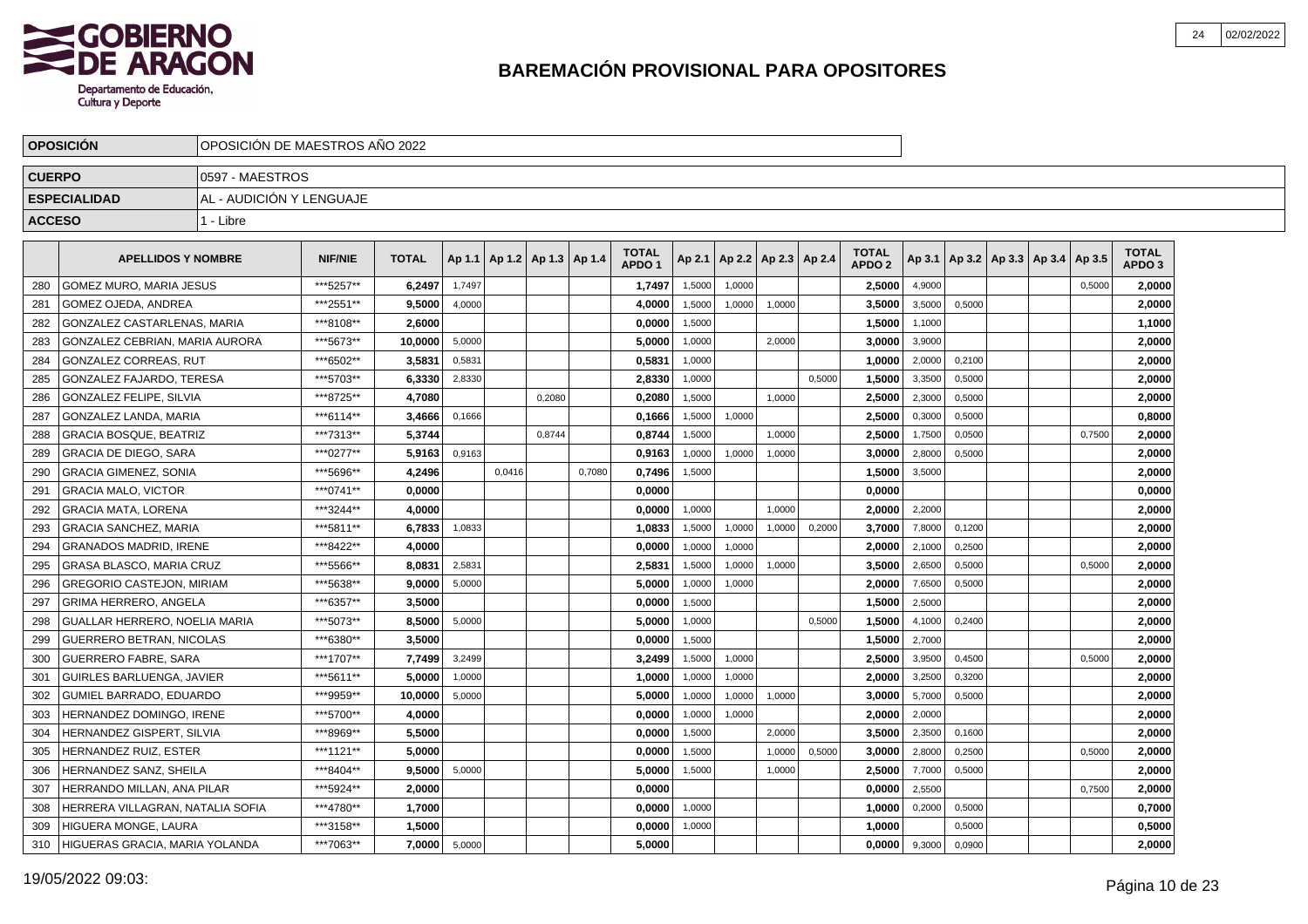

|               | <b>OPOSICION</b>                 | OPOSICION DE MAESTROS ANO 2022 |                |              |        |        |                          |        |                                   |        |                          |        |        |                                   |        |        |                                   |        |                                   |  |
|---------------|----------------------------------|--------------------------------|----------------|--------------|--------|--------|--------------------------|--------|-----------------------------------|--------|--------------------------|--------|--------|-----------------------------------|--------|--------|-----------------------------------|--------|-----------------------------------|--|
| <b>CUERPO</b> |                                  | 0597 - MAESTROS                |                |              |        |        |                          |        |                                   |        |                          |        |        |                                   |        |        |                                   |        |                                   |  |
|               | <b>ESPECIALIDAD</b>              | AL - AUDICIÓN Y LENGUAJE       |                |              |        |        |                          |        |                                   |        |                          |        |        |                                   |        |        |                                   |        |                                   |  |
| <b>ACCESO</b> |                                  | 1 - Libre                      |                |              |        |        |                          |        |                                   |        |                          |        |        |                                   |        |        |                                   |        |                                   |  |
|               | <b>APELLIDOS Y NOMBRE</b>        |                                | <b>NIF/NIE</b> | <b>TOTAL</b> | Ap 1.1 |        | Ap 1.2   Ap 1.3   Ap 1.4 |        | <b>TOTAL</b><br>APDO <sub>1</sub> | Ap 2.1 | Ap 2.2   Ap 2.3   Ap 2.4 |        |        | <b>TOTAL</b><br>APDO <sub>2</sub> | Ap 3.1 |        | Ap 3.2   Ap 3.3   Ap 3.4   Ap 3.5 |        | <b>TOTAL</b><br>APDO <sub>3</sub> |  |
| 280           | <b>GOMEZ MURO, MARIA JESUS</b>   |                                | ***5257**      | 6,2497       | 1,7497 |        |                          |        | 1,7497                            | 1,5000 | 1,0000                   |        |        | 2,5000                            | 4,9000 |        |                                   | 0,5000 | 2,0000                            |  |
| 281           | <b>GOMEZ OJEDA, ANDREA</b>       |                                | ***2551**      | 9,5000       | 4,0000 |        |                          |        | 4,0000                            | 1,5000 | 1,0000                   | 1,0000 |        | 3,5000                            | 3,5000 | 0,5000 |                                   |        | 2,0000                            |  |
| 282           | GONZALEZ CASTARLENAS, MARIA      |                                | ***8108**      | 2,6000       |        |        |                          |        | 0,0000                            | 1,5000 |                          |        |        | 1,5000                            | 1,1000 |        |                                   |        | 1,1000                            |  |
| 283           | GONZALEZ CEBRIAN, MARIA AURORA   |                                | ***5673**      | 10,0000      | 5,0000 |        |                          |        | 5,0000                            | 1,0000 |                          | 2,0000 |        | 3,0000                            | 3,9000 |        |                                   |        | 2,0000                            |  |
| 284           | <b>GONZALEZ CORREAS, RUT</b>     |                                | ***6502**      | 3,5831       | 0,5831 |        |                          |        | 0,5831                            | 1,0000 |                          |        |        | 1,0000                            | 2,0000 | 0,2100 |                                   |        | 2,0000                            |  |
| 285           | <b>GONZALEZ FAJARDO. TERESA</b>  |                                | ***5703**      | 6.3330       | 2,8330 |        |                          |        | 2.8330                            | 1,0000 |                          |        | 0.5000 | 1.5000                            | 3,3500 | 0.5000 |                                   |        | 2,0000                            |  |
| 286           | <b>GONZALEZ FELIPE, SILVIA</b>   |                                | ***8725**      | 4.7080       |        |        | 0,2080                   |        | 0,2080                            | 1,5000 |                          | 1,0000 |        | 2,5000                            | 2,3000 | 0,5000 |                                   |        | 2,0000                            |  |
| 287           | <b>GONZALEZ LANDA, MARIA</b>     |                                | ***6114**      | 3,4666       | 0,1666 |        |                          |        | 0,1666                            | 1,5000 | 1,0000                   |        |        | 2,5000                            | 0,3000 | 0,5000 |                                   |        | 0,8000                            |  |
| 288           | <b>GRACIA BOSQUE, BEATRIZ</b>    |                                | ***7313**      | 5,3744       |        |        | 0,8744                   |        | 0,8744                            | 1,5000 |                          | 1,0000 |        | 2,5000                            | 1,7500 | 0,0500 |                                   | 0,7500 | 2,0000                            |  |
| 289           | <b>GRACIA DE DIEGO, SARA</b>     |                                | ***0277**      | 5,9163       | 0,9163 |        |                          |        | 0,9163                            | 1,0000 | 1,0000                   | 1,0000 |        | 3,0000                            | 2,8000 | 0,5000 |                                   |        | 2,0000                            |  |
| 290           | <b>GRACIA GIMENEZ, SONIA</b>     |                                | ***5696**      | 4,2496       |        | 0,0416 |                          | 0,7080 | 0,7496                            | 1,5000 |                          |        |        | 1,5000                            | 3,5000 |        |                                   |        | 2,0000                            |  |
| 291           | <b>GRACIA MALO, VICTOR</b>       |                                | ***0741**      | 0,0000       |        |        |                          |        | 0,0000                            |        |                          |        |        | 0,0000                            |        |        |                                   |        | 0,0000                            |  |
| 292           | <b>GRACIA MATA, LORENA</b>       |                                | ***3244**      | 4,0000       |        |        |                          |        | 0,0000                            | 1,0000 |                          | 1.0000 |        | 2,0000                            | 2,2000 |        |                                   |        | 2,0000                            |  |
| 293           | <b>GRACIA SANCHEZ, MARIA</b>     |                                | ***5811**      | 6,7833       | 1,0833 |        |                          |        | 1,0833                            | 1,5000 | 1,0000                   | 1,0000 | 0,2000 | 3.7000                            | 7,8000 | 0,1200 |                                   |        | 2,0000                            |  |
| 294           | <b>GRANADOS MADRID. IRENE</b>    |                                | ***8422**      | 4,0000       |        |        |                          |        | 0,0000                            | 1,0000 | 1,0000                   |        |        | 2,0000                            | 2,1000 | 0,2500 |                                   |        | 2,0000                            |  |
| 295           | GRASA BLASCO, MARIA CRUZ         |                                | ***5566**      | 8,0831       | 2,5831 |        |                          |        | 2,5831                            | 1,5000 | 1,0000                   | 1,0000 |        | 3,5000                            | 2,6500 | 0,5000 |                                   | 0,5000 | 2,0000                            |  |
| 296           | <b>GREGORIO CASTEJON, MIRIAM</b> |                                | ***5638**      | 9,0000       | 5,0000 |        |                          |        | 5,0000                            | 1,0000 | 1,0000                   |        |        | 2,0000                            | 7,6500 | 0,5000 |                                   |        | 2,0000                            |  |
| 297           | <b>GRIMA HERRERO, ANGELA</b>     |                                | ***6357**      | 3.5000       |        |        |                          |        | 0.0000                            | 1,5000 |                          |        |        | 1,5000                            | 2,5000 |        |                                   |        | 2,0000                            |  |
| 298           | GUALLAR HERRERO, NOELIA MARIA    |                                | ***5073**      | 8.5000       | 5,0000 |        |                          |        | 5,0000                            | 1,0000 |                          |        | 0,5000 | 1,5000                            | 4,1000 | 0,2400 |                                   |        | 2.0000                            |  |
| 299           | GUERRERO BETRAN, NICOLAS         |                                | ***6380**      | 3,5000       |        |        |                          |        | 0,0000                            | 1,5000 |                          |        |        | 1,5000                            | 2,7000 |        |                                   |        | 2,0000                            |  |
| 300           | <b>GUERRERO FABRE, SARA</b>      |                                | ***1707**      | 7,7499       | 3,2499 |        |                          |        | 3,2499                            | 1,5000 | 1,0000                   |        |        | 2,5000                            | 3,9500 | 0,4500 |                                   | 0,5000 | 2,0000                            |  |
| 301           | <b>GUIRLES BARLUENGA, JAVIER</b> |                                | ***5611**      | 5,0000       | 1,0000 |        |                          |        | 1,0000                            | 1,0000 | 1,0000                   |        |        | 2,0000                            | 3,2500 | 0,3200 |                                   |        | 2,0000                            |  |
| 302           | <b>GUMIEL BARRADO, EDUARDO</b>   |                                | ***9959**      | 10,0000      | 5,0000 |        |                          |        | 5,0000                            | 1,0000 | 1,0000                   | 1,0000 |        | 3,0000                            | 5,7000 | 0,5000 |                                   |        | 2,0000                            |  |
| 303           | <b>HERNANDEZ DOMINGO, IRENE</b>  |                                | ***5700**      | 4.0000       |        |        |                          |        | 0.0000                            | 1,0000 | 1,0000                   |        |        | 2.0000                            | 2,0000 |        |                                   |        | 2.0000                            |  |
| 304           | <b>HERNANDEZ GISPERT, SILVIA</b> |                                | ***8969**      | 5.5000       |        |        |                          |        | 0,0000                            | 1,5000 |                          | 2.0000 |        | 3,5000                            | 2,3500 | 0,1600 |                                   |        | 2,0000                            |  |
| 305           | HERNANDEZ RUIZ, ESTER            |                                | ***1121**      | 5.0000       |        |        |                          |        | 0,0000                            | 1,5000 |                          | 1,0000 | 0,5000 | 3.0000                            | 2,8000 | 0,2500 |                                   | 0,5000 | 2,0000                            |  |
| 306           | HERNANDEZ SANZ, SHEILA           |                                | ***8404**      | 9,5000       | 5,0000 |        |                          |        | 5,0000                            | 1,5000 |                          | 1,0000 |        | 2,5000                            | 7,7000 | 0,5000 |                                   |        | 2,0000                            |  |
| 307           | HERRANDO MILLAN, ANA PILAR       |                                | ***5924**      | 2,0000       |        |        |                          |        | 0,0000                            |        |                          |        |        | 0,0000                            | 2,5500 |        |                                   | 0,7500 | 2,0000                            |  |
| 308           | HERRERA VILLAGRAN, NATALIA SOFIA |                                | ***4780**      | 1,7000       |        |        |                          |        | 0,0000                            | 1,0000 |                          |        |        | 1,0000                            | 0,2000 | 0,5000 |                                   |        | 0,7000                            |  |
| 309           | <b>HIGUERA MONGE, LAURA</b>      |                                | ***3158**      | 1,5000       |        |        |                          |        | 0,0000                            | 1,0000 |                          |        |        | 1.0000                            |        | 0,5000 |                                   |        | 0,5000                            |  |
| 310           | HIGUERAS GRACIA. MARIA YOLANDA   |                                | ***7063**      | 7,0000       | 5,0000 |        |                          |        | 5,0000                            |        |                          |        |        | 0.0000                            | 9,3000 | 0,0900 |                                   |        | 2,0000                            |  |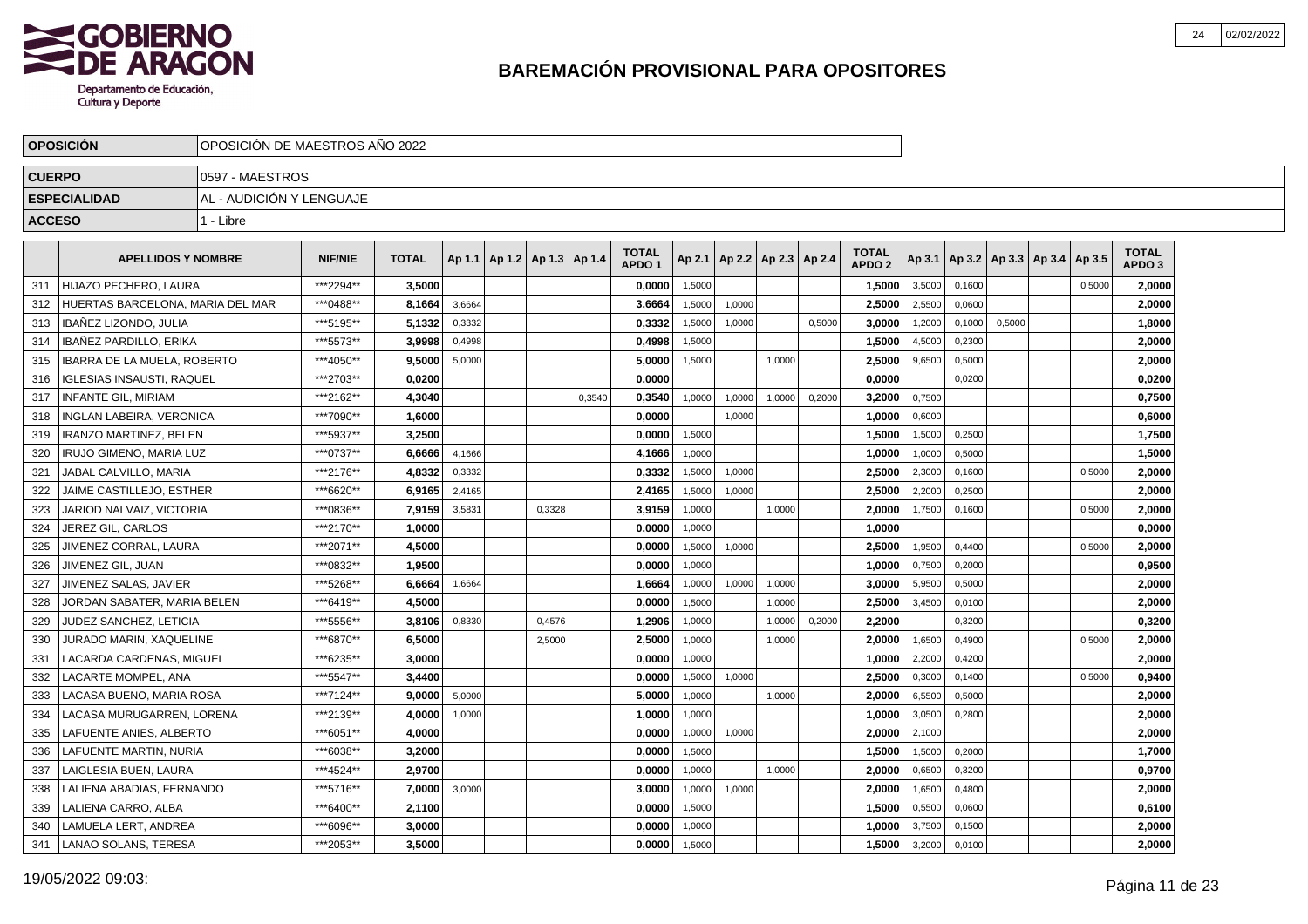

|               | <b>OPOSICION</b>                   |                          | OPOSICION DE MAESTROS ANO 2022 |              |        |                                   |        |        |                                   |        |                          |        |        |                                   |        |        |        |                          |        |                                   |  |
|---------------|------------------------------------|--------------------------|--------------------------------|--------------|--------|-----------------------------------|--------|--------|-----------------------------------|--------|--------------------------|--------|--------|-----------------------------------|--------|--------|--------|--------------------------|--------|-----------------------------------|--|
| <b>CUERPO</b> |                                    | 0597 - MAESTROS          |                                |              |        |                                   |        |        |                                   |        |                          |        |        |                                   |        |        |        |                          |        |                                   |  |
|               | <b>ESPECIALIDAD</b>                | AL - AUDICIÓN Y LENGUAJE |                                |              |        |                                   |        |        |                                   |        |                          |        |        |                                   |        |        |        |                          |        |                                   |  |
| <b>ACCESO</b> |                                    | 1 - Libre                |                                |              |        |                                   |        |        |                                   |        |                          |        |        |                                   |        |        |        |                          |        |                                   |  |
|               |                                    |                          |                                |              |        |                                   |        |        |                                   |        |                          |        |        |                                   |        |        |        |                          |        |                                   |  |
|               | <b>APELLIDOS Y NOMBRE</b>          |                          | <b>NIF/NIE</b>                 | <b>TOTAL</b> |        | Ap 1.1   Ap 1.2   Ap 1.3   Ap 1.4 |        |        | <b>TOTAL</b><br>APDO <sub>1</sub> | Ap 2.1 | Ap 2.2   Ap 2.3   Ap 2.4 |        |        | <b>TOTAL</b><br>APDO <sub>2</sub> | Ap 3.1 |        |        | Ap 3.2   Ap 3.3   Ap 3.4 | Ap 3.5 | <b>TOTAL</b><br>APDO <sub>3</sub> |  |
| 311           | HIJAZO PECHERO. LAURA              |                          | ***2294**                      | 3.5000       |        |                                   |        |        | 0,0000                            | 1,5000 |                          |        |        | 1,5000                            | 3,5000 | 0.1600 |        |                          | 0,5000 | 2,0000                            |  |
| 312           | HUERTAS BARCELONA, MARIA DEL MAR   |                          | ***0488**                      | 8,1664       | 3,6664 |                                   |        |        | 3,6664                            | 1,5000 | 1,0000                   |        |        | 2,5000                            | 2,5500 | 0.0600 |        |                          |        | 2.0000                            |  |
| 313           | <b>IBANEZ LIZONDO, JULIA</b>       |                          | ***5195**                      | 5,1332       | 0,3332 |                                   |        |        | 0,3332                            | 1,5000 | 1,0000                   |        | 0,5000 | 3,0000                            | 1,2000 | 0,1000 | 0,5000 |                          |        | 1,8000                            |  |
| 314           | IBAÑEZ PARDILLO, ERIKA             |                          | ***5573**                      | 3,9998       | 0,4998 |                                   |        |        | 0,4998                            | 1,5000 |                          |        |        | 1,5000                            | 4,5000 | 0,2300 |        |                          |        | 2,0000                            |  |
| 315           | <b>IBARRA DE LA MUELA, ROBERTO</b> |                          | ***4050**                      | 9,5000       | 5,0000 |                                   |        |        | 5,0000                            | 1,5000 |                          | 1,0000 |        | 2,5000                            | 9,6500 | 0,5000 |        |                          |        | 2,0000                            |  |
| 316           | <b>IGLESIAS INSAUSTI, RAQUEL</b>   |                          | ***2703**                      | 0.0200       |        |                                   |        |        | 0.0000                            |        |                          |        |        | 0.0000                            |        | 0.0200 |        |                          |        | 0,0200                            |  |
| 317           | <b>INFANTE GIL, MIRIAM</b>         |                          | ***2162**                      | 4,3040       |        |                                   |        | 0,3540 | 0,3540                            | 1,0000 | 1,0000                   | 1,0000 | 0,2000 | 3,2000                            | 0,7500 |        |        |                          |        | 0,7500                            |  |
| 318           | INGLAN LABEIRA, VERONICA           |                          | ***7090**                      | 1,6000       |        |                                   |        |        | 0,0000                            |        | 1,0000                   |        |        | 1,0000                            | 0,6000 |        |        |                          |        | 0,6000                            |  |
| 319           | <b>IRANZO MARTINEZ, BELEN</b>      |                          | ***5937**                      | 3,2500       |        |                                   |        |        | 0,0000                            | 1,5000 |                          |        |        | 1,5000                            | 1,5000 | 0,2500 |        |                          |        | 1,7500                            |  |
| 320           | <b>IRUJO GIMENO, MARIA LUZ</b>     |                          | ***0737**                      | 6,6666       | 4,1666 |                                   |        |        | 4,1666                            | 1,0000 |                          |        |        | 1,0000                            | 1,0000 | 0,5000 |        |                          |        | 1,5000                            |  |
| 321           | JABAL CALVILLO, MARIA              |                          | ***2176**                      | 4,8332       | 0,3332 |                                   |        |        | 0,3332                            | 1,5000 | 1,0000                   |        |        | 2,5000                            | 2,3000 | 0,1600 |        |                          | 0,5000 | 2,0000                            |  |
| 322           | <b>JAIME CASTILLEJO. ESTHER</b>    |                          | ***6620**                      | 6,9165       | 2,4165 |                                   |        |        | 2,4165                            | 1,5000 | 1.0000                   |        |        | 2,5000                            | 2,2000 | 0,2500 |        |                          |        | 2,0000                            |  |
| 323           | JARIOD NALVAIZ. VICTORIA           |                          | ***0836**                      | 7,9159       | 3,5831 |                                   | 0.3328 |        | 3,9159                            | 1,0000 |                          | 1.0000 |        | 2,0000                            | 1,7500 | 0,1600 |        |                          | 0.5000 | 2,0000                            |  |
| 324           | JEREZ GIL. CARLOS                  |                          | ***2170**                      | 1,0000       |        |                                   |        |        | 0.0000                            | 1,0000 |                          |        |        | 1,0000                            |        |        |        |                          |        | 0,0000                            |  |
| 325           | <b>JIMENEZ CORRAL, LAURA</b>       |                          | ***2071**                      | 4,5000       |        |                                   |        |        | 0,0000                            | 1,5000 | 1,0000                   |        |        | 2,5000                            | 1,9500 | 0,4400 |        |                          | 0,5000 | 2,0000                            |  |
| 326           | JIMENEZ GIL, JUAN                  |                          | ***0832**                      | 1,9500       |        |                                   |        |        | 0,0000                            | 1,0000 |                          |        |        | 1,0000                            | 0,7500 | 0,2000 |        |                          |        | 0,9500                            |  |
| 327           | JIMENEZ SALAS, JAVIER              |                          | ***5268**                      | 6,6664       | 1,6664 |                                   |        |        | 1,6664                            | 1,0000 | 1,0000                   | 1,0000 |        | 3,0000                            | 5,9500 | 0,5000 |        |                          |        | 2,0000                            |  |
| 328           | JORDAN SABATER. MARIA BELEN        |                          | ***6419**                      | 4,5000       |        |                                   |        |        | 0.0000                            | 1,5000 |                          | 1.0000 |        | 2.5000                            | 3,4500 | 0.0100 |        |                          |        | 2,0000                            |  |
| 329           | JUDEZ SANCHEZ. LETICIA             |                          | ***5556**                      | 3.8106       | 0,8330 |                                   | 0,4576 |        | 1,2906                            | 1,0000 |                          | 1,0000 | 0,2000 | 2,2000                            |        | 0,3200 |        |                          |        | 0,3200                            |  |
| 330           | JURADO MARIN, XAQUELINE            |                          | ***6870**                      | 6,5000       |        |                                   | 2,5000 |        | 2,5000                            | 1,0000 |                          | 1,0000 |        | 2,0000                            | 1,6500 | 0,4900 |        |                          | 0,5000 | 2,0000                            |  |
| 331           | LACARDA CARDENAS, MIGUEL           |                          | ***6235**                      | 3,0000       |        |                                   |        |        | 0,0000                            | 1,0000 |                          |        |        | 1,0000                            | 2,2000 | 0,4200 |        |                          |        | 2,0000                            |  |
| 332           | LACARTE MOMPEL, ANA                |                          | ***5547**                      | 3,4400       |        |                                   |        |        | 0,0000                            | 1,5000 | 1,0000                   |        |        | 2,5000                            | 0,3000 | 0,1400 |        |                          | 0,5000 | 0,9400                            |  |
| 333           | LACASA BUENO, MARIA ROSA           |                          | ***7124**                      | 9.0000       | 5,0000 |                                   |        |        | 5,0000                            | 1,0000 |                          | 1,0000 |        | 2,0000                            | 6,5500 | 0,5000 |        |                          |        | 2,0000                            |  |
| 334           | LACASA MURUGARREN. LORENA          |                          | ***2139**                      | 4.0000       | 1,0000 |                                   |        |        | 1.0000                            | 1,0000 |                          |        |        | 1.0000                            | 3,0500 | 0,2800 |        |                          |        | 2.0000                            |  |
| 335           | LAFUENTE ANIES, ALBERTO            |                          | ***6051**                      | 4,0000       |        |                                   |        |        | 0.0000                            | 1,0000 | 1,0000                   |        |        | 2.0000                            | 2,1000 |        |        |                          |        | 2,0000                            |  |
| 336           | LAFUENTE MARTIN, NURIA             |                          | ***6038**                      | 3,2000       |        |                                   |        |        | 0,0000                            | 1,5000 |                          |        |        | 1,5000                            | 1,5000 | 0,2000 |        |                          |        | 1,7000                            |  |
| 337           | LAIGLESIA BUEN, LAURA              |                          | ***4524**                      | 2,9700       |        |                                   |        |        | 0,0000                            | 1,0000 |                          | 1,0000 |        | 2,0000                            | 0,6500 | 0,3200 |        |                          |        | 0,9700                            |  |
| 338           | LALIENA ABADIAS, FERNANDO          |                          | ***5716**                      | 7,0000       | 3,0000 |                                   |        |        | 3,0000                            | 1,0000 | 1,0000                   |        |        | 2,0000                            | 1,6500 | 0,4800 |        |                          |        | 2,0000                            |  |
| 339           | LALIENA CARRO, ALBA                |                          | ***6400**                      | 2,1100       |        |                                   |        |        | 0,0000                            | 1,5000 |                          |        |        | 1,5000                            | 0,5500 | 0,0600 |        |                          |        | 0,6100                            |  |
| 340           | LAMUELA LERT, ANDREA               |                          | ***6096**                      | 3,0000       |        |                                   |        |        | 0.0000                            | 1,0000 |                          |        |        | 1.0000                            | 3,7500 | 0,1500 |        |                          |        | 2.0000                            |  |
| 341           | LANAO SOLANS, TERESA               |                          | ***2053**                      | 3,5000       |        |                                   |        |        | 0,0000                            | 1,5000 |                          |        |        | 1,5000                            | 3,2000 | 0,0100 |        |                          |        | 2,0000                            |  |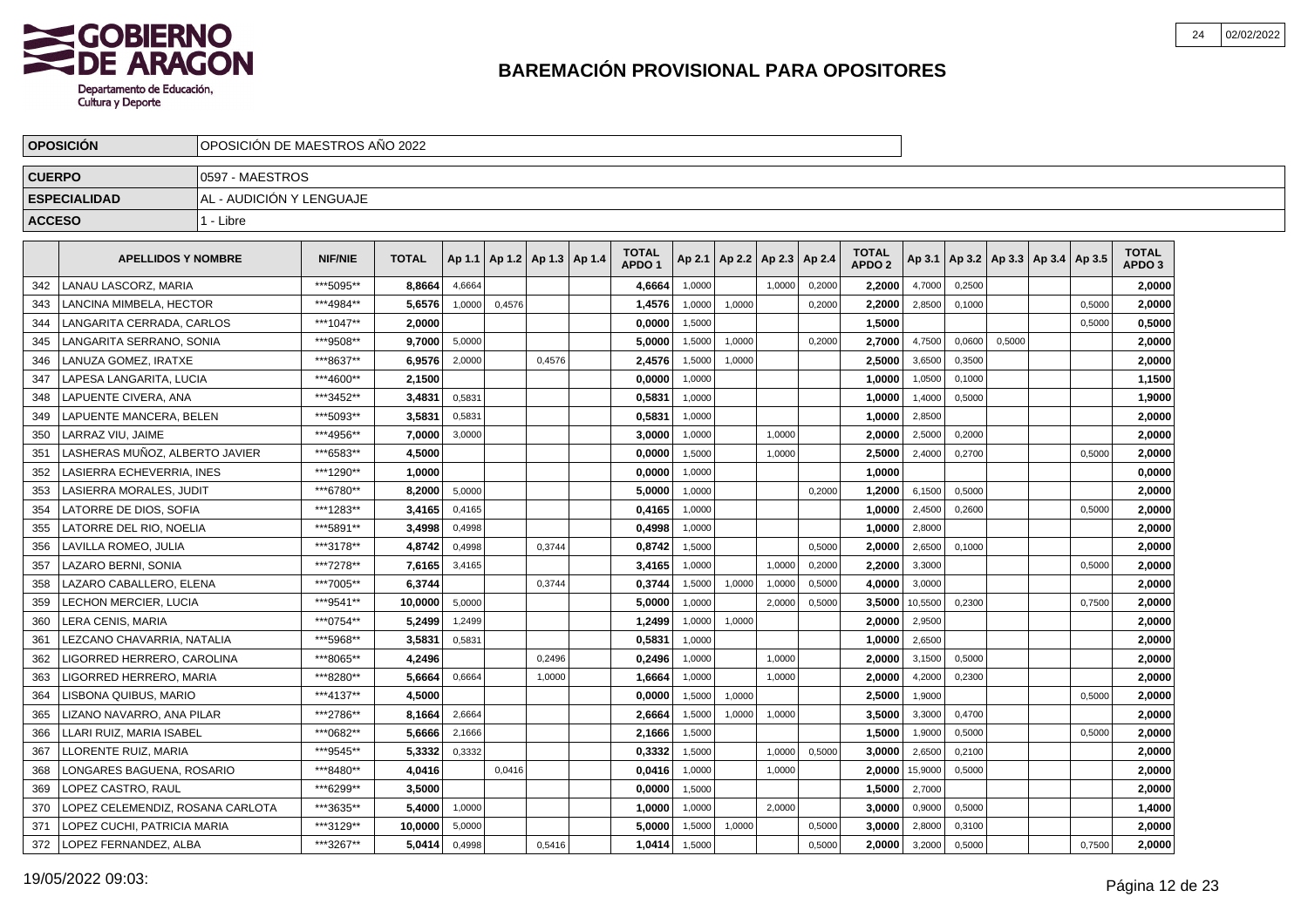

|               | <b>OPOSICION</b>                 | OPOSICION DE MAESTROS ANO 2022 |                |              |        |        |                          |                                   |        |                 |        |        |                                   |         |        |                             |        |                                   |  |
|---------------|----------------------------------|--------------------------------|----------------|--------------|--------|--------|--------------------------|-----------------------------------|--------|-----------------|--------|--------|-----------------------------------|---------|--------|-----------------------------|--------|-----------------------------------|--|
| <b>CUERPO</b> |                                  | 0597 - MAESTROS                |                |              |        |        |                          |                                   |        |                 |        |        |                                   |         |        |                             |        |                                   |  |
|               | <b>ESPECIALIDAD</b>              | AL - AUDICIÓN Y LENGUAJE       |                |              |        |        |                          |                                   |        |                 |        |        |                                   |         |        |                             |        |                                   |  |
| <b>ACCESO</b> |                                  | 1 - Libre                      |                |              |        |        |                          |                                   |        |                 |        |        |                                   |         |        |                             |        |                                   |  |
|               | <b>APELLIDOS Y NOMBRE</b>        |                                | <b>NIF/NIE</b> | <b>TOTAL</b> | Ap 1.1 |        | Ap 1.2   Ap 1.3   Ap 1.4 | <b>TOTAL</b><br>APDO <sub>1</sub> | Ap 2.1 | Ap 2.2   Ap 2.3 |        | Ap 2.4 | <b>TOTAL</b><br>APDO <sub>2</sub> | Ap 3.1  |        | Ap 3.2 Ap 3.3 Ap 3.4 Ap 3.5 |        | <b>TOTAL</b><br>APDO <sub>3</sub> |  |
| 342           | <b>LANAU LASCORZ, MARIA</b>      |                                | ***5095**      | 8,8664       | 4,6664 |        |                          | 4,6664                            | 1,0000 |                 | 1.0000 | 0,2000 | 2.2000                            | 4,7000  | 0,2500 |                             |        | 2,0000                            |  |
| 343           | LANCINA MIMBELA, HECTOR          |                                | ***4984**      | 5,6576       | 1,0000 | 0,4576 |                          | 1,4576                            | 1,0000 | 1,0000          |        | 0,2000 | 2,2000                            | 2,8500  | 0,1000 |                             | 0.5000 | 2,0000                            |  |
| 344           | LANGARITA CERRADA, CARLOS        |                                | ***1047**      | 2,0000       |        |        |                          | 0,0000                            | 1,5000 |                 |        |        | 1,5000                            |         |        |                             | 0,5000 | 0,5000                            |  |
| 345           | LANGARITA SERRANO, SONIA         |                                | ***9508**      | 9.7000       | 5,0000 |        |                          | 5,0000                            | 1,5000 | 1,0000          |        | 0,2000 | 2,7000                            | 4,7500  | 0,0600 | 0,5000                      |        | 2,0000                            |  |
| 346           | LANUZA GOMEZ, IRATXE             |                                | ***8637**      | 6,9576       | 2,0000 |        | 0,4576                   | 2,4576                            | 1,5000 | 1,0000          |        |        | 2,5000                            | 3,6500  | 0,3500 |                             |        | 2,0000                            |  |
| 347           | LAPESA LANGARITA. LUCIA          |                                | ***4600**      | 2.1500       |        |        |                          | 0.0000                            | 1,0000 |                 |        |        | 1.0000                            | 1,0500  | 0.1000 |                             |        | 1,1500                            |  |
| 348           | LAPUENTE CIVERA, ANA             |                                | ***3452**      | 3,4831       | 0,5831 |        |                          | 0,5831                            | 1,0000 |                 |        |        | 1,0000                            | 1,4000  | 0,5000 |                             |        | 1,9000                            |  |
| 349           | LAPUENTE MANCERA, BELEN          |                                | ***5093**      | 3,5831       | 0,5831 |        |                          | 0,5831                            | 1,0000 |                 |        |        | 1,0000                            | 2,8500  |        |                             |        | 2,0000                            |  |
| 350           | LARRAZ VIU. JAIME                |                                | ***4956**      | 7,0000       | 3,0000 |        |                          | 3,0000                            | 1,0000 |                 | 1,0000 |        | 2,0000                            | 2,5000  | 0,2000 |                             |        | 2,0000                            |  |
| 351           | LASHERAS MUÑOZ, ALBERTO JAVIER   |                                | ***6583**      | 4,5000       |        |        |                          | 0,0000                            | 1,5000 |                 | 1,0000 |        | 2,5000                            | 2,4000  | 0,2700 |                             | 0,5000 | 2,0000                            |  |
| 352           | LASIERRA ECHEVERRIA, INES        |                                | ***1290**      | 1,0000       |        |        |                          | 0,0000                            | 1,0000 |                 |        |        | 1,0000                            |         |        |                             |        | 0,0000                            |  |
| 353           | LASIERRA MORALES, JUDIT          |                                | ***6780**      | 8,2000       | 5,0000 |        |                          | 5,0000                            | 1,0000 |                 |        | 0,2000 | 1,2000                            | 6,1500  | 0,5000 |                             |        | 2,0000                            |  |
| 354           | LATORRE DE DIOS. SOFIA           |                                | ***1283**      | 3,4165       | 0,4165 |        |                          | 0,4165                            | 1,0000 |                 |        |        | 1,0000                            | 2,4500  | 0,2600 |                             | 0.5000 | 2,0000                            |  |
| 355           | LATORRE DEL RIO. NOELIA          |                                | ***5891**      | 3,4998       | 0,4998 |        |                          | 0,4998                            | 1,0000 |                 |        |        | 1,0000                            | 2,8000  |        |                             |        | 2,0000                            |  |
| 356           | LAVILLA ROMEO, JULIA             |                                | ***3178**      | 4,8742       | 0,4998 |        | 0,3744                   | 0,8742                            | 1,5000 |                 |        | 0,5000 | 2,0000                            | 2,6500  | 0,1000 |                             |        | 2,0000                            |  |
| 357           | LAZARO BERNI, SONIA              |                                | ***7278**      | 7,6165       | 3,4165 |        |                          | 3,4165                            | 1,0000 |                 | 1,0000 | 0,2000 | 2,2000                            | 3,3000  |        |                             | 0,5000 | 2,0000                            |  |
| 358           | LAZARO CABALLERO, ELENA          |                                | ***7005**      | 6,3744       |        |        | 0,3744                   | 0,3744                            | 1,5000 | 1,0000          | 1,0000 | 0,5000 | 4,0000                            | 3,0000  |        |                             |        | 2,0000                            |  |
| 359           | LECHON MERCIER, LUCIA            |                                | ***9541**      | 10.0000      | 5.0000 |        |                          | 5.0000                            | 1.0000 |                 | 2,0000 | 0,5000 | 3.5000                            | 10,5500 | 0.2300 |                             | 0.7500 | 2,0000                            |  |
| 360           | LERA CENIS. MARIA                |                                | ***0754**      | 5.2499       | 1,2499 |        |                          | 1,2499                            | 1,0000 | 1,0000          |        |        | 2.0000                            | 2,9500  |        |                             |        | 2,0000                            |  |
| 361           | LEZCANO CHAVARRIA, NATALIA       |                                | ***5968**      | 3,5831       | 0,5831 |        |                          | 0,5831                            | 1,0000 |                 |        |        | 1,0000                            | 2,6500  |        |                             |        | 2,0000                            |  |
| 362           | LIGORRED HERRERO, CAROLINA       |                                | ***8065**      | 4,2496       |        |        | 0,2496                   | 0,2496                            | 1,0000 |                 | 1.0000 |        | 2.0000                            | 3,1500  | 0,5000 |                             |        | 2,0000                            |  |
| 363           | LIGORRED HERRERO, MARIA          |                                | ***8280**      | 5,6664       | 0,6664 |        | 1,0000                   | 1,6664                            | 1,0000 |                 | 1,0000 |        | 2,0000                            | 4,2000  | 0,2300 |                             |        | 2,0000                            |  |
| 364           | LISBONA QUIBUS, MARIO            |                                | ***4137**      | 4,5000       |        |        |                          | 0,0000                            | 1,5000 | 1,0000          |        |        | 2,5000                            | 1,9000  |        |                             | 0,5000 | 2,0000                            |  |
| 365           | LIZANO NAVARRO, ANA PILAR        |                                | ***2786**      | 8.1664       | 2,6664 |        |                          | 2.6664                            | 1,5000 | 1,0000          | 1,0000 |        | 3.5000                            | 3,3000  | 0,4700 |                             |        | 2,0000                            |  |
| 366           | LLARI RUIZ, MARIA ISABEL         |                                | ***0682**      | 5.6666       | 2,1666 |        |                          | 2,1666                            | 1,5000 |                 |        |        | 1,5000                            | 1,9000  | 0,5000 |                             | 0,5000 | 2,0000                            |  |
| 367           | LLORENTE RUIZ, MARIA             |                                | ***9545**      | 5,3332       | 0,3332 |        |                          | 0,3332                            | 1,5000 |                 | 1,0000 | 0,5000 | 3.0000                            | 2,6500  | 0,2100 |                             |        | 2,0000                            |  |
| 368           | LONGARES BAGUENA, ROSARIO        |                                | ***8480**      | 4,0416       |        | 0,0416 |                          | 0,0416                            | 1,0000 |                 | 1,0000 |        | 2,0000                            | 15,9000 | 0,5000 |                             |        | 2,0000                            |  |
| 369           | LOPEZ CASTRO, RAUL               |                                | ***6299**      | 3,5000       |        |        |                          | 0,0000                            | 1,5000 |                 |        |        | 1,5000                            | 2,7000  |        |                             |        | 2,0000                            |  |
| 370           | LOPEZ CELEMENDIZ, ROSANA CARLOTA |                                | ***3635**      | 5,4000       | 1,0000 |        |                          | 1,0000                            | 1,0000 |                 | 2,0000 |        | 3,0000                            | 0,9000  | 0,5000 |                             |        | 1,4000                            |  |
| 371           | LOPEZ CUCHI. PATRICIA MARIA      |                                | ***3129**      | 10,0000      | 5,0000 |        |                          | 5.0000                            | 1,5000 | 1,0000          |        | 0,5000 | 3.0000                            | 2,8000  | 0,3100 |                             |        | 2.0000                            |  |
| 372           | LLOPEZ FERNANDEZ. ALBA           |                                | ***3267**      | 5,0414       | 0,4998 |        | 0,5416                   | 1,0414                            | 1,5000 |                 |        | 0,5000 | 2,0000                            | 3,2000  | 0,5000 |                             | 0,7500 | 2,0000                            |  |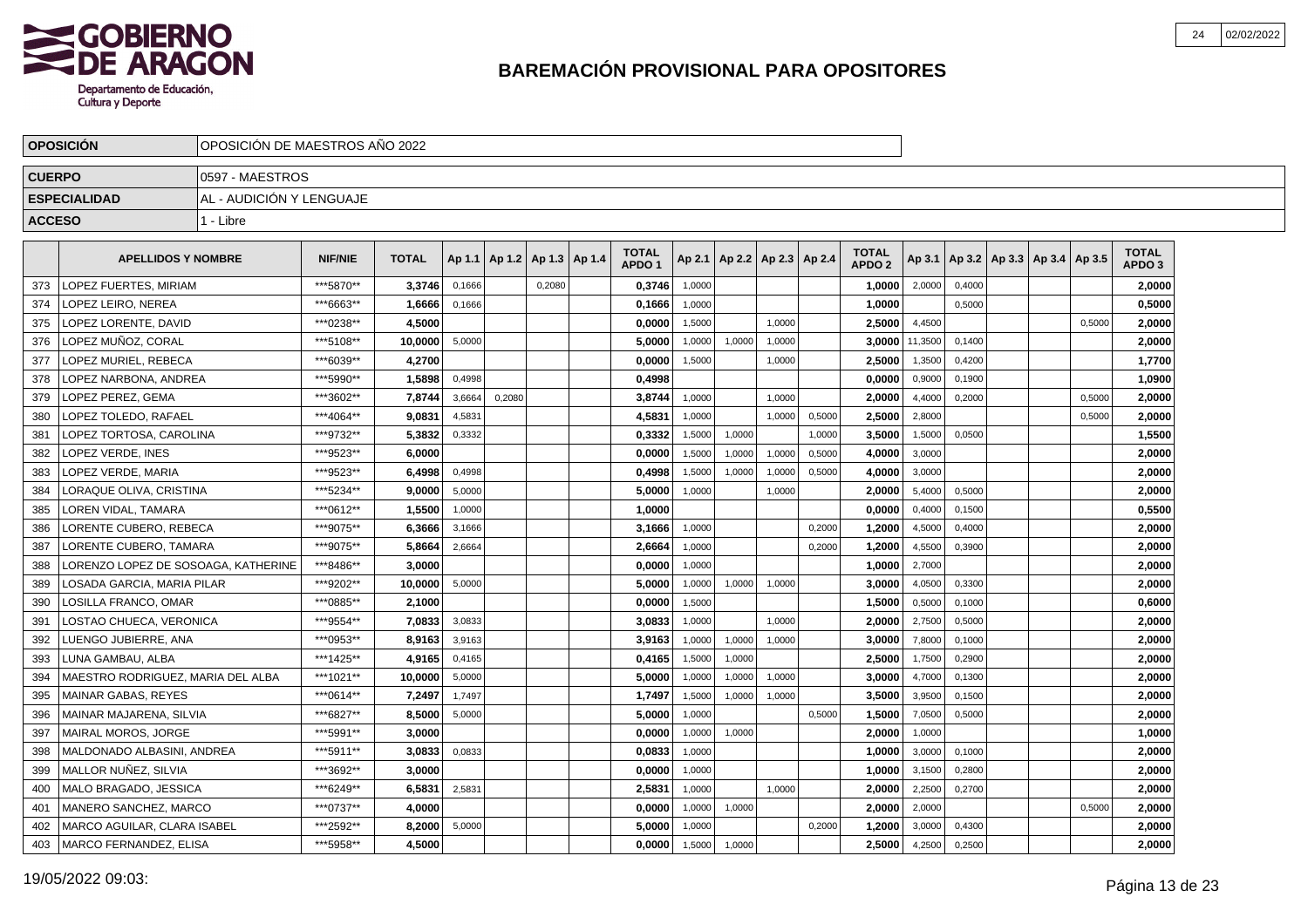

|               | <b>OPOSICION</b>                    | OPOSICION DE MAESTROS ANO 2022 |                |              |        |        |                                   |                                   |        |        |                          |        |                                   |         |        |                                   |        |                                   |  |
|---------------|-------------------------------------|--------------------------------|----------------|--------------|--------|--------|-----------------------------------|-----------------------------------|--------|--------|--------------------------|--------|-----------------------------------|---------|--------|-----------------------------------|--------|-----------------------------------|--|
| <b>CUERPO</b> |                                     | 0597 - MAESTROS                |                |              |        |        |                                   |                                   |        |        |                          |        |                                   |         |        |                                   |        |                                   |  |
|               | <b>ESPECIALIDAD</b>                 | AL - AUDICIÓN Y LENGUAJE       |                |              |        |        |                                   |                                   |        |        |                          |        |                                   |         |        |                                   |        |                                   |  |
| <b>ACCESO</b> |                                     | 1 - Libre                      |                |              |        |        |                                   |                                   |        |        |                          |        |                                   |         |        |                                   |        |                                   |  |
|               | <b>APELLIDOS Y NOMBRE</b>           |                                | <b>NIF/NIE</b> | <b>TOTAL</b> |        |        | Ap 1.1   Ap 1.2   Ap 1.3   Ap 1.4 | <b>TOTAL</b><br>APDO <sub>1</sub> | Ap 2.1 |        | Ap 2.2   Ap 2.3   Ap 2.4 |        | <b>TOTAL</b><br>APDO <sub>2</sub> | Ap 3.1  |        | Ap 3.2   Ap 3.3   Ap 3.4   Ap 3.5 |        | <b>TOTAL</b><br>APDO <sub>3</sub> |  |
| 373           | LOPEZ FUERTES, MIRIAM               |                                | ***5870**      | 3,3746       | 0,1666 |        | 0,2080                            | 0,3746                            | 1,0000 |        |                          |        | 1,0000                            | 2,0000  | 0,4000 |                                   |        | 2.0000                            |  |
| 374           | LOPEZ LEIRO, NEREA                  |                                | ***6663**      | 1,6666       | 0,1666 |        |                                   | 0,1666                            | 1,0000 |        |                          |        | 1,0000                            |         | 0,5000 |                                   |        | 0,5000                            |  |
| 375           | LOPEZ LORENTE, DAVID                |                                | ***0238**      | 4,5000       |        |        |                                   | 0,0000                            | 1,5000 |        | 1.0000                   |        | 2,5000                            | 4,4500  |        |                                   | 0,5000 | 2,0000                            |  |
| 376           | LOPEZ MUÑOZ, CORAL                  |                                | ***5108**      | 10,0000      | 5,0000 |        |                                   | 5,0000                            | 1,0000 | 1,0000 | 1,0000                   |        | 3,0000                            | 11,3500 | 0,1400 |                                   |        | 2,0000                            |  |
| 377           | LOPEZ MURIEL, REBECA                |                                | ***6039**      | 4,2700       |        |        |                                   | 0,0000                            | 1,5000 |        | 1,0000                   |        | 2,5000                            | 1,3500  | 0,4200 |                                   |        | 1,7700                            |  |
| 378           | LOPEZ NARBONA, ANDREA               |                                | ***5990**      | 1.5898       | 0,4998 |        |                                   | 0.4998                            |        |        |                          |        | 0.0000                            | 0,9000  | 0.1900 |                                   |        | 1.0900                            |  |
| 379           | LOPEZ PEREZ, GEMA                   |                                | ***3602**      | 7,8744       | 3,6664 | 0,2080 |                                   | 3,8744                            | 1,0000 |        | 1.0000                   |        | 2.0000                            | 4,4000  | 0,2000 |                                   | 0,5000 | 2,0000                            |  |
| 380           | LOPEZ TOLEDO, RAFAEL                |                                | ***4064**      | 9,0831       | 4,5831 |        |                                   | 4,5831                            | 1,0000 |        | 1,0000                   | 0,5000 | 2,5000                            | 2,8000  |        |                                   | 0,5000 | 2,0000                            |  |
| 381           | LOPEZ TORTOSA, CAROLINA             |                                | ***9732**      | 5,3832       | 0,3332 |        |                                   | 0,3332                            | 1,5000 | 1,0000 |                          | 1,0000 | 3,5000                            | 1,5000  | 0,0500 |                                   |        | 1,5500                            |  |
| 382           | LOPEZ VERDE, INES                   |                                | ***9523**      | 6,0000       |        |        |                                   | 0,0000                            | 1,5000 | 1,0000 | 1,0000                   | 0,5000 | 4,0000                            | 3,0000  |        |                                   |        | 2,0000                            |  |
| 383           | LOPEZ VERDE, MARIA                  |                                | ***9523**      | 6,4998       | 0,4998 |        |                                   | 0,4998                            | 1,5000 | 1,0000 | 1,0000                   | 0,5000 | 4,0000                            | 3,0000  |        |                                   |        | 2,0000                            |  |
| 384           | LORAQUE OLIVA. CRISTINA             |                                | ***5234**      | 9,0000       | 5,0000 |        |                                   | 5,0000                            | 1,0000 |        | 1,0000                   |        | 2,0000                            | 5,4000  | 0.5000 |                                   |        | 2,0000                            |  |
| 385           | LOREN VIDAL. TAMARA                 |                                | ***0612**      | 1,5500       | 1,0000 |        |                                   | 1,0000                            |        |        |                          |        | 0,0000                            | 0,4000  | 0,1500 |                                   |        | 0,5500                            |  |
| 386           | LORENTE CUBERO, REBECA              |                                | ***9075**      | 6,3666       | 3,1666 |        |                                   | 3,1666                            | 1,0000 |        |                          | 0,2000 | 1,2000                            | 4,5000  | 0,4000 |                                   |        | 2,0000                            |  |
| 387           | LORENTE CUBERO, TAMARA              |                                | ***9075**      | 5,8664       | 2,6664 |        |                                   | 2,6664                            | 1,0000 |        |                          | 0,2000 | 1,2000                            | 4,5500  | 0,3900 |                                   |        | 2,0000                            |  |
| 388           | LORENZO LOPEZ DE SOSOAGA. KATHERINE |                                | ***8486**      | 3,0000       |        |        |                                   | 0,0000                            | 1,0000 |        |                          |        | 1,0000                            | 2,7000  |        |                                   |        | 2,0000                            |  |
| 389           | LOSADA GARCIA, MARIA PILAR          |                                | ***9202**      | 10,0000      | 5,0000 |        |                                   | 5,0000                            | 1,0000 | 1,0000 | 1,0000                   |        | 3,0000                            | 4,0500  | 0,3300 |                                   |        | 2,0000                            |  |
| 390           | LOSILLA FRANCO, OMAR                |                                | ***0885**      | 2.1000       |        |        |                                   | 0.0000                            | 1,5000 |        |                          |        | 1,5000                            | 0,5000  | 0.1000 |                                   |        | 0,6000                            |  |
| 391           | LOSTAO CHUECA. VERONICA             |                                | ***9554**      | 7,0833       | 3,0833 |        |                                   | 3,0833                            | 1,0000 |        | 1.0000                   |        | 2,0000                            | 2,7500  | 0,5000 |                                   |        | 2,0000                            |  |
| 392           | LUENGO JUBIERRE, ANA                |                                | ***0953**      | 8,9163       | 3,9163 |        |                                   | 3,9163                            | 1,0000 | 1,0000 | 1,0000                   |        | 3,0000                            | 7,8000  | 0,1000 |                                   |        | 2,0000                            |  |
| 393           | LUNA GAMBAU, ALBA                   |                                | ***1425**      | 4,9165       | 0,4165 |        |                                   | 0,4165                            | 1,5000 | 1,0000 |                          |        | 2,5000                            | 1,7500  | 0,2900 |                                   |        | 2,0000                            |  |
| 394           | MAESTRO RODRIGUEZ, MARIA DEL ALBA   |                                | ***1021**      | 10,0000      | 5,0000 |        |                                   | 5,0000                            | 1,0000 | 1,0000 | 1,0000                   |        | 3,0000                            | 4,7000  | 0,1300 |                                   |        | 2,0000                            |  |
| 395           | <b>MAINAR GABAS, REYES</b>          |                                | ***0614**      | 7,2497       | 1,7497 |        |                                   | 1,7497                            | 1,5000 | 1,0000 | 1,0000                   |        | 3,5000                            | 3,9500  | 0,1500 |                                   |        | 2,0000                            |  |
| 396           | MAINAR MAJARENA, SILVIA             |                                | ***6827**      | 8,5000       | 5,0000 |        |                                   | 5,0000                            | 1,0000 |        |                          | 0.5000 | 1,5000                            | 7,0500  | 0,5000 |                                   |        | 2.0000                            |  |
| 397           | MAIRAL MOROS, JORGE                 |                                | ***5991**      | 3.0000       |        |        |                                   | 0,0000                            | 1,0000 | 1,0000 |                          |        | 2.0000                            | 1,0000  |        |                                   |        | 1,0000                            |  |
| 398           | MALDONADO ALBASINI, ANDREA          |                                | ***5911**      | 3,0833       | 0,0833 |        |                                   | 0,0833                            | 1,0000 |        |                          |        | 1.0000                            | 3,0000  | 0,1000 |                                   |        | 2,0000                            |  |
| 399           | MALLOR NUNEZ, SILVIA                |                                | ***3692**      | 3,0000       |        |        |                                   | 0,0000                            | 1,0000 |        |                          |        | 1,0000                            | 3,1500  | 0,2800 |                                   |        | 2,0000                            |  |
| 400           | MALO BRAGADO, JESSICA               |                                | ***6249**      | 6,5831       | 2,5831 |        |                                   | 2,5831                            | 1,0000 |        | 1,0000                   |        | 2,0000                            | 2,2500  | 0,2700 |                                   |        | 2,0000                            |  |
| 401           | MANERO SANCHEZ, MARCO               |                                | ***0737**      | 4,0000       |        |        |                                   | 0,0000                            | 1,0000 | 1,0000 |                          |        | 2,0000                            | 2,0000  |        |                                   | 0,5000 | 2,0000                            |  |
| 402           | MARCO AGUILAR, CLARA ISABEL         |                                | ***2592**      | 8,2000       | 5,0000 |        |                                   | 5.0000                            | 1,0000 |        |                          | 0,2000 | 1.2000                            | 3,0000  | 0,4300 |                                   |        | 2.0000                            |  |
| 403           | MARCO FERNANDEZ, ELISA              |                                | ***5958**      | 4,5000       |        |        |                                   | 0,0000                            | 1,5000 | 1,0000 |                          |        | 2,5000                            | 4,2500  | 0,2500 |                                   |        | 2,0000                            |  |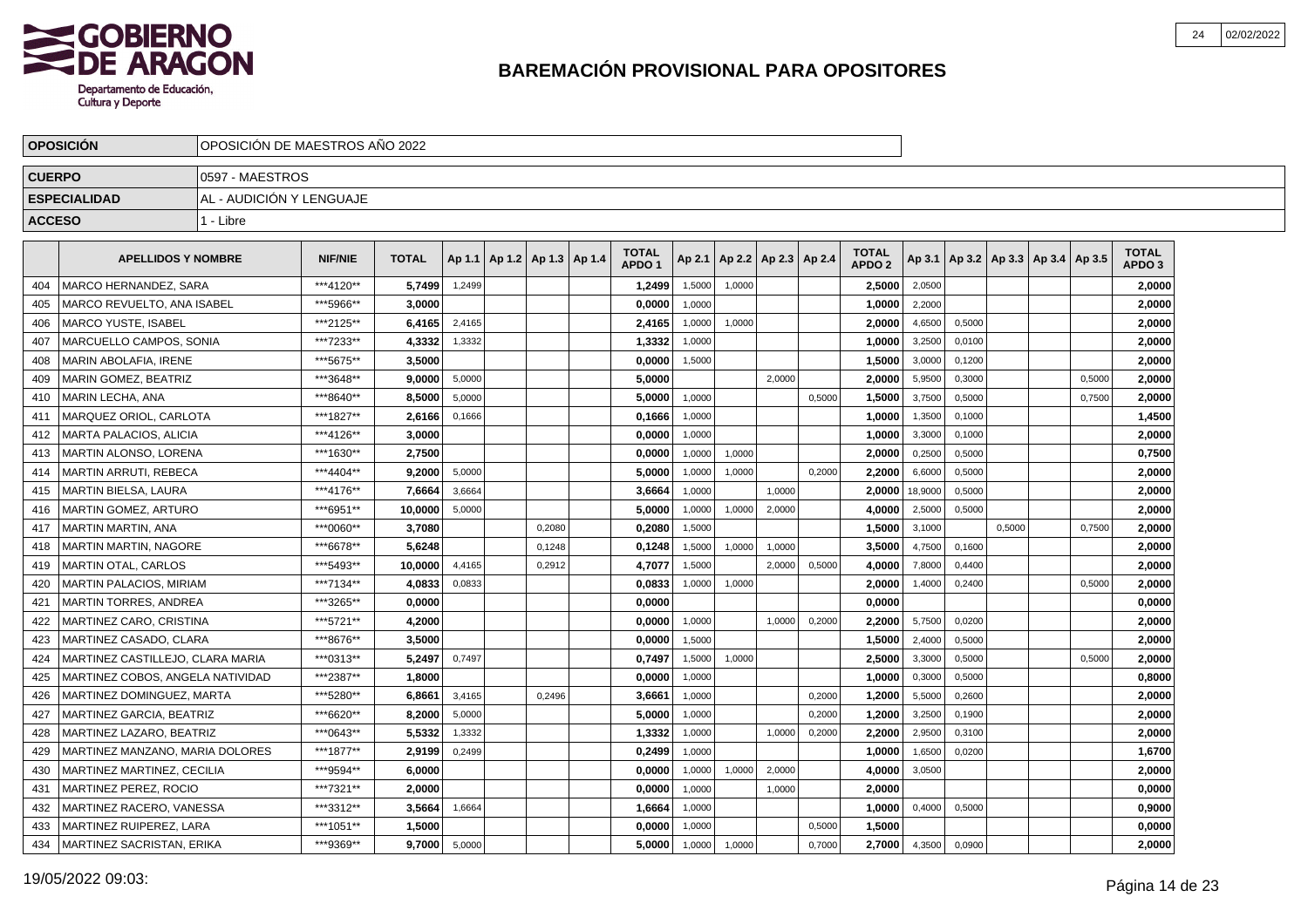

|               | <b>OPOSICION</b>                 | OPOSICION DE MAESTROS ANO 2022 |                |              |        |                                   |        |                                   |        |                          |        |        |                                   |         |        |                                   |        |                                   |  |
|---------------|----------------------------------|--------------------------------|----------------|--------------|--------|-----------------------------------|--------|-----------------------------------|--------|--------------------------|--------|--------|-----------------------------------|---------|--------|-----------------------------------|--------|-----------------------------------|--|
| <b>CUERPO</b> |                                  | 0597 - MAESTROS                |                |              |        |                                   |        |                                   |        |                          |        |        |                                   |         |        |                                   |        |                                   |  |
|               | <b>ESPECIALIDAD</b>              | AL - AUDICIÓN Y LENGUAJE       |                |              |        |                                   |        |                                   |        |                          |        |        |                                   |         |        |                                   |        |                                   |  |
| <b>ACCESO</b> |                                  | 1 - Libre                      |                |              |        |                                   |        |                                   |        |                          |        |        |                                   |         |        |                                   |        |                                   |  |
|               |                                  |                                |                |              |        |                                   |        |                                   |        |                          |        |        |                                   |         |        |                                   |        |                                   |  |
|               | <b>APELLIDOS Y NOMBRE</b>        |                                | <b>NIF/NIE</b> | <b>TOTAL</b> |        | Ap 1.1   Ap 1.2   Ap 1.3   Ap 1.4 |        | <b>TOTAL</b><br>APDO <sub>1</sub> | Ap 2.1 | Ap 2.2   Ap 2.3   Ap 2.4 |        |        | <b>TOTAL</b><br>APDO <sub>2</sub> | Ap 3.1  |        | Ap 3.2   Ap 3.3   Ap 3.4   Ap 3.5 |        | <b>TOTAL</b><br>APDO <sub>3</sub> |  |
| 404           | <b>MARCO HERNANDEZ, SARA</b>     |                                | ***4120**      | 5.7499       | 1,2499 |                                   |        | 1,2499                            | 1,5000 | 1,0000                   |        |        | 2.5000                            | 2,0500  |        |                                   |        | 2,0000                            |  |
| 405           | MARCO REVUELTO, ANA ISABEL       |                                | ***5966**      | 3.0000       |        |                                   |        | 0,0000                            | 1.0000 |                          |        |        | 1,0000                            | 2,2000  |        |                                   |        | 2,0000                            |  |
| 406           | <b>MARCO YUSTE, ISABEL</b>       |                                | ***2125**      | 6.4165       | 2,4165 |                                   |        | 2,4165                            | 1,0000 | 1,0000                   |        |        | 2.0000                            | 4,6500  | 0,5000 |                                   |        | 2,0000                            |  |
| 407           | MARCUELLO CAMPOS, SONIA          |                                | ***7233**      | 4,3332       | 1,3332 |                                   |        | 1,3332                            | 1,0000 |                          |        |        | 1,0000                            | 3,2500  | 0,0100 |                                   |        | 2,0000                            |  |
| 408           | MARIN ABOLAFIA, IRENE            |                                | ***5675**      | 3,5000       |        |                                   |        | 0,0000                            | 1,5000 |                          |        |        | 1,5000                            | 3,0000  | 0,1200 |                                   |        | 2,0000                            |  |
| 409           | <b>MARIN GOMEZ, BEATRIZ</b>      |                                | ***3648**      | 9.0000       | 5,0000 |                                   |        | 5.0000                            |        |                          | 2.0000 |        | 2.0000                            | 5,9500  | 0.3000 |                                   | 0,5000 | 2,0000                            |  |
| 410           | <b>MARIN LECHA, ANA</b>          |                                | ***8640**      | 8.5000       | 5,0000 |                                   |        | 5,0000                            | 1.0000 |                          |        | 0,5000 | 1,5000                            | 3,7500  | 0.5000 |                                   | 0,7500 | 2,0000                            |  |
| 411           | MARQUEZ ORIOL. CARLOTA           |                                | ***1827**      | 2,6166       | 0,1666 |                                   |        | 0,1666                            | 1,0000 |                          |        |        | 1,0000                            | 1,3500  | 0.1000 |                                   |        | 1,4500                            |  |
| 412           | MARTA PALACIOS, ALICIA           |                                | ***4126**      | 3,0000       |        |                                   |        | 0,0000                            | 1,0000 |                          |        |        | 1,0000                            | 3,3000  | 0,1000 |                                   |        | 2,0000                            |  |
| 413           | MARTIN ALONSO, LORENA            |                                | ***1630**      | 2,7500       |        |                                   |        | 0,0000                            | 1,0000 | 1,0000                   |        |        | 2,0000                            | 0,2500  | 0,5000 |                                   |        | 0,7500                            |  |
| 414           | <b>MARTIN ARRUTI, REBECA</b>     |                                | ***4404**      | 9,2000       | 5,0000 |                                   |        | 5,0000                            | 1,0000 | 1,0000                   |        | 0,2000 | 2,2000                            | 6,6000  | 0,5000 |                                   |        | 2,0000                            |  |
| 415           | MARTIN BIELSA, LAURA             |                                | ***4176**      | 7,6664       | 3,6664 |                                   |        | 3,6664                            | 1.0000 |                          | 1.0000 |        | 2.0000                            | 18,9000 | 0.5000 |                                   |        | 2,0000                            |  |
| 416           | <b>MARTIN GOMEZ, ARTURO</b>      |                                | ***6951**      | 10.0000      | 5,0000 |                                   |        | 5,0000                            | 1,0000 | 1,0000                   | 2,0000 |        | 4.0000                            | 2,5000  | 0.5000 |                                   |        | 2,0000                            |  |
| 417           | <b>MARTIN MARTIN, ANA</b>        |                                | ***0060**      | 3,7080       |        |                                   | 0,2080 | 0,2080                            | 1,5000 |                          |        |        | 1,5000                            | 3,1000  |        | 0,5000                            | 0,7500 | 2,0000                            |  |
| 418           | MARTIN MARTIN, NAGORE            |                                | ***6678**      | 5.6248       |        |                                   | 0,1248 | 0,1248                            | 1,5000 | 1,0000                   | 1,0000 |        | 3,5000                            | 4,7500  | 0,1600 |                                   |        | 2,0000                            |  |
| 419           | <b>MARTIN OTAL, CARLOS</b>       |                                | ***5493**      | 10.0000      | 4,4165 |                                   | 0,2912 | 4,7077                            | 1,5000 |                          | 2,0000 | 0,5000 | 4.0000                            | 7,8000  | 0,4400 |                                   |        | 2,0000                            |  |
| 420           | MARTIN PALACIOS, MIRIAM          |                                | ***7134**      | 4,0833       | 0,0833 |                                   |        | 0,0833                            | 1,0000 | 1,0000                   |        |        | 2,0000                            | 1,4000  | 0,2400 |                                   | 0,5000 | 2,0000                            |  |
| 421           | <b>MARTIN TORRES, ANDREA</b>     |                                | ***3265**      | 0.0000       |        |                                   |        | 0.0000                            |        |                          |        |        | 0.0000                            |         |        |                                   |        | 0.0000                            |  |
| 422           | <b>MARTINEZ CARO, CRISTINA</b>   |                                | ***5721**      | 4.2000       |        |                                   |        | 0.0000                            | 1,0000 |                          | 1,0000 | 0,2000 | 2.2000                            | 5,7500  | 0,0200 |                                   |        | 2,0000                            |  |
| 423           | MARTINEZ CASADO, CLARA           |                                | ***8676**      | 3.5000       |        |                                   |        | 0,0000                            | 1,5000 |                          |        |        | 1,5000                            | 2,4000  | 0,5000 |                                   |        | 2,0000                            |  |
| 424           | MARTINEZ CASTILLEJO, CLARA MARIA |                                | ***0313**      | 5,2497       | 0,7497 |                                   |        | 0,7497                            | 1,5000 | 1,0000                   |        |        | 2,5000                            | 3,3000  | 0,5000 |                                   | 0,5000 | 2,0000                            |  |
| 425           | MARTINEZ COBOS, ANGELA NATIVIDAD |                                | ***2387**      | 1,8000       |        |                                   |        | 0,0000                            | 1,0000 |                          |        |        | 1,0000                            | 0,3000  | 0,5000 |                                   |        | 0,8000                            |  |
| 426           | MARTINEZ DOMINGUEZ, MARTA        |                                | ***5280**      | 6,8661       | 3,4165 |                                   | 0,2496 | 3,6661                            | 1,0000 |                          |        | 0,2000 | 1,2000                            | 5,5000  | 0,2600 |                                   |        | 2,0000                            |  |
| 427           | MARTINEZ GARCIA, BEATRIZ         |                                | ***6620**      | 8.2000       | 5,0000 |                                   |        | 5.0000                            | 1,0000 |                          |        | 0,2000 | 1.2000                            | 3,2500  | 0,1900 |                                   |        | 2,0000                            |  |
| 428           | MARTINEZ LAZARO. BEATRIZ         |                                | ***0643**      | 5.5332       | 1,3332 |                                   |        | 1,3332                            | 1,0000 |                          | 1,0000 | 0,2000 | 2.2000                            | 2,9500  | 0,3100 |                                   |        | 2,0000                            |  |
| 429           | MARTINEZ MANZANO, MARIA DOLORES  |                                | ***1877**      | 2,9199       | 0,2499 |                                   |        | 0,2499                            | 1,0000 |                          |        |        | 1.0000                            | 1,6500  | 0,0200 |                                   |        | 1,6700                            |  |
| 430           | MARTINEZ MARTINEZ, CECILIA       |                                | ***9594**      | 6,0000       |        |                                   |        | 0,0000                            | 1,0000 | 1,0000                   | 2,0000 |        | 4,0000                            | 3,0500  |        |                                   |        | 2,0000                            |  |
| 431           | MARTINEZ PEREZ, ROCIO            |                                | ***7321**      | 2,0000       |        |                                   |        | 0,0000                            | 1,0000 |                          | 1,0000 |        | 2,0000                            |         |        |                                   |        | 0,0000                            |  |
| 432           | MARTINEZ RACERO, VANESSA         |                                | ***3312**      | 3,5664       | 1,6664 |                                   |        | 1,6664                            | 1,0000 |                          |        |        | 1,0000                            | 0,4000  | 0,5000 |                                   |        | 0,9000                            |  |
| 433           | MARTINEZ RUIPEREZ. LARA          |                                | ***1051**      | 1.5000       |        |                                   |        | 0.0000                            | 1,0000 |                          |        | 0,5000 | 1.5000                            |         |        |                                   |        | 0,0000                            |  |
| 434           | MARTINEZ SACRISTAN, ERIKA        |                                | ***9369**      | 9,7000       | 5,0000 |                                   |        | 5,0000                            | 1,0000 | 1,0000                   |        | 0,7000 | 2,7000                            | 4,3500  | 0,0900 |                                   |        | 2,0000                            |  |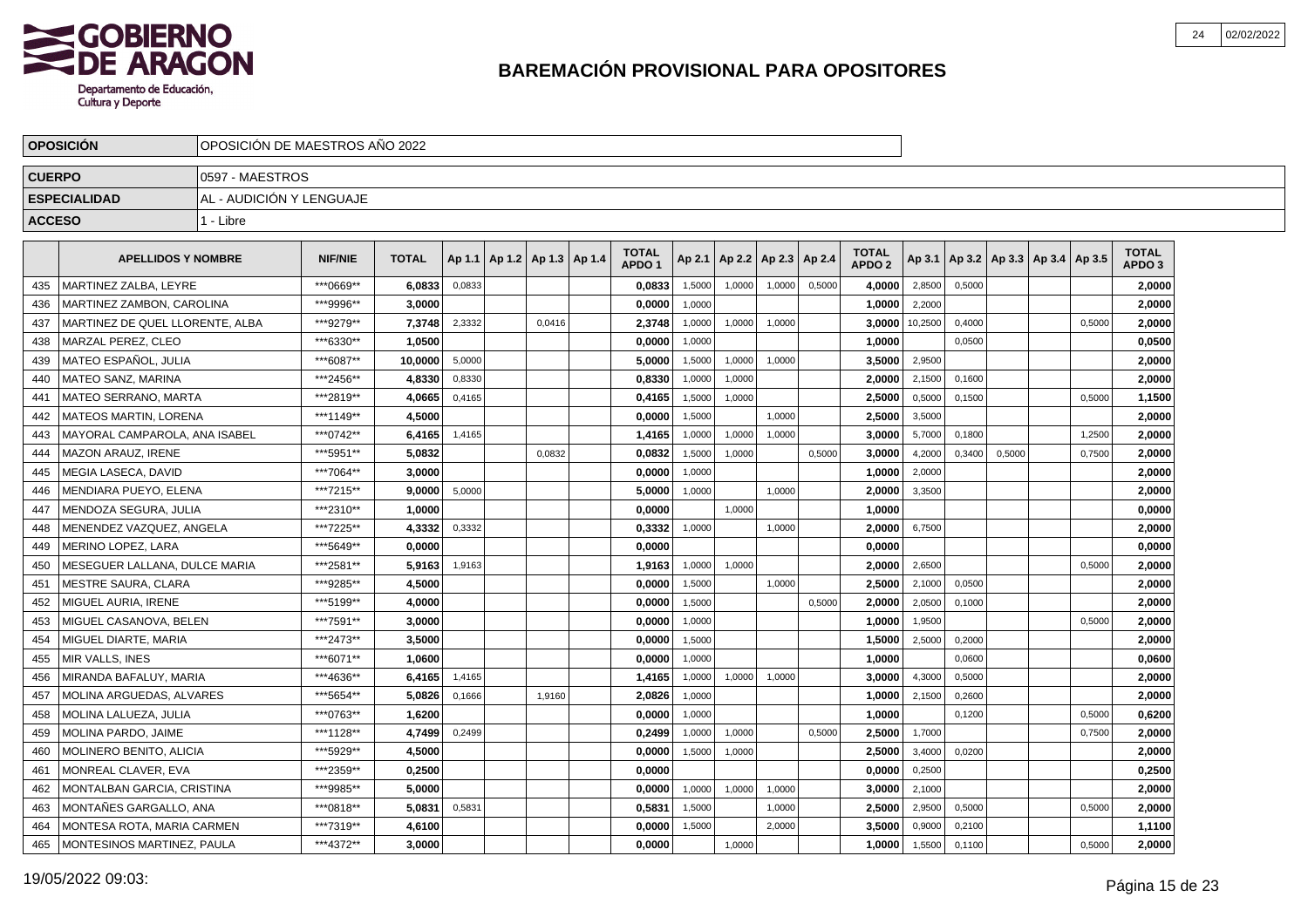

|               | <b>OPOSICION</b>                  | OPOSICION DE MAESTROS ANO 2022 |                                                                                                                            |              |        |  |                                   |  |                                   |        |        |                          |        |                                   |         |                  |                                   |        |                                   |  |
|---------------|-----------------------------------|--------------------------------|----------------------------------------------------------------------------------------------------------------------------|--------------|--------|--|-----------------------------------|--|-----------------------------------|--------|--------|--------------------------|--------|-----------------------------------|---------|------------------|-----------------------------------|--------|-----------------------------------|--|
| <b>CUERPO</b> |                                   | 0597 - MAESTROS                |                                                                                                                            |              |        |  |                                   |  |                                   |        |        |                          |        |                                   |         |                  |                                   |        |                                   |  |
|               | <b>ESPECIALIDAD</b>               | AL - AUDICIÓN Y LENGUAJE       |                                                                                                                            |              |        |  |                                   |  |                                   |        |        |                          |        |                                   |         |                  |                                   |        |                                   |  |
| <b>ACCESO</b> |                                   | 1 - Libre                      |                                                                                                                            |              |        |  |                                   |  |                                   |        |        |                          |        |                                   |         |                  |                                   |        |                                   |  |
|               | <b>APELLIDOS Y NOMBRE</b>         |                                | <b>NIF/NIE</b>                                                                                                             | <b>TOTAL</b> |        |  | Ap 1.1   Ap 1.2   Ap 1.3   Ap 1.4 |  | <b>TOTAL</b><br>APDO <sub>1</sub> | Ap 2.1 |        | Ap 2.2   Ap 2.3   Ap 2.4 |        | <b>TOTAL</b><br>APDO <sub>2</sub> | Ap 3.1  |                  | Ap 3.2   Ap 3.3   Ap 3.4   Ap 3.5 |        | <b>TOTAL</b><br>APDO <sub>3</sub> |  |
| 435           | MARTINEZ ZALBA. LEYRE             |                                | ***0669**                                                                                                                  | 6,0833       | 0,0833 |  |                                   |  | 0,0833                            | 1,5000 | 1,0000 | 1.0000                   | 0,5000 | 4.0000                            | 2,8500  | 0,5000           |                                   |        | 2,0000                            |  |
| 436           | MARTINEZ ZAMBON, CAROLINA         |                                | ***9996**                                                                                                                  | 3,0000       |        |  |                                   |  | 0,0000                            | 1,0000 |        |                          |        | 1,0000                            | 2,2000  |                  |                                   |        | 2,0000                            |  |
| 437           | MARTINEZ DE QUEL LLORENTE, ALBA   |                                | ***9279**                                                                                                                  | 7,3748       | 2,3332 |  | 0,0416                            |  | 2,3748                            | 1,0000 | 1,0000 | 1,0000                   |        | 3,0000                            | 10,2500 | 0,4000           |                                   | 0,5000 | 2,0000                            |  |
| 438           | MARZAL PEREZ. CLEO                |                                | ***6330**                                                                                                                  | 1,0500       |        |  |                                   |  | 0,0000                            | 1,0000 |        |                          |        | 1,0000                            |         | 0,0500           |                                   |        | 0,0500                            |  |
| 439           | MATEO ESPAÑOL, JULIA              |                                | ***6087**                                                                                                                  | 10,0000      | 5,0000 |  |                                   |  | 5,0000                            | 1,5000 | 1,0000 | 1,0000                   |        | 3,5000                            | 2,9500  |                  |                                   |        | 2,0000                            |  |
| 440           | <b>MATEO SANZ, MARINA</b>         |                                | ***2456**<br>4.8330<br>0,8330<br>0.8330<br>1,0000<br>1,0000<br>***2819**<br>0,4165<br>4.0665<br>0,4165<br>1,5000<br>1,0000 |              |        |  |                                   |  |                                   |        |        |                          |        |                                   |         | 2,1500<br>0.1600 |                                   |        | 2.0000                            |  |
| 441           | <b>MATEO SERRANO, MARTA</b>       |                                | ***1149**<br>4,5000<br>0,0000<br>1,5000<br>1,0000                                                                          |              |        |  |                                   |  |                                   |        |        |                          |        |                                   |         | 0,1500           |                                   | 0,5000 | 1,1500                            |  |
| 442           | <b>MATEOS MARTIN, LORENA</b>      |                                |                                                                                                                            |              |        |  |                                   |  |                                   |        |        |                          |        | 2,5000                            | 3,5000  |                  |                                   |        | 2,0000                            |  |
| 443           | MAYORAL CAMPAROLA, ANA ISABEL     |                                | ***0742**<br>1,4165<br>1,0000<br>1,0000<br>6,4165<br>1,4165<br>1,0000                                                      |              |        |  |                                   |  |                                   |        |        |                          |        |                                   |         | 0,1800           |                                   | 1,2500 | 2,0000                            |  |
| 444           | MAZON ARAUZ, IRENE                |                                | ***5951**<br>5,0832<br>0,0832<br>0,0832<br>1,5000<br>1,0000<br>0,5000                                                      |              |        |  |                                   |  |                                   |        |        |                          |        |                                   |         |                  | 0,3400<br>0,5000                  | 0,7500 | 2,0000                            |  |
| 445           | MEGIA LASECA, DAVID               |                                | ***7064**                                                                                                                  | 3,0000       |        |  |                                   |  | 0,0000                            | 1,0000 |        |                          |        | 1,0000                            | 2,0000  |                  |                                   |        | 2,0000                            |  |
| 446           | MENDIARA PUEYO, ELENA             |                                | ***7215**                                                                                                                  | 9,0000       | 5,0000 |  |                                   |  | 5,0000                            | 1,0000 |        | 1.0000                   |        | 2,0000                            | 3,3500  |                  |                                   |        | 2,0000                            |  |
| 447           | MENDOZA SEGURA, JULIA             |                                | ***2310**                                                                                                                  | 1,0000       |        |  |                                   |  | 0,0000                            |        | 1.0000 |                          |        | 1,0000                            |         |                  |                                   |        | 0,0000                            |  |
| 448           | MENENDEZ VAZQUEZ. ANGELA          |                                | ***7225**                                                                                                                  | 4,3332       | 0,3332 |  |                                   |  | 0,3332                            | 1,0000 |        | 1,0000                   |        | 2,0000                            | 6,7500  |                  |                                   |        | 2,0000                            |  |
| 449           | <b>MERINO LOPEZ, LARA</b>         |                                | ***5649**                                                                                                                  | 0,0000       |        |  |                                   |  | 0,0000                            |        |        |                          |        | 0,0000                            |         |                  |                                   |        | 0,0000                            |  |
| 450           | MESEGUER LALLANA, DULCE MARIA     |                                | ***2581**                                                                                                                  | 5,9163       | 1,9163 |  |                                   |  | 1,9163                            | 1,0000 | 1,0000 |                          |        | 2,0000                            | 2,6500  |                  |                                   | 0,5000 | 2,0000                            |  |
| 451           | <b>MESTRE SAURA, CLARA</b>        |                                | ***9285**                                                                                                                  | 4,5000       |        |  |                                   |  | 0,0000                            | 1,5000 |        | 1,0000                   |        | 2,5000                            | 2,1000  | 0,0500           |                                   |        | 2,0000                            |  |
| 452           | MIGUEL AURIA. IRENE               |                                | ***5199**                                                                                                                  | 4.0000       |        |  |                                   |  | 0.0000                            | 1,5000 |        |                          | 0,5000 | 2.0000                            | 2,0500  | 0.1000           |                                   |        | 2,0000                            |  |
| 453           | MIGUEL CASANOVA. BELEN            |                                | ***7591**                                                                                                                  | 3.0000       |        |  |                                   |  | 0.0000                            | 1,0000 |        |                          |        | 1.0000                            | 1,9500  |                  |                                   | 0,5000 | 2,0000                            |  |
| 454           | MIGUEL DIARTE, MARIA              |                                | ***2473**                                                                                                                  | 3,5000       |        |  |                                   |  | 0,0000                            | 1,5000 |        |                          |        | 1,5000                            | 2,5000  | 0,2000           |                                   |        | 2,0000                            |  |
| 455           | <b>MIR VALLS, INES</b>            |                                | ***6071**                                                                                                                  | 1.0600       |        |  |                                   |  | 0,0000                            | 1,0000 |        |                          |        | 1,0000                            |         | 0,0600           |                                   |        | 0,0600                            |  |
| 456           | MIRANDA BAFALUY, MARIA            |                                | ***4636**                                                                                                                  | 6,4165       | 1,4165 |  |                                   |  | 1,4165                            | 1,0000 | 1,0000 | 1,0000                   |        | 3,0000                            | 4,3000  | 0,5000           |                                   |        | 2,0000                            |  |
| 457           | MOLINA ARGUEDAS, ALVARES          |                                | ***5654**                                                                                                                  | 5,0826       | 0,1666 |  | 1,9160                            |  | 2,0826                            | 1,0000 |        |                          |        | 1,0000                            | 2,1500  | 0,2600           |                                   |        | 2,0000                            |  |
| 458           | MOLINA LALUEZA, JULIA             |                                | ***0763**                                                                                                                  | 1.6200       |        |  |                                   |  | 0.0000                            | 1,0000 |        |                          |        | 1.0000                            |         | 0,1200           |                                   | 0,5000 | 0,6200                            |  |
| 459           | MOLINA PARDO, JAIME               |                                | ***1128**                                                                                                                  | 4,7499       | 0,2499 |  |                                   |  | 0.2499                            | 1,0000 | 1,0000 |                          | 0,5000 | 2,5000                            | 1,7000  |                  |                                   | 0,7500 | 2,0000                            |  |
| 460           | MOLINERO BENITO, ALICIA           |                                | ***5929**                                                                                                                  | 4,5000       |        |  |                                   |  | 0,0000                            | 1,5000 | 1,0000 |                          |        | 2,5000                            | 3,4000  | 0,0200           |                                   |        | 2,0000                            |  |
| 461           | MONREAL CLAVER, EVA               |                                | ***2359**                                                                                                                  | 0,2500       |        |  |                                   |  | 0,0000                            |        |        |                          |        | 0,0000                            | 0,2500  |                  |                                   |        | 0,2500                            |  |
| 462           | MONTALBAN GARCIA, CRISTINA        |                                | ***9985**                                                                                                                  | 5,0000       |        |  |                                   |  | 0,0000                            | 1,0000 | 1,0000 | 1,0000                   |        | 3,0000                            | 2,1000  |                  |                                   |        | 2,0000                            |  |
| 463           | MONTAÑES GARGALLO, ANA            |                                | ***0818**                                                                                                                  | 5,0831       | 0,5831 |  |                                   |  | 0,5831                            | 1,5000 |        | 1,0000                   |        | 2,5000                            | 2,9500  | 0,5000           |                                   | 0,5000 | 2,0000                            |  |
| 464           | <b>MONTESA ROTA, MARIA CARMEN</b> |                                | ***7319**                                                                                                                  | 4,6100       |        |  |                                   |  | 0,0000                            | 1,5000 |        | 2,0000                   |        | 3.5000                            | 0,9000  | 0,2100           |                                   |        | 1,1100                            |  |
| 465           | IMONTESINOS MARTINEZ. PAULA       |                                | ***4372**                                                                                                                  | 3.0000       |        |  |                                   |  | 0,0000                            |        | 1,0000 |                          |        | 1,0000                            | 1,5500  | 0,1100           |                                   | 0,5000 | 2,0000                            |  |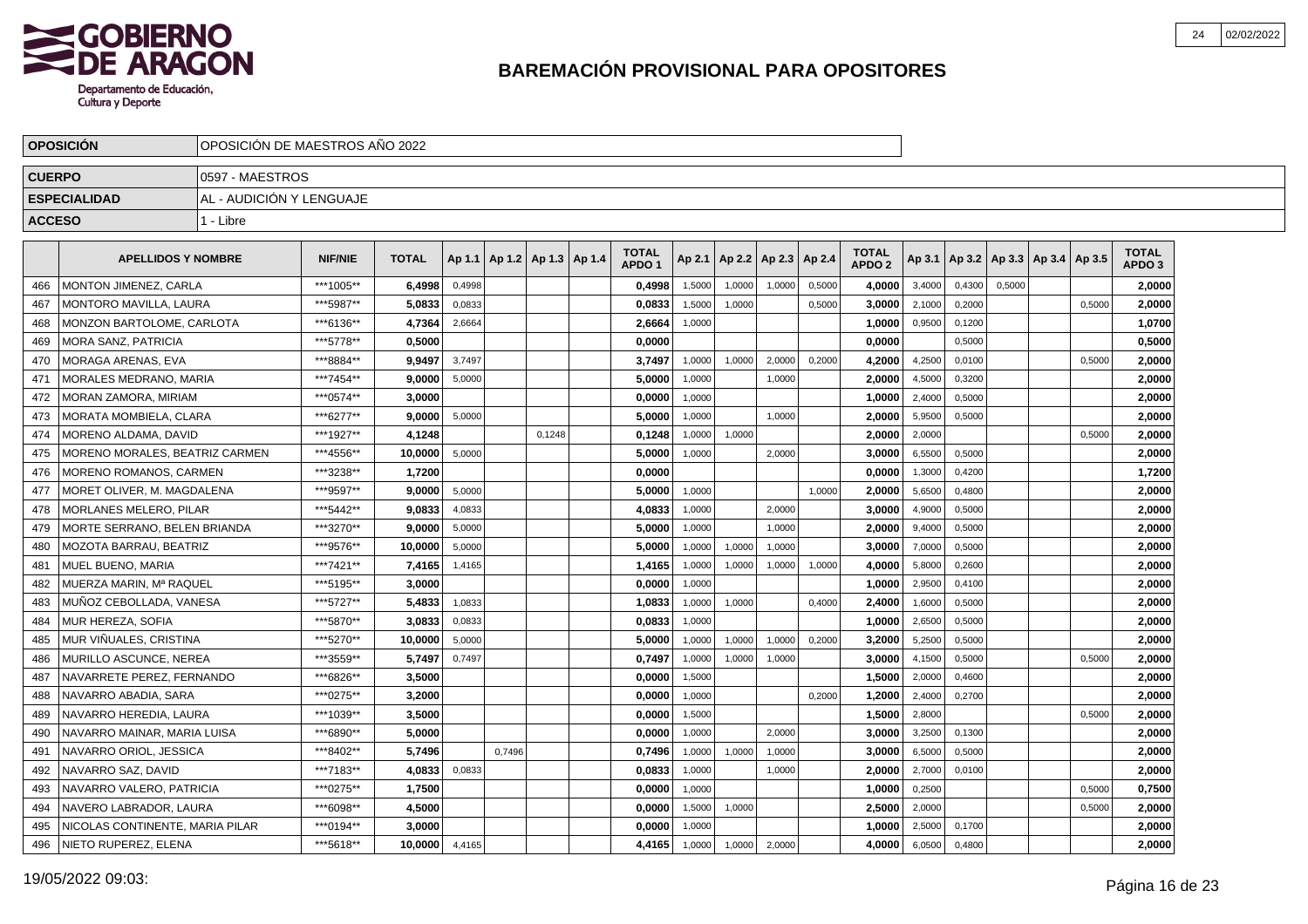

|               | <b>OPOSICION</b>                | OPOSICION DE MAESTROS ANO 2022 |                |              |        |                                   |        |                                   |        |                          |        |        |                                   |        |        |        |                                   |        |                                   |  |
|---------------|---------------------------------|--------------------------------|----------------|--------------|--------|-----------------------------------|--------|-----------------------------------|--------|--------------------------|--------|--------|-----------------------------------|--------|--------|--------|-----------------------------------|--------|-----------------------------------|--|
| <b>CUERPO</b> |                                 | 10597 - MAESTROS               |                |              |        |                                   |        |                                   |        |                          |        |        |                                   |        |        |        |                                   |        |                                   |  |
|               | <b>ESPECIALIDAD</b>             | AL - AUDICIÓN Y LENGUAJE       |                |              |        |                                   |        |                                   |        |                          |        |        |                                   |        |        |        |                                   |        |                                   |  |
| <b>ACCESO</b> |                                 | 1 - Libre                      |                |              |        |                                   |        |                                   |        |                          |        |        |                                   |        |        |        |                                   |        |                                   |  |
|               |                                 |                                |                |              |        |                                   |        |                                   |        |                          |        |        |                                   |        |        |        |                                   |        |                                   |  |
|               | <b>APELLIDOS Y NOMBRE</b>       |                                | <b>NIF/NIE</b> | <b>TOTAL</b> |        | Ap 1.1   Ap 1.2   Ap 1.3   Ap 1.4 |        | <b>TOTAL</b><br>APDO <sub>1</sub> | Ap 2.1 | Ap 2.2   Ap 2.3   Ap 2.4 |        |        | <b>TOTAL</b><br>APDO <sub>2</sub> | Ap 3.1 |        |        | Ap 3.2   Ap 3.3   Ap 3.4   Ap 3.5 |        | <b>TOTAL</b><br>APDO <sub>3</sub> |  |
| 466           | MONTON JIMENEZ, CARLA           |                                | ***1005**      | 6,4998       | 0,4998 |                                   |        | 0,4998                            | 1,5000 | 1,0000                   | 1.0000 | 0,5000 | 4.0000                            | 3,4000 | 0,4300 | 0.5000 |                                   |        | 2,0000                            |  |
| 467           | MONTORO MAVILLA, LAURA          |                                | ***5987**      | 5,0833       | 0,0833 |                                   |        | 0,0833                            | 1,5000 | 1,0000                   |        | 0,5000 | 3.0000                            | 2,1000 | 0,2000 |        |                                   | 0,5000 | 2,0000                            |  |
| 468           | MONZON BARTOLOME, CARLOTA       |                                | ***6136**      | 4,7364       | 2,6664 |                                   |        | 2,6664                            | 1,0000 |                          |        |        | 1,0000                            | 0,9500 | 0,1200 |        |                                   |        | 1,0700                            |  |
| 469           | <b>MORA SANZ, PATRICIA</b>      |                                | ***5778**      | 0.5000       |        |                                   |        | 0.0000                            |        |                          |        |        | 0,0000                            |        | 0,5000 |        |                                   |        | 0,5000                            |  |
| 470           | MORAGA ARENAS, EVA              |                                | ***8884**      | 9,9497       | 3,7497 |                                   |        | 3,7497                            | 1,0000 | 1,0000                   | 2,0000 | 0,2000 | 4,2000                            | 4,2500 | 0,0100 |        |                                   | 0,5000 | 2,0000                            |  |
| 471           | <b>MORALES MEDRANO, MARIA</b>   |                                | ***7454**      | 9.0000       | 5,0000 |                                   |        | 5.0000                            | 1,0000 |                          | 1,0000 |        | 2.0000                            | 4,5000 | 0,3200 |        |                                   |        | 2,0000                            |  |
| 472           | <b>MORAN ZAMORA, MIRIAM</b>     |                                | ***0574**      | 3.0000       |        |                                   |        | 0,0000                            | 1,0000 |                          |        |        | 1.0000                            | 2,4000 | 0,5000 |        |                                   |        | 2,0000                            |  |
| 473           | <b>MORATA MOMBIELA, CLARA</b>   |                                | ***6277**      | 9,0000       | 5,0000 |                                   |        | 5,0000                            | 1,0000 |                          | 1,0000 |        | 2,0000                            | 5,9500 | 0,5000 |        |                                   |        | 2,0000                            |  |
| 474           | MORENO ALDAMA. DAVID            |                                | ***1927**      | 4,1248       |        |                                   | 0,1248 | 0,1248                            | 1,0000 | 1,0000                   |        |        | 2,0000                            | 2,0000 |        |        |                                   | 0,5000 | 2,0000                            |  |
| 475           | MORENO MORALES, BEATRIZ CARMEN  |                                | ***4556**      | 10,0000      | 5,0000 |                                   |        | 5,0000                            | 1,0000 |                          | 2,0000 |        | 3,0000                            | 6,5500 | 0,5000 |        |                                   |        | 2,0000                            |  |
| 476           | MORENO ROMANOS, CARMEN          |                                | ***3238**      | 1,7200       |        |                                   |        | 0,0000                            |        |                          |        |        | 0,0000                            | 1,3000 | 0,4200 |        |                                   |        | 1,7200                            |  |
| 477           | MORET OLIVER. M. MAGDALENA      |                                | ***9597**      | 9,0000       | 5,0000 |                                   |        | 5,0000                            | 1.0000 |                          |        | 1.0000 | 2,0000                            | 5,6500 | 0,4800 |        |                                   |        | 2,0000                            |  |
| 478           | <b>MORLANES MELERO, PILAR</b>   |                                | *** 5442**     | 9,0833       | 4,0833 |                                   |        | 4,0833                            | 1,0000 |                          | 2.0000 |        | 3,0000                            | 4,9000 | 0,5000 |        |                                   |        | 2,0000                            |  |
| 479           | MORTE SERRANO. BELEN BRIANDA    |                                | ***3270**      | 9.0000       | 5,0000 |                                   |        | 5.0000                            | 1,0000 |                          | 1,0000 |        | 2,0000                            | 9,4000 | 0,5000 |        |                                   |        | 2,0000                            |  |
| 480           | MOZOTA BARRAU, BEATRIZ          |                                | ***9576**      | 10,0000      | 5,0000 |                                   |        | 5,0000                            | 1,0000 | 1,0000                   | 1,0000 |        | 3,0000                            | 7,0000 | 0,5000 |        |                                   |        | 2,0000                            |  |
| 481           | MUEL BUENO, MARIA               |                                | ***7421**      | 7,4165       | 1,4165 |                                   |        | 1,4165                            | 1,0000 | 1,0000                   | 1,0000 | 1,0000 | 4,0000                            | 5,8000 | 0,2600 |        |                                   |        | 2,0000                            |  |
| 482           | MUERZA MARIN, Mª RAQUEL         |                                | ***5195**      | 3,0000       |        |                                   |        | 0,0000                            | 1,0000 |                          |        |        | 1,0000                            | 2,9500 | 0,4100 |        |                                   |        | 2,0000                            |  |
| 483           | MUÑOZ CEBOLLADA, VANESA         |                                | ***5727**      | 5.4833       | 1.0833 |                                   |        | 1.0833                            | 1.0000 | 1,0000                   |        | 0.4000 | 2.4000                            | 1,6000 | 0.5000 |        |                                   |        | 2,0000                            |  |
| 484           | MUR HEREZA, SOFIA               |                                | ***5870**      | 3.0833       | 0,0833 |                                   |        | 0.0833                            | 1,0000 |                          |        |        | 1.0000                            | 2,6500 | 0,5000 |        |                                   |        | 2.0000                            |  |
| 485           | MUR VIÑUALES, CRISTINA          |                                | ***5270**      | 10,0000      | 5,0000 |                                   |        | 5,0000                            | 1,0000 | 1,0000                   | 1,0000 | 0,2000 | 3,2000                            | 5,2500 | 0,5000 |        |                                   |        | 2,0000                            |  |
| 486           | MURILLO ASCUNCE, NEREA          |                                | ***3559**      | 5,7497       | 0,7497 |                                   |        | 0,7497                            | 1,0000 | 1,0000                   | 1,0000 |        | 3,0000                            | 4,1500 | 0,5000 |        |                                   | 0,5000 | 2,0000                            |  |
| 487           | NAVARRETE PEREZ, FERNANDO       |                                | ***6826**      | 3,5000       |        |                                   |        | 0,0000                            | 1,5000 |                          |        |        | 1,5000                            | 2,0000 | 0,4600 |        |                                   |        | 2,0000                            |  |
| 488           | NAVARRO ABADIA, SARA            |                                | ***0275**      | 3,2000       |        |                                   |        | 0,0000                            | 1,0000 |                          |        | 0,2000 | 1,2000                            | 2,4000 | 0,2700 |        |                                   |        | 2,0000                            |  |
| 489           | NAVARRO HEREDIA, LAURA          |                                | ***1039**      | 3.5000       |        |                                   |        | 0.0000                            | 1,5000 |                          |        |        | 1,5000                            | 2,8000 |        |        |                                   | 0,5000 | 2.0000                            |  |
| 490           | NAVARRO MAINAR, MARIA LUISA     |                                | ***6890**      | 5.0000       |        |                                   |        | 0,0000                            | 1,0000 |                          | 2.0000 |        | 3.0000                            | 3,2500 | 0,1300 |        |                                   |        | 2,0000                            |  |
| 491           | NAVARRO ORIOL. JESSICA          |                                | ***8402**      | 5.7496       |        | 0.7496                            |        | 0,7496                            | 1,0000 | 1,0000                   | 1,0000 |        | 3.0000                            | 6,5000 | 0,5000 |        |                                   |        | 2,0000                            |  |
| 492           | NAVARRO SAZ, DAVID              |                                | ***7183**      | 4,0833       | 0,0833 |                                   |        | 0,0833                            | 1,0000 |                          | 1,0000 |        | 2,0000                            | 2,7000 | 0,0100 |        |                                   |        | 2,0000                            |  |
| 493           | NAVARRO VALERO, PATRICIA        |                                | ***0275**      | 1,7500       |        |                                   |        | 0,0000                            | 1,0000 |                          |        |        | 1,0000                            | 0,2500 |        |        |                                   | 0,5000 | 0,7500                            |  |
| 494           | NAVERO LABRADOR, LAURA          |                                | ***6098**      | 4,5000       |        |                                   |        | 0,0000                            | 1,5000 | 1,0000                   |        |        | 2,5000                            | 2,0000 |        |        |                                   | 0,5000 | 2,0000                            |  |
| 495           | NICOLAS CONTINENTE. MARIA PILAR |                                | ***0194**      | 3.0000       |        |                                   |        | 0.0000                            | 1,0000 |                          |        |        | 1.0000                            | 2,5000 | 0,1700 |        |                                   |        | 2.0000                            |  |
| 496           | INIETO RUPEREZ. ELENA           |                                | ***5618**      | 10,0000      | 4,4165 |                                   |        | 4,4165                            | 1,0000 | 1,0000                   | 2,0000 |        | 4.0000                            | 6,0500 | 0,4800 |        |                                   |        | 2,0000                            |  |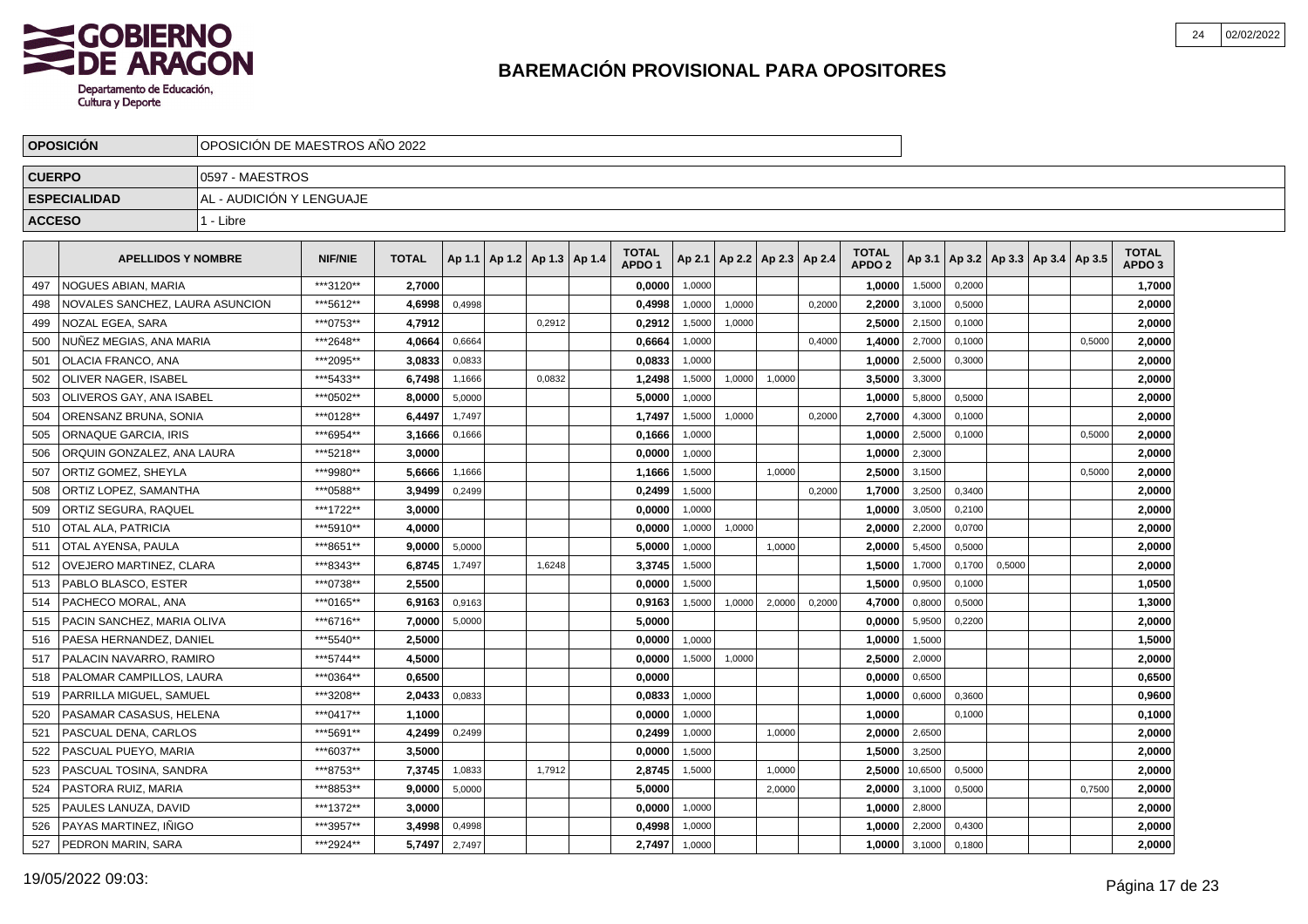

|               | <b>OPOSICION</b>                | OPOSICIÓN DE MAESTROS AÑO 2022 |                |              |        |                                   |        |                                   |        |                          |        |        |                                   |         |        |        |                                   |        |                                   |  |
|---------------|---------------------------------|--------------------------------|----------------|--------------|--------|-----------------------------------|--------|-----------------------------------|--------|--------------------------|--------|--------|-----------------------------------|---------|--------|--------|-----------------------------------|--------|-----------------------------------|--|
| <b>CUERPO</b> |                                 | 10597 - MAESTROS               |                |              |        |                                   |        |                                   |        |                          |        |        |                                   |         |        |        |                                   |        |                                   |  |
|               | <b>ESPECIALIDAD</b>             | AL - AUDICIÓN Y LENGUAJE       |                |              |        |                                   |        |                                   |        |                          |        |        |                                   |         |        |        |                                   |        |                                   |  |
| <b>ACCESO</b> |                                 | 1 - Libre                      |                |              |        |                                   |        |                                   |        |                          |        |        |                                   |         |        |        |                                   |        |                                   |  |
|               |                                 |                                |                |              |        |                                   |        |                                   |        |                          |        |        |                                   |         |        |        |                                   |        |                                   |  |
|               | <b>APELLIDOS Y NOMBRE</b>       |                                | <b>NIF/NIE</b> | <b>TOTAL</b> |        | Ap 1.1   Ap 1.2   Ap 1.3   Ap 1.4 |        | <b>TOTAL</b><br>APDO <sub>1</sub> | Ap 2.1 | Ap 2.2   Ap 2.3   Ap 2.4 |        |        | <b>TOTAL</b><br>APDO <sub>2</sub> | Ap 3.1  |        |        | Ap 3.2   Ap 3.3   Ap 3.4   Ap 3.5 |        | <b>TOTAL</b><br>APDO <sub>3</sub> |  |
| 497           | NOGUES ABIAN. MARIA             |                                | ***3120**      | 2.7000       |        |                                   |        | 0,0000                            | 1,0000 |                          |        |        | 1,0000                            | 1,5000  | 0,2000 |        |                                   |        | 1,7000                            |  |
| 498           | NOVALES SANCHEZ, LAURA ASUNCION |                                | ***5612**      | 4,6998       | 0,4998 |                                   |        | 0,4998                            | 1,0000 | 1,0000                   |        | 0.2000 | 2,2000                            | 3,1000  | 0,5000 |        |                                   |        | 2,0000                            |  |
| 499           | NOZAL EGEA, SARA                |                                | ***0753**      | 4,7912       |        |                                   | 0,2912 | 0,2912                            | 1,5000 | 1,0000                   |        |        | 2,5000                            | 2,1500  | 0,1000 |        |                                   |        | 2,0000                            |  |
| 500           | NUÑEZ MEGIAS, ANA MARIA         |                                | ***2648**      | 4,0664       | 0,6664 |                                   |        | 0,6664                            | 1,0000 |                          |        | 0,4000 | 1,4000                            | 2,7000  | 0,1000 |        |                                   | 0,5000 | 2,0000                            |  |
| 501           | <b>OLACIA FRANCO, ANA</b>       |                                | ***2095**      | 3,0833       | 0,0833 |                                   |        | 0,0833                            | 1,0000 |                          |        |        | 1,0000                            | 2,5000  | 0,3000 |        |                                   |        | 2,0000                            |  |
| 502           | OLIVER NAGER. ISABEL            |                                | ***5433**      | 6.7498       | 1,1666 |                                   | 0.0832 | 1.2498                            | 1,5000 | 1,0000                   | 1,0000 |        | 3.5000                            | 3,3000  |        |        |                                   |        | 2,0000                            |  |
| 503           | OLIVEROS GAY. ANA ISABEL        |                                | ***0502**      | 8.0000       | 5,0000 |                                   |        | 5.0000                            | 1.0000 |                          |        |        | 1.0000                            | 5,8000  | 0,5000 |        |                                   |        | 2,0000                            |  |
| 504           | ORENSANZ BRUNA, SONIA           |                                | ***0128**      | 6,4497       | 1,7497 |                                   |        | 1,7497                            | 1,5000 | 1,0000                   |        | 0,2000 | 2,7000                            | 4,3000  | 0,1000 |        |                                   |        | 2,0000                            |  |
| 505           | ORNAQUE GARCIA. IRIS            |                                | ***6954**      | 3,1666       | 0,1666 |                                   |        | 0,1666                            | 1,0000 |                          |        |        | 1,0000                            | 2,5000  | 0,1000 |        |                                   | 0,5000 | 2,0000                            |  |
| 506           | ORQUIN GONZALEZ, ANA LAURA      |                                | ***5218**      | 3,0000       |        |                                   |        | 0,0000                            | 1,0000 |                          |        |        | 1,0000                            | 2,3000  |        |        |                                   |        | 2,0000                            |  |
| 507           | <b>ORTIZ GOMEZ, SHEYLA</b>      |                                | ***9980**      | 5,6666       | 1,1666 |                                   |        | 1,1666                            | 1,5000 |                          | 1,0000 |        | 2,5000                            | 3,1500  |        |        |                                   | 0,5000 | 2,0000                            |  |
| 508           | ORTIZ LOPEZ, SAMANTHA           |                                | *** 0588**     | 3,9499       | 0,2499 |                                   |        | 0,2499                            | 1,5000 |                          |        | 0.2000 | 1,7000                            | 3,2500  | 0.3400 |        |                                   |        | 2,0000                            |  |
| 509           | ORTIZ SEGURA, RAQUEL            |                                | ***1722**      | 3,0000       |        |                                   |        | 0,0000                            | 1.0000 |                          |        |        | 1,0000                            | 3,0500  | 0,2100 |        |                                   |        | 2,0000                            |  |
| 510           | <b>OTAL ALA, PATRICIA</b>       |                                | ***5910**      | 4.0000       |        |                                   |        | 0.0000                            | 1,0000 | 1,0000                   |        |        | 2,0000                            | 2,2000  | 0,0700 |        |                                   |        | 2,0000                            |  |
| 511           | OTAL AYENSA, PAULA              |                                | ***8651**      | 9,0000       | 5,0000 |                                   |        | 5,0000                            | 1,0000 |                          | 1,0000 |        | 2,0000                            | 5,4500  | 0,5000 |        |                                   |        | 2,0000                            |  |
| 512           | <b>OVEJERO MARTINEZ, CLARA</b>  |                                | ***8343**      | 6,8745       | 1.7497 |                                   | 1,6248 | 3,3745                            | 1,5000 |                          |        |        | 1,5000                            | 1,7000  | 0,1700 | 0,5000 |                                   |        | 2,0000                            |  |
| 513           | PABLO BLASCO, ESTER             |                                | ***0738**      | 2,5500       |        |                                   |        | 0,0000                            | 1,5000 |                          |        |        | 1,5000                            | 0,9500  | 0,1000 |        |                                   |        | 1,0500                            |  |
| 514           | PACHECO MORAL, ANA              |                                | ***0165**      | 6.9163       | 0,9163 |                                   |        | 0,9163                            | 1,5000 | 1,0000                   | 2.0000 | 0,2000 | 4.7000                            | 0,8000  | 0.5000 |        |                                   |        | 1,3000                            |  |
| 515           | PACIN SANCHEZ, MARIA OLIVA      |                                | ***6716**      | 7.0000       | 5,0000 |                                   |        | 5.0000                            |        |                          |        |        | 0.0000                            | 5,9500  | 0,2200 |        |                                   |        | 2.0000                            |  |
| 516           | PAESA HERNANDEZ, DANIEL         |                                | ***5540**      | 2,5000       |        |                                   |        | 0,0000                            | 1,0000 |                          |        |        | 1,0000                            | 1,5000  |        |        |                                   |        | 1,5000                            |  |
| 517           | PALACIN NAVARRO, RAMIRO         |                                | ***5744**      | 4,5000       |        |                                   |        | 0,0000                            | 1,5000 | 1,0000                   |        |        | 2,5000                            | 2,0000  |        |        |                                   |        | 2,0000                            |  |
| 518           | PALOMAR CAMPILLOS, LAURA        |                                | ***0364**      | 0,6500       |        |                                   |        | 0,0000                            |        |                          |        |        | 0,0000                            | 0,6500  |        |        |                                   |        | 0,6500                            |  |
| 519           | PARRILLA MIGUEL, SAMUEL         |                                | ***3208**      | 2,0433       | 0,0833 |                                   |        | 0,0833                            | 1,0000 |                          |        |        | 1,0000                            | 0,6000  | 0,3600 |        |                                   |        | 0,9600                            |  |
| 520           | PASAMAR CASASUS, HELENA         |                                | ***0417**      | 1.1000       |        |                                   |        | 0.0000                            | 1,0000 |                          |        |        | 1.0000                            |         | 0,1000 |        |                                   |        | 0,1000                            |  |
| 521           | PASCUAL DENA, CARLOS            |                                | ***5691**      | 4,2499       | 0,2499 |                                   |        | 0.2499                            | 1,0000 |                          | 1,0000 |        | 2.0000                            | 2,6500  |        |        |                                   |        | 2,0000                            |  |
| 522           | PASCUAL PUEYO. MARIA            |                                | ***6037**      | 3,5000       |        |                                   |        | 0,0000                            | 1,5000 |                          |        |        | 1,5000                            | 3,2500  |        |        |                                   |        | 2,0000                            |  |
| 523           | PASCUAL TOSINA, SANDRA          |                                | ***8753**      | 7,3745       | 1,0833 |                                   | 1,7912 | 2,8745                            | 1,5000 |                          | 1,0000 |        | 2,5000                            | 10,6500 | 0,5000 |        |                                   |        | 2,0000                            |  |
| 524           | PASTORA RUIZ, MARIA             |                                | ***8853**      | 9,0000       | 5,0000 |                                   |        | 5,0000                            |        |                          | 2,0000 |        | 2,0000                            | 3,1000  | 0,5000 |        |                                   | 0,7500 | 2,0000                            |  |
| 525           | PAULES LANUZA, DAVID            |                                | ***1372**      | 3,0000       |        |                                   |        | 0,0000                            | 1,0000 |                          |        |        | 1,0000                            | 2,8000  |        |        |                                   |        | 2,0000                            |  |
| 526           | PAYAS MARTINEZ. INIGO           |                                | ***3957**      | 3,4998       | 0,4998 |                                   |        | 0,4998                            | 1,0000 |                          |        |        | 1.0000                            | 2,2000  | 0,4300 |        |                                   |        | 2.0000                            |  |
| 527           | <b>PEDRON MARIN, SARA</b>       |                                | ***2924**      | 5,7497       | 2,7497 |                                   |        | 2,7497                            | 1,0000 |                          |        |        | 1.0000                            | 3,1000  | 0,1800 |        |                                   |        | 2,0000                            |  |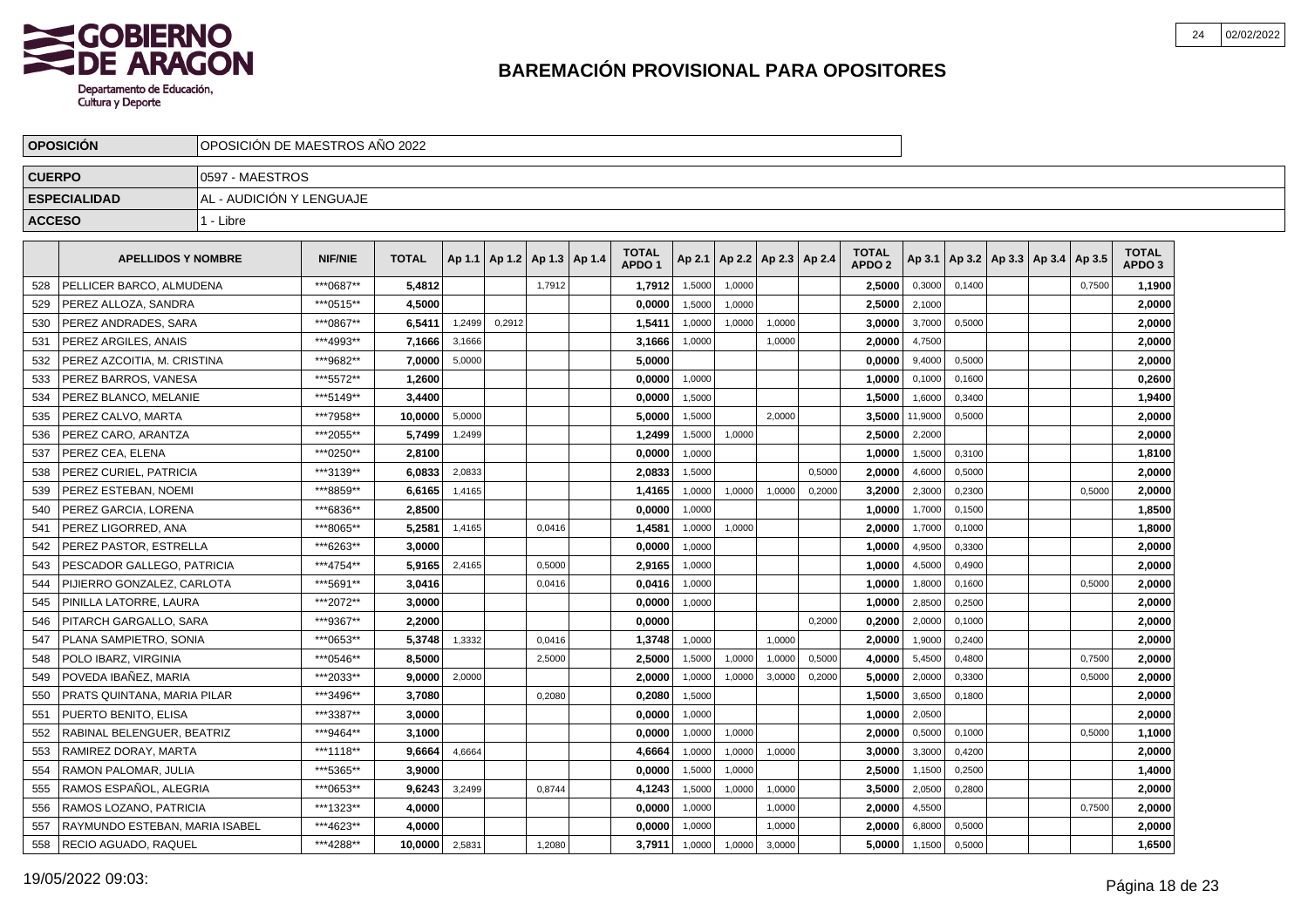

|               | <b>OPOSICION</b>               | OPOSICIÓN DE MAESTROS AÑO 2022 |                |              |        |                 |        |                 |                                   |        |        |                          |        |                                   |         |        |  |                                   |                                   |  |
|---------------|--------------------------------|--------------------------------|----------------|--------------|--------|-----------------|--------|-----------------|-----------------------------------|--------|--------|--------------------------|--------|-----------------------------------|---------|--------|--|-----------------------------------|-----------------------------------|--|
| <b>CUERPO</b> |                                | 0597 - MAESTROS                |                |              |        |                 |        |                 |                                   |        |        |                          |        |                                   |         |        |  |                                   |                                   |  |
|               | <b>ESPECIALIDAD</b>            | AL - AUDICIÓN Y LENGUAJE       |                |              |        |                 |        |                 |                                   |        |        |                          |        |                                   |         |        |  |                                   |                                   |  |
| <b>ACCESO</b> |                                | 1 - Libre                      |                |              |        |                 |        |                 |                                   |        |        |                          |        |                                   |         |        |  |                                   |                                   |  |
|               | <b>APELLIDOS Y NOMBRE</b>      |                                | <b>NIF/NIE</b> | <b>TOTAL</b> |        | Ap 1.1   Ap 1.2 |        | Ap 1.3   Ap 1.4 | <b>TOTAL</b><br>APDO <sub>1</sub> | Ap 2.1 |        | Ap 2.2   Ap 2.3   Ap 2.4 |        | <b>TOTAL</b><br>APDO <sub>2</sub> | Ap 3.1  |        |  | Ap 3.2   Ap 3.3   Ap 3.4   Ap 3.5 | <b>TOTAL</b><br>APDO <sub>3</sub> |  |
| 528           | PELLICER BARCO, ALMUDENA       |                                | ***0687**      | 5,4812       |        |                 | 1,7912 |                 | 1,7912                            | 1,5000 | 1,0000 |                          |        | 2,5000                            | 0,3000  | 0,1400 |  | 0,7500                            | 1,1900                            |  |
| 529           | PEREZ ALLOZA, SANDRA           |                                | ***0515**      | 4.5000       |        |                 |        |                 | 0.0000                            | 1.5000 | 1.0000 |                          |        | 2.5000                            | 2.1000  |        |  |                                   | 2.0000                            |  |
| 530           | PEREZ ANDRADES, SARA           |                                | ***0867**      | 6,5411       | 1,2499 | 0,2912          |        |                 | 1,5411                            | 1,0000 | 1,0000 | 1.0000                   |        | 3,0000                            | 3,7000  | 0.5000 |  |                                   | 2,0000                            |  |
| 531           | PEREZ ARGILES, ANAIS           |                                | ***4993**      | 7,1666       | 3,1666 |                 |        |                 | 3,1666                            | 1,0000 |        | 1,0000                   |        | 2.0000                            | 4,7500  |        |  |                                   | 2,0000                            |  |
| 532           | PEREZ AZCOITIA, M. CRISTINA    |                                | ***9682**      | 7,0000       | 5,0000 |                 |        |                 | 5,0000                            |        |        |                          |        | 0,0000                            | 9,4000  | 0,5000 |  |                                   | 2,0000                            |  |
| 533           | PEREZ BARROS, VANESA           |                                | ***5572**      | 1.2600       |        |                 |        |                 | 0.0000                            | 1,0000 |        |                          |        | 1.0000                            | 0,1000  | 0,1600 |  |                                   | 0.2600                            |  |
| 534           | PEREZ BLANCO, MELANIE          |                                | ***5149**      | 3.4400       |        |                 |        |                 | 0,0000                            | 1,5000 |        |                          |        | 1,5000                            | 1,6000  | 0,3400 |  |                                   | 1,9400                            |  |
| 535           | PEREZ CALVO, MARTA             |                                | ***7958**      | 10.0000      | 5,0000 |                 |        |                 | 5,0000                            | 1,5000 |        | 2,0000                   |        | 3,5000                            | 11,9000 | 0,5000 |  |                                   | 2,0000                            |  |
| 536           | PEREZ CARO, ARANTZA            |                                | ***2055**      | 5,7499       | 1,2499 |                 |        |                 | 1,2499                            | 1,5000 | 1,0000 |                          |        | 2,5000                            | 2,2000  |        |  |                                   | 2,0000                            |  |
| 537           | PEREZ CEA. ELENA               |                                | ***0250**      | 2,8100       |        |                 |        |                 | 0,0000                            | 1.0000 |        |                          |        | 1.0000                            | 1,5000  | 0.3100 |  |                                   | 1,8100                            |  |
| 538           | PEREZ CURIEL, PATRICIA         |                                | ***3139**      | 6,0833       | 2,0833 |                 |        |                 | 2,0833                            | 1,5000 |        |                          | 0,5000 | 2.0000                            | 4,6000  | 0,5000 |  |                                   | 2,0000                            |  |
| 539           | PEREZ ESTEBAN, NOEMI           |                                | ***8859**      | 6,6165       | 1,4165 |                 |        |                 | 1,4165                            | 1,0000 | 1,0000 | 1,0000                   | 0,2000 | 3,2000                            | 2,3000  | 0,2300 |  | 0,5000                            | 2,0000                            |  |
| 540           | PEREZ GARCIA, LORENA           |                                | ***6836**      | 2,8500       |        |                 |        |                 | 0,0000                            | 1,0000 |        |                          |        | 1,0000                            | 1,7000  | 0,1500 |  |                                   | 1,8500                            |  |
| 541           | PEREZ LIGORRED. ANA            |                                | ***8065**      | 5,2581       | 1.4165 |                 | 0.0416 |                 | 1,4581                            | 1.0000 | 1,0000 |                          |        | 2.0000                            | 1,7000  | 0.1000 |  |                                   | 1,8000                            |  |
| 542           | PEREZ PASTOR. ESTRELLA         |                                | ***6263**      | 3.0000       |        |                 |        |                 | 0,0000                            | 1.0000 |        |                          |        | 1.0000                            | 4,9500  | 0.3300 |  |                                   | 2,0000                            |  |
| 543           | PESCADOR GALLEGO. PATRICIA     |                                | ***4754**      | 5.9165       | 2,4165 |                 | 0,5000 |                 | 2,9165                            | 1,0000 |        |                          |        | 1.0000                            | 4,5000  | 0,4900 |  |                                   | 2,0000                            |  |
| 544           | PIJIERRO GONZALEZ, CARLOTA     |                                | ***5691**      | 3,0416       |        |                 | 0,0416 |                 | 0,0416                            | 1,0000 |        |                          |        | 1,0000                            | 1,8000  | 0,1600 |  | 0,5000                            | 2,0000                            |  |
| 545           | PINILLA LATORRE. LAURA         |                                | ***2072**      | 3.0000       |        |                 |        |                 | 0.0000                            | 1.0000 |        |                          |        | 1.0000                            | 2,8500  | 0,2500 |  |                                   | 2,0000                            |  |
| 546           | PITARCH GARGALLO, SARA         |                                | ***9367**      | 2.2000       |        |                 |        |                 | 0,0000                            |        |        |                          | 0.2000 | 0.2000                            | 2,0000  | 0.1000 |  |                                   | 2,0000                            |  |
| 547           | PLANA SAMPIETRO. SONIA         |                                | ***0653**      | 5.3748       | 1,3332 |                 | 0,0416 |                 | 1,3748                            | 1,0000 |        | 1.0000                   |        | 2.0000                            | 1,9000  | 0,2400 |  |                                   | 2,0000                            |  |
| 548           | POLO IBARZ, VIRGINIA           |                                | ***0546**      | 8.5000       |        |                 | 2,5000 |                 | 2,5000                            | 1,5000 | 1,0000 | 1,0000                   | 0,5000 | 4,0000                            | 5,4500  | 0,4800 |  | 0,7500                            | 2,0000                            |  |
| 549           | POVEDA IBAÑEZ. MARIA           |                                | ***2033**      | 9.0000       | 2,0000 |                 |        |                 | 2.0000                            | 1.0000 | 1,0000 | 3,0000                   | 0,2000 | 5.0000                            | 2,0000  | 0,3300 |  | 0.5000                            | 2,0000                            |  |
| 550           | PRATS QUINTANA, MARIA PILAR    |                                | ***3496**      | 3.7080       |        |                 | 0,2080 |                 | 0,2080                            | 1,5000 |        |                          |        | 1,5000                            | 3,6500  | 0,1800 |  |                                   | 2,0000                            |  |
| 551           | PUERTO BENITO, ELISA           |                                | ***3387**      | 3.0000       |        |                 |        |                 | 0,0000                            | 1,0000 |        |                          |        | 1,0000                            | 2,0500  |        |  |                                   | 2,0000                            |  |
| 552           | RABINAL BELENGUER, BEATRIZ     |                                | ***9464**      | 3.1000       |        |                 |        |                 | 0,0000                            | 1,0000 | 1,0000 |                          |        | 2,0000                            | 0,5000  | 0,1000 |  | 0,5000                            | 1,1000                            |  |
| 553           | RAMIREZ DORAY, MARTA           |                                | ***1118**      | 9,6664       | 4.6664 |                 |        |                 | 4,6664                            | 1,0000 | 1,0000 | 1.0000                   |        | 3,0000                            | 3,3000  | 0.4200 |  |                                   | 2,0000                            |  |
| 554           | RAMON PALOMAR, JULIA           |                                | ***5365**      | 3.9000       |        |                 |        |                 | 0.0000                            | 1,5000 | 1,0000 |                          |        | 2,5000                            | 1,1500  | 0,2500 |  |                                   | 1,4000                            |  |
| 555           | RAMOS ESPAÑOL, ALEGRIA         |                                | ***0653**      | 9,6243       | 3,2499 |                 | 0,8744 |                 | 4,1243                            | 1,5000 | 1,0000 | 1,0000                   |        | 3,5000                            | 2,0500  | 0,2800 |  |                                   | 2,0000                            |  |
| 556           | RAMOS LOZANO, PATRICIA         |                                | ***1323**      | 4,0000       |        |                 |        |                 | 0,0000                            | 1,0000 |        | 1,0000                   |        | 2,0000                            | 4,5500  |        |  | 0,7500                            | 2,0000                            |  |
| 557           | RAYMUNDO ESTEBAN, MARIA ISABEL |                                | ***4623**      | 4,0000       |        |                 |        |                 | 0,0000                            | 1,0000 |        | 1,0000                   |        | 2,0000                            | 6,8000  | 0,5000 |  |                                   | 2,0000                            |  |
| 558           | RECIO AGUADO, RAQUEL           |                                | ***4288**      | 10.0000      | 2,5831 |                 | 1.2080 |                 | 3.7911                            | 1,0000 | 1,0000 | 3,0000                   |        | 5.0000                            | 1,1500  | 0,5000 |  |                                   | 1,6500                            |  |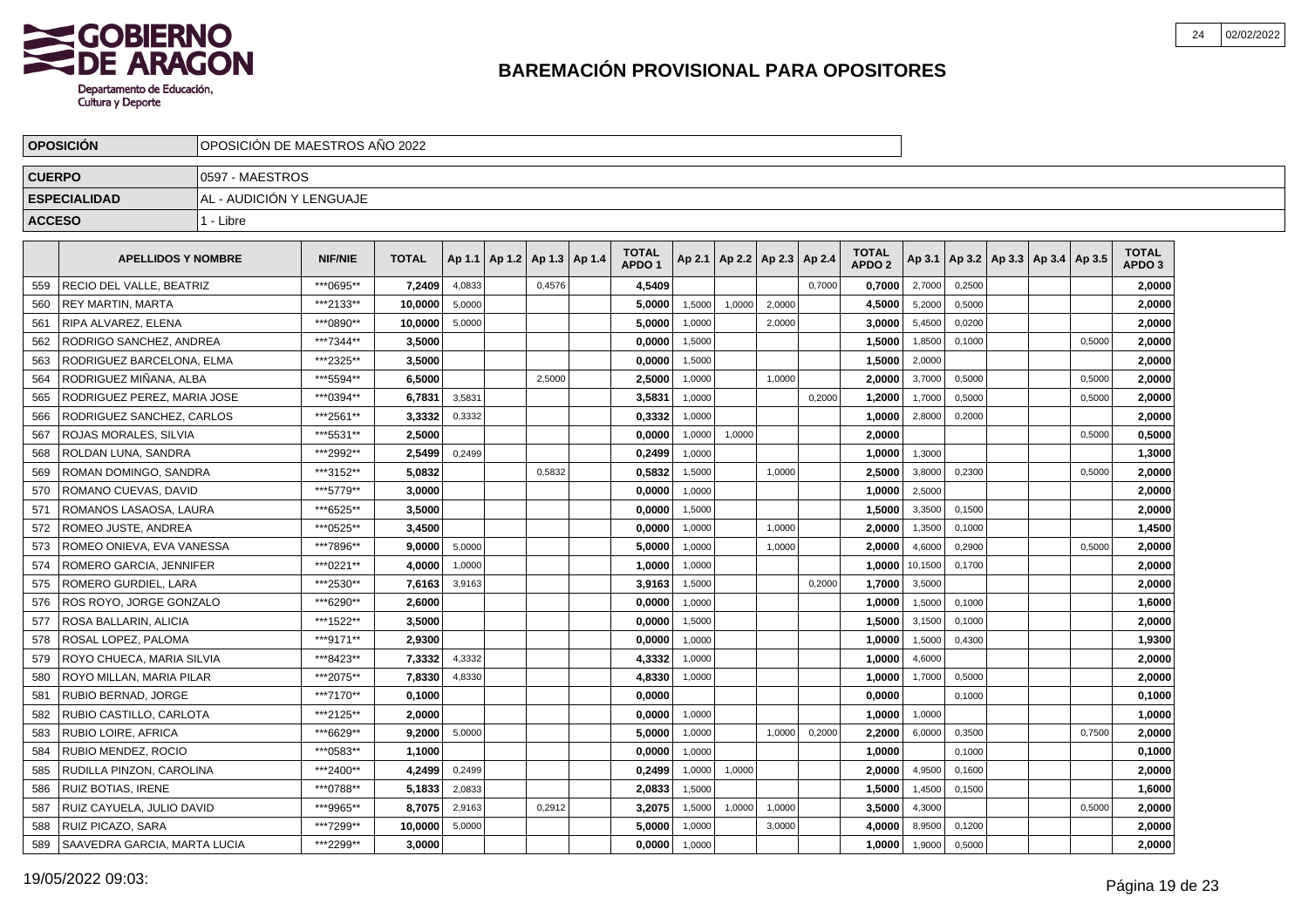

|               | <b>OPOSICION</b>             | OPOSICION DE MAESTROS ANO 2022 |                |              |        |                          |                                   |        |        |                          |        |                                   |         |        |                                   |        |                                   |  |
|---------------|------------------------------|--------------------------------|----------------|--------------|--------|--------------------------|-----------------------------------|--------|--------|--------------------------|--------|-----------------------------------|---------|--------|-----------------------------------|--------|-----------------------------------|--|
| <b>CUERPO</b> |                              | 0597 - MAESTROS                |                |              |        |                          |                                   |        |        |                          |        |                                   |         |        |                                   |        |                                   |  |
|               | <b>ESPECIALIDAD</b>          | AL - AUDICIÓN Y LENGUAJE       |                |              |        |                          |                                   |        |        |                          |        |                                   |         |        |                                   |        |                                   |  |
| <b>ACCESO</b> |                              | 1 - Libre                      |                |              |        |                          |                                   |        |        |                          |        |                                   |         |        |                                   |        |                                   |  |
|               | <b>APELLIDOS Y NOMBRE</b>    |                                | <b>NIF/NIE</b> | <b>TOTAL</b> | Ap 1.1 | Ap 1.2   Ap 1.3   Ap 1.4 | <b>TOTAL</b><br>APDO <sub>1</sub> | Ap 2.1 |        | Ap 2.2   Ap 2.3   Ap 2.4 |        | <b>TOTAL</b><br>APDO <sub>2</sub> | Ap 3.1  |        | Ap 3.2   Ap 3.3   Ap 3.4   Ap 3.5 |        | <b>TOTAL</b><br>APDO <sub>3</sub> |  |
| 559           | RECIO DEL VALLE, BEATRIZ     |                                | ***0695**      | 7,2409       | 4,0833 | 0,4576                   | 4,5409                            |        |        |                          | 0.7000 | 0,7000                            | 2,7000  | 0,2500 |                                   |        | 2,0000                            |  |
| 560           | <b>REY MARTIN, MARTA</b>     |                                | ***2133**      | 10,0000      | 5,0000 |                          | 5,0000                            | 1,5000 | 1,0000 | 2,0000                   |        | 4,5000                            | 5,2000  | 0,5000 |                                   |        | 2,0000                            |  |
| 561           | RIPA ALVAREZ, ELENA          |                                | ***0890**      | 10,0000      | 5,0000 |                          | 5,0000                            | 1,0000 |        | 2,0000                   |        | 3,0000                            | 5,4500  | 0,0200 |                                   |        | 2,0000                            |  |
| 562           | RODRIGO SANCHEZ, ANDREA      |                                | ***7344**      | 3,5000       |        |                          | 0,0000                            | 1,5000 |        |                          |        | 1,5000                            | 1,8500  | 0,1000 |                                   | 0,5000 | 2,0000                            |  |
| 563           | RODRIGUEZ BARCELONA, ELMA    |                                | ***2325**      | 3,5000       |        |                          | 0,0000                            | 1,5000 |        |                          |        | 1,5000                            | 2,0000  |        |                                   |        | 2,0000                            |  |
| 564           | RODRIGUEZ MIÑANA, ALBA       |                                | ***5594**      | 6.5000       |        | 2,5000                   | 2.5000                            | 1,0000 |        | 1.0000                   |        | 2.0000                            | 3,7000  | 0.5000 |                                   | 0,5000 | 2.0000                            |  |
| 565           | RODRIGUEZ PEREZ. MARIA JOSE  |                                | ***0394**      | 6.7831       | 3,5831 |                          | 3,5831                            | 1,0000 |        |                          | 0,2000 | 1.2000                            | 1,7000  | 0,5000 |                                   | 0,5000 | 2,0000                            |  |
| 566           | RODRIGUEZ SANCHEZ, CARLOS    |                                | ***2561**      | 3,3332       | 0,3332 |                          | 0,3332                            | 1,0000 |        |                          |        | 1,0000                            | 2,8000  | 0,2000 |                                   |        | 2,0000                            |  |
| 567           | l ROJAS MORALES. SILVIA      |                                | ***5531**      | 2,5000       |        |                          | 0,0000                            | 1,0000 | 1,0000 |                          |        | 2,0000                            |         |        |                                   | 0,5000 | 0,5000                            |  |
| 568           | ROLDAN LUNA, SANDRA          |                                | ***2992**      | 2,5499       | 0,2499 |                          | 0,2499                            | 1,0000 |        |                          |        | 1,0000                            | 1,3000  |        |                                   |        | 1,3000                            |  |
| 569           | ROMAN DOMINGO, SANDRA        |                                | ***3152**      | 5,0832       |        | 0,5832                   | 0,5832                            | 1,5000 |        | 1,0000                   |        | 2,5000                            | 3,8000  | 0,2300 |                                   | 0,5000 | 2,0000                            |  |
| 570           | ROMANO CUEVAS, DAVID         |                                | ***5779**      | 3,0000       |        |                          | 0,0000                            | 1,0000 |        |                          |        | 1,0000                            | 2,5000  |        |                                   |        | 2,0000                            |  |
| 571           | ROMANOS LASAOSA, LAURA       |                                | ***6525**      | 3,5000       |        |                          | 0,0000                            | 1,5000 |        |                          |        | 1,5000                            | 3,3500  | 0,1500 |                                   |        | 2,0000                            |  |
| 572           | ROMEO JUSTE, ANDREA          |                                | ***0525**      | 3.4500       |        |                          | 0,0000                            | 1,0000 |        | 1,0000                   |        | 2,0000                            | 1,3500  | 0,1000 |                                   |        | 1,4500                            |  |
| 573           | ROMEO ONIEVA, EVA VANESSA    |                                | ***7896**      | 9,0000       | 5,0000 |                          | 5,0000                            | 1,0000 |        | 1,0000                   |        | 2,0000                            | 4,6000  | 0,2900 |                                   | 0,5000 | 2,0000                            |  |
| 574           | ROMERO GARCIA, JENNIFER      |                                | ***0221**      | 4,0000       | 1,0000 |                          | 1,0000                            | 1,0000 |        |                          |        | 1,0000                            | 10,1500 | 0,1700 |                                   |        | 2,0000                            |  |
| 575           | ROMERO GURDIEL, LARA         |                                | ***2530**      | 7,6163       | 3,9163 |                          | 3,9163                            | 1,5000 |        |                          | 0,2000 | 1,7000                            | 3,5000  |        |                                   |        | 2,0000                            |  |
| 576           | ROS ROYO, JORGE GONZALO      |                                | ***6290**      | 2.6000       |        |                          | 0.0000                            | 1.0000 |        |                          |        | 1,0000                            | 1,5000  | 0.1000 |                                   |        | 1,6000                            |  |
| 577           | ROSA BALLARIN, ALICIA        |                                | ***1522**      | 3.5000       |        |                          | 0.0000                            | 1,5000 |        |                          |        | 1,5000                            | 3,1500  | 0,1000 |                                   |        | 2,0000                            |  |
| 578           | ROSAL LOPEZ, PALOMA          |                                | ***9171**      | 2,9300       |        |                          | 0,0000                            | 1,0000 |        |                          |        | 1,0000                            | 1,5000  | 0,4300 |                                   |        | 1,9300                            |  |
| 579           | ROYO CHUECA, MARIA SILVIA    |                                | ***8423**      | 7,3332       | 4,3332 |                          | 4,3332                            | 1,0000 |        |                          |        | 1,0000                            | 4,6000  |        |                                   |        | 2,0000                            |  |
| 580           | ROYO MILLAN, MARIA PILAR     |                                | ***2075**      | 7,8330       | 4,8330 |                          | 4,8330                            | 1,0000 |        |                          |        | 1,0000                            | 1,7000  | 0,5000 |                                   |        | 2,0000                            |  |
| 581           | <b>RUBIO BERNAD, JORGE</b>   |                                | ***7170**      | 0,1000       |        |                          | 0,0000                            |        |        |                          |        | 0,0000                            |         | 0,1000 |                                   |        | 0,1000                            |  |
| 582           | RUBIO CASTILLO, CARLOTA      |                                | ***2125**      | 2.0000       |        |                          | 0.0000                            | 1,0000 |        |                          |        | 1.0000                            | 1,0000  |        |                                   |        | 1.0000                            |  |
| 583           | <b>RUBIO LOIRE, AFRICA</b>   |                                | ***6629**      | 9,2000       | 5,0000 |                          | 5,0000                            | 1,0000 |        | 1,0000                   | 0,2000 | 2,2000                            | 6,0000  | 0,3500 |                                   | 0,7500 | 2,0000                            |  |
| 584           | RUBIO MENDEZ. ROCIO          |                                | ***0583**      | 1.1000       |        |                          | 0,0000                            | 1,0000 |        |                          |        | 1.0000                            |         | 0,1000 |                                   |        | 0,1000                            |  |
| 585           | RUDILLA PINZON, CAROLINA     |                                | ***2400**      | 4,2499       | 0,2499 |                          | 0,2499                            | 1,0000 | 1,0000 |                          |        | 2,0000                            | 4,9500  | 0,1600 |                                   |        | 2,0000                            |  |
| 586           | <b>RUIZ BOTIAS, IRENE</b>    |                                | ***0788**      | 5,1833       | 2,0833 |                          | 2,0833                            | 1,5000 |        |                          |        | 1,5000                            | 1,4500  | 0,1500 |                                   |        | 1,6000                            |  |
| 587           | RUIZ CAYUELA, JULIO DAVID    |                                | ***9965**      | 8,7075       | 2,9163 | 0,2912                   | 3,2075                            | 1,5000 | 1,0000 | 1,0000                   |        | 3,5000                            | 4,3000  |        |                                   | 0,5000 | 2,0000                            |  |
| 588           | RUIZ PICAZO, SARA            |                                | ***7299**      | 10,0000      | 5,0000 |                          | 5.0000                            | 1,0000 |        | 3,0000                   |        | 4.0000                            | 8,9500  | 0,1200 |                                   |        | 2.0000                            |  |
| 589           | SAAVEDRA GARCIA, MARTA LUCIA |                                | ***2299**      | 3.0000       |        |                          | 0,0000                            | 1,0000 |        |                          |        | 1,0000                            | 1,9000  | 0,5000 |                                   |        | 2,0000                            |  |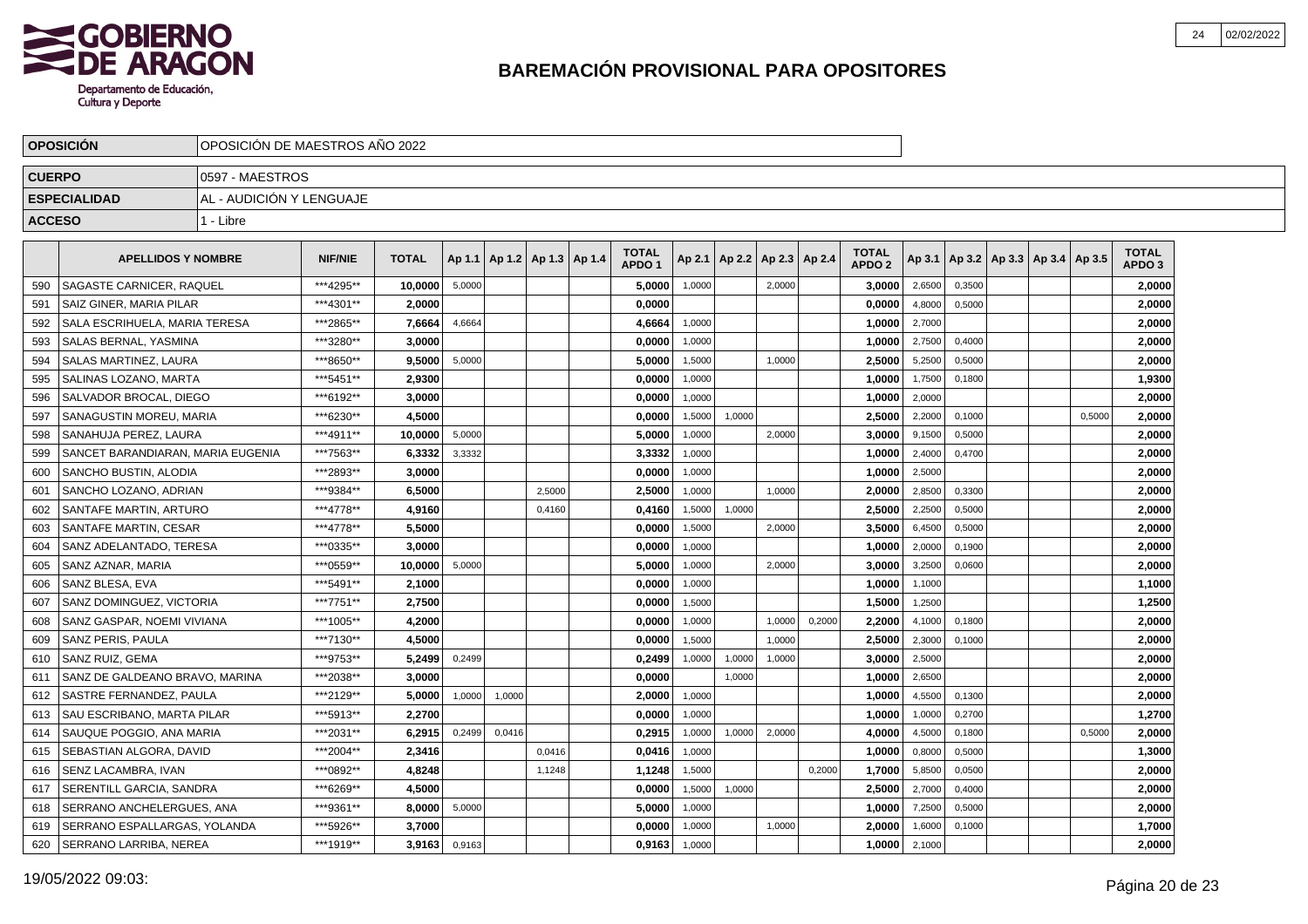

|               | <b>OPOSICION</b>                     | OPOSICION DE MAESTROS ANO 2022 |                                                                                                        |              |        |        |                                   |  |                                   |        |        |                          |        |                                   |        |        |                                   |        |                                   |  |
|---------------|--------------------------------------|--------------------------------|--------------------------------------------------------------------------------------------------------|--------------|--------|--------|-----------------------------------|--|-----------------------------------|--------|--------|--------------------------|--------|-----------------------------------|--------|--------|-----------------------------------|--------|-----------------------------------|--|
| <b>CUERPO</b> |                                      | 0597 - MAESTROS                |                                                                                                        |              |        |        |                                   |  |                                   |        |        |                          |        |                                   |        |        |                                   |        |                                   |  |
|               | <b>ESPECIALIDAD</b>                  | AL - AUDICIÓN Y LENGUAJE       |                                                                                                        |              |        |        |                                   |  |                                   |        |        |                          |        |                                   |        |        |                                   |        |                                   |  |
| <b>ACCESO</b> |                                      | 1 - Libre                      |                                                                                                        |              |        |        |                                   |  |                                   |        |        |                          |        |                                   |        |        |                                   |        |                                   |  |
|               | <b>APELLIDOS Y NOMBRE</b>            |                                | <b>NIF/NIE</b>                                                                                         | <b>TOTAL</b> |        |        | Ap 1.1   Ap 1.2   Ap 1.3   Ap 1.4 |  | <b>TOTAL</b><br>APDO <sub>1</sub> | Ap 2.1 |        | Ap 2.2   Ap 2.3   Ap 2.4 |        | <b>TOTAL</b><br>APDO <sub>2</sub> | Ap 3.1 |        | Ap 3.2   Ap 3.3   Ap 3.4   Ap 3.5 |        | <b>TOTAL</b><br>APDO <sub>3</sub> |  |
| 590           | <b>SAGASTE CARNICER, RAQUEL</b>      |                                | ***4295**                                                                                              | 10,0000      | 5,0000 |        |                                   |  | 5,0000                            | 1,0000 |        | 2,0000                   |        | 3.0000                            | 2,6500 | 0,3500 |                                   |        | 2,0000                            |  |
| 591           | <b>SAIZ GINER, MARIA PILAR</b>       |                                | ***4301**                                                                                              | 2.0000       |        |        |                                   |  | 0,0000                            |        |        |                          |        | 0,0000                            | 4,8000 | 0,5000 |                                   |        | 2,0000                            |  |
| 592           | <b>SALA ESCRIHUELA, MARIA TERESA</b> |                                | ***2865**                                                                                              | 7,6664       | 4,6664 |        |                                   |  | 4,6664                            | 1,0000 |        |                          |        | 1,0000                            | 2,7000 |        |                                   |        | 2,0000                            |  |
| 593           | SALAS BERNAL, YASMINA                |                                | ***3280**                                                                                              | 3.0000       |        |        |                                   |  | 0,0000                            | 1,0000 |        |                          |        | 1,0000                            | 2,7500 | 0,4000 |                                   |        | 2,0000                            |  |
| 594           | SALAS MARTINEZ, LAURA                |                                | ***8650**                                                                                              | 9,5000       | 5,0000 |        |                                   |  | 5,0000                            | 1,5000 |        | 1,0000                   |        | 2,5000                            | 5,2500 | 0,5000 |                                   |        | 2,0000                            |  |
| 595           | <b>SALINAS LOZANO, MARTA</b>         |                                | ***5451**                                                                                              | 2.9300       |        |        |                                   |  | 0.0000                            | 1,0000 |        |                          |        | 1.0000                            | 1,7500 | 0.1800 |                                   |        | 1,9300                            |  |
| 596           | SALVADOR BROCAL. DIEGO               |                                | ***6192**<br>3.0000<br>0,0000<br>1,0000<br>1,0000<br>***6230**<br>4,5000<br>1,0000<br>0,0000<br>1,5000 |              |        |        |                                   |  |                                   |        |        |                          |        |                                   |        |        |                                   |        | 2,0000                            |  |
| 597           | <b>SANAGUSTIN MOREU, MARIA</b>       |                                |                                                                                                        |              |        |        |                                   |  |                                   |        |        |                          |        | 2,5000                            | 2,2000 | 0,1000 |                                   | 0,5000 | 2,0000                            |  |
| 598           | SANAHUJA PEREZ. LAURA                |                                | ***4911**<br>10,0000<br>5,0000<br>5,0000<br>1,0000<br>2,0000<br>3,0000                                 |              |        |        |                                   |  |                                   |        |        |                          |        |                                   |        |        |                                   |        | 2,0000                            |  |
| 599           | SANCET BARANDIARAN, MARIA EUGENIA    |                                | ***7563**                                                                                              | 6,3332       | 3,3332 |        |                                   |  | 3,3332                            | 1,0000 |        |                          |        | 1,0000                            | 2,4000 | 0,4700 |                                   |        | 2,0000                            |  |
| 600           | <b>SANCHO BUSTIN, ALODIA</b>         |                                | ***2893**                                                                                              | 3,0000       |        |        |                                   |  | 0,0000                            | 1,0000 |        |                          |        | 1,0000                            | 2,5000 |        |                                   |        | 2,0000                            |  |
| 601           | I SANCHO LOZANO. ADRIAN              |                                | ***9384**                                                                                              | 6,5000       |        |        | 2,5000                            |  | 2,5000                            | 1,0000 |        | 1.0000                   |        | 2,0000                            | 2,8500 | 0,3300 |                                   |        | 2,0000                            |  |
| 602           | SANTAFE MARTIN, ARTURO               |                                | ***4778**                                                                                              | 4,9160       |        |        | 0.4160                            |  | 0,4160                            | 1,5000 | 1.0000 |                          |        | 2,5000                            | 2,2500 | 0,5000 |                                   |        | 2,0000                            |  |
| 603           | SANTAFE MARTIN, CESAR                |                                | ***4778**                                                                                              | 5.5000       |        |        |                                   |  | 0,0000                            | 1,5000 |        | 2,0000                   |        | 3,5000                            | 6,4500 | 0,5000 |                                   |        | 2,0000                            |  |
| 604           | SANZ ADELANTADO. TERESA              |                                | ***0335**                                                                                              | 3,0000       |        |        |                                   |  | 0,0000                            | 1,0000 |        |                          |        | 1,0000                            | 2,0000 | 0,1900 |                                   |        | 2,0000                            |  |
| 605           | SANZ AZNAR, MARIA                    |                                | ***0559**                                                                                              | 10,0000      | 5,0000 |        |                                   |  | 5,0000                            | 1,0000 |        | 2,0000                   |        | 3,0000                            | 3,2500 | 0,0600 |                                   |        | 2,0000                            |  |
| 606           | SANZ BLESA, EVA                      |                                | ***5491**                                                                                              | 2,1000       |        |        |                                   |  | 0,0000                            | 1,0000 |        |                          |        | 1,0000                            | 1,1000 |        |                                   |        | 1,1000                            |  |
| 607           | SANZ DOMINGUEZ, VICTORIA             |                                | ***7751**                                                                                              | 2.7500       |        |        |                                   |  | 0.0000                            | 1,5000 |        |                          |        | 1,5000                            | 1,2500 |        |                                   |        | 1,2500                            |  |
| 608           | SANZ GASPAR, NOEMI VIVIANA           |                                | ***1005**                                                                                              | 4.2000       |        |        |                                   |  | 0.0000                            | 1,0000 |        | 1,0000                   | 0,2000 | 2.2000                            | 4,1000 | 0,1800 |                                   |        | 2,0000                            |  |
| 609           | SANZ PERIS, PAULA                    |                                | ***7130**                                                                                              | 4.5000       |        |        |                                   |  | 0,0000                            | 1,5000 |        | 1,0000                   |        | 2,5000                            | 2,3000 | 0,1000 |                                   |        | 2,0000                            |  |
| 610           | SANZ RUIZ, GEMA                      |                                | ***9753**                                                                                              | 5,2499       | 0,2499 |        |                                   |  | 0,2499                            | 1,0000 | 1,0000 | 1,0000                   |        | 3,0000                            | 2,5000 |        |                                   |        | 2,0000                            |  |
| 611           | SANZ DE GALDEANO BRAVO, MARINA       |                                | ***2038**                                                                                              | 3,0000       |        |        |                                   |  | 0,0000                            |        | 1,0000 |                          |        | 1,0000                            | 2,6500 |        |                                   |        | 2,0000                            |  |
| 612           | SASTRE FERNANDEZ, PAULA              |                                | ***2129**                                                                                              | 5,0000       | 1,0000 | 1,0000 |                                   |  | 2,0000                            | 1,0000 |        |                          |        | 1,0000                            | 4,5500 | 0,1300 |                                   |        | 2,0000                            |  |
| 613           | I SAU ESCRIBANO. MARTA PILAR         |                                | ***5913**                                                                                              | 2.2700       |        |        |                                   |  | 0.0000                            | 1,0000 |        |                          |        | 1.0000                            | 1,0000 | 0,2700 |                                   |        | 1,2700                            |  |
| 614           | SAUQUE POGGIO, ANA MARIA             |                                | ***2031**                                                                                              | 6.2915       | 0,2499 | 0,0416 |                                   |  | 0,2915                            | 1,0000 | 1,0000 | 2,0000                   |        | 4,0000                            | 4,5000 | 0,1800 |                                   | 0,5000 | 2,0000                            |  |
| 615           | İ SEBASTIAN ALGORA. DAVID            |                                | ***2004**                                                                                              | 2,3416       |        |        | 0,0416                            |  | 0,0416                            | 1,0000 |        |                          |        | 1,0000                            | 0,8000 | 0,5000 |                                   |        | 1,3000                            |  |
| 616           | SENZ LACAMBRA, IVAN                  |                                | ***0892**                                                                                              | 4,8248       |        |        | 1,1248                            |  | 1,1248                            | 1,5000 |        |                          | 0,2000 | 1,7000                            | 5,8500 | 0,0500 |                                   |        | 2,0000                            |  |
| 617           | SERENTILL GARCIA, SANDRA             |                                | ***6269**                                                                                              | 4,5000       |        |        |                                   |  | 0,0000                            | 1,5000 | 1,0000 |                          |        | 2,5000                            | 2,7000 | 0,4000 |                                   |        | 2,0000                            |  |
| 618           | SERRANO ANCHELERGUES, ANA            |                                | ***9361**                                                                                              | 8,0000       | 5,0000 |        |                                   |  | 5,0000                            | 1,0000 |        |                          |        | 1,0000                            | 7,2500 | 0,5000 |                                   |        | 2,0000                            |  |
| 619           | SERRANO ESPALLARGAS, YOLANDA         |                                | ***5926**                                                                                              | 3,7000       |        |        |                                   |  | 0.0000                            | 1,0000 |        | 1,0000                   |        | 2.0000                            | 1,6000 | 0,1000 |                                   |        | 1,7000                            |  |
| 620           | SERRANO LARRIBA, NEREA               |                                | ***1919**                                                                                              | 3,9163       | 0,9163 |        |                                   |  | 0,9163                            | 1,0000 |        |                          |        | 1,0000                            | 2,1000 |        |                                   |        | 2,0000                            |  |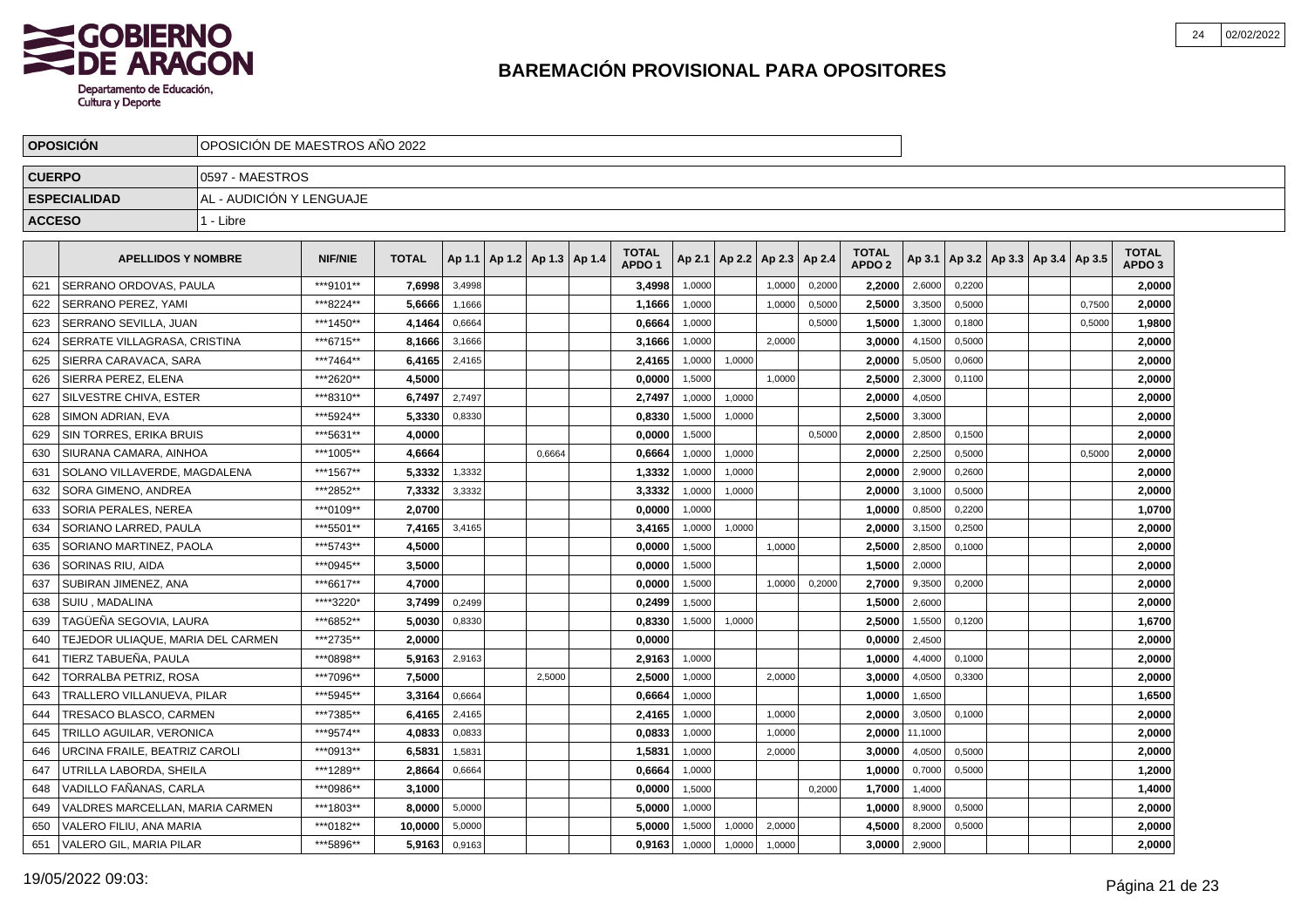

|               | <b>OPOSICION</b>                  | OPOSICION DE MAESTROS ANO 2022 |                |              |        |                                   |        |                                   |        |                 |        |        |                                   |         |        |                                   |        |                                   |  |
|---------------|-----------------------------------|--------------------------------|----------------|--------------|--------|-----------------------------------|--------|-----------------------------------|--------|-----------------|--------|--------|-----------------------------------|---------|--------|-----------------------------------|--------|-----------------------------------|--|
| <b>CUERPO</b> |                                   | 0597 - MAESTROS                |                |              |        |                                   |        |                                   |        |                 |        |        |                                   |         |        |                                   |        |                                   |  |
|               | <b>ESPECIALIDAD</b>               | AL - AUDICIÓN Y LENGUAJE       |                |              |        |                                   |        |                                   |        |                 |        |        |                                   |         |        |                                   |        |                                   |  |
| <b>ACCESO</b> |                                   | 1 - Libre                      |                |              |        |                                   |        |                                   |        |                 |        |        |                                   |         |        |                                   |        |                                   |  |
|               | <b>APELLIDOS Y NOMBRE</b>         |                                | <b>NIF/NIE</b> | <b>TOTAL</b> |        | Ap 1.1   Ap 1.2   Ap 1.3   Ap 1.4 |        | <b>TOTAL</b><br>APDO <sub>1</sub> | Ap 2.1 | Ap 2.2   Ap 2.3 |        | Ap 2.4 | <b>TOTAL</b><br>APDO <sub>2</sub> | Ap 3.1  |        | Ap 3.2   Ap 3.3   Ap 3.4   Ap 3.5 |        | <b>TOTAL</b><br>APDO <sub>3</sub> |  |
| 621           | SERRANO ORDOVAS, PAULA            |                                | ***9101**      | 7.6998       | 3.4998 |                                   |        | 3.4998                            | 1,0000 |                 | 1.0000 | 0,2000 | 2.2000                            | 2,6000  | 0.2200 |                                   |        | 2.0000                            |  |
| 622           | SERRANO PEREZ, YAMI               |                                | ***8224**      | 5,6666       | 1.1666 |                                   |        | 1,1666                            | 1.0000 |                 | 1.0000 | 0.5000 | 2.5000                            | 3,3500  | 0.5000 |                                   | 0.7500 | 2,0000                            |  |
| 623           | SERRANO SEVILLA, JUAN             |                                | ***1450**      | 4,1464       | 0,6664 |                                   |        | 0,6664                            | 1,0000 |                 |        | 0,5000 | 1,5000                            | 1,3000  | 0.1800 |                                   | 0.5000 | 1,9800                            |  |
| 624           | SERRATE VILLAGRASA, CRISTINA      |                                | ***6715**      | 8,1666       | 3,1666 |                                   |        | 3,1666                            | 1,0000 |                 | 2,0000 |        | 3.0000                            | 4,1500  | 0,5000 |                                   |        | 2,0000                            |  |
| 625           | SIERRA CARAVACA, SARA             |                                | ***7464**      | 6,4165       | 2,4165 |                                   |        | 2,4165                            | 1,0000 | 1,0000          |        |        | 2,0000                            | 5,0500  | 0,0600 |                                   |        | 2,0000                            |  |
| 626           | SIERRA PEREZ, ELENA               |                                | ***2620**      | 4,5000       |        |                                   |        | 0,0000                            | 1,5000 |                 | 1,0000 |        | 2,5000                            | 2,3000  | 0,1100 |                                   |        | 2,0000                            |  |
| 627           | SILVESTRE CHIVA, ESTER            |                                | ***8310**      | 6,7497       | 2,7497 |                                   |        | 2,7497                            | 1,0000 | 1,0000          |        |        | 2,0000                            | 4,0500  |        |                                   |        | 2,0000                            |  |
| 628           | SIMON ADRIAN, EVA                 |                                | *** 5924**     | 5,3330       | 0,8330 |                                   |        | 0.8330                            | 1,5000 | 1,0000          |        |        | 2.5000                            | 3,3000  |        |                                   |        | 2,0000                            |  |
| 629           | <b>SIN TORRES, ERIKA BRUIS</b>    |                                | ***5631**      | 4.0000       |        |                                   |        | 0,0000                            | 1,5000 |                 |        | 0,5000 | 2.0000                            | 2,8500  | 0,1500 |                                   |        | 2,0000                            |  |
| 630           | I SIURANA CAMARA. AINHOA          |                                | ***1005**      | 4,6664       |        |                                   | 0.6664 | 0,6664                            | 1,0000 | 1,0000          |        |        | 2,0000                            | 2,2500  | 0,5000 |                                   | 0.5000 | 2,0000                            |  |
| 631           | SOLANO VILLAVERDE, MAGDALENA      |                                | ***1567**      | 5,3332       | 1,3332 |                                   |        | 1,3332                            | 1,0000 | 1,0000          |        |        | 2,0000                            | 2,9000  | 0,2600 |                                   |        | 2,0000                            |  |
| 632           | SORA GIMENO, ANDREA               |                                | ***2852**      | 7,3332       | 3,3332 |                                   |        | 3,3332                            | 1,0000 | 1,0000          |        |        | 2.0000                            | 3,1000  | 0,5000 |                                   |        | 2,0000                            |  |
| 633           | SORIA PERALES, NEREA              |                                | ***0109**      | 2,0700       |        |                                   |        | 0,0000                            | 1,0000 |                 |        |        | 1,0000                            | 0,8500  | 0,2200 |                                   |        | 1,0700                            |  |
| 634           | SORIANO LARRED, PAULA             |                                | ***5501**      | 7,4165       | 3,4165 |                                   |        | 3,4165                            | 1,0000 | 1,0000          |        |        | 2,0000                            | 3,1500  | 0,2500 |                                   |        | 2,0000                            |  |
| 635           | SORIANO MARTINEZ, PAOLA           |                                | ***5743**      | 4.5000       |        |                                   |        | 0.0000                            | 1,5000 |                 | 1.0000 |        | 2.5000                            | 2,8500  | 0.1000 |                                   |        | 2,0000                            |  |
| 636           | SORINAS RIU, AIDA                 |                                | ***0945**      | 3.5000       |        |                                   |        | 0.0000                            | 1,5000 |                 |        |        | 1.5000                            | 2,0000  |        |                                   |        | 2,0000                            |  |
| 637           | SUBIRAN JIMENEZ, ANA              |                                | ***6617**      | 4.7000       |        |                                   |        | 0,0000                            | 1,5000 |                 | 1.0000 | 0,2000 | 2.7000                            | 9,3500  | 0.2000 |                                   |        | 2,0000                            |  |
| 638           | SUIU. MADALINA                    |                                | ****3220*      | 3.7499       | 0,2499 |                                   |        | 0,2499                            | 1,5000 |                 |        |        | 1,5000                            | 2,6000  |        |                                   |        | 2,0000                            |  |
| 639           | TAGÜEÑA SEGOVIA, LAURA            |                                | ***6852**      | 5,0030       | 0,8330 |                                   |        | 0,8330                            | 1,5000 | 1,0000          |        |        | 2,5000                            | 1,5500  | 0,1200 |                                   |        | 1,6700                            |  |
| 640           | TEJEDOR ULIAQUE, MARIA DEL CARMEN |                                | ***2735**      | 2.0000       |        |                                   |        | 0,0000                            |        |                 |        |        | 0,0000                            | 2,4500  |        |                                   |        | 2,0000                            |  |
| 641           | TIERZ TABUEÑA, PAULA              |                                | ***0898**      | 5,9163       | 2,9163 |                                   |        | 2,9163                            | 1,0000 |                 |        |        | 1,0000                            | 4,4000  | 0,1000 |                                   |        | 2,0000                            |  |
| 642           | TORRALBA PETRIZ. ROSA             |                                | ***7096**      | 7,5000       |        |                                   | 2.5000 | 2,5000                            | 1.0000 |                 | 2.0000 |        | 3.0000                            | 4,0500  | 0.3300 |                                   |        | 2,0000                            |  |
| 643           | <b>TRALLERO VILLANUEVA, PILAR</b> |                                | ***5945**      | 3.3164       | 0,6664 |                                   |        | 0.6664                            | 1,0000 |                 |        |        | 1.0000                            | 1,6500  |        |                                   |        | 1,6500                            |  |
| 644           | TRESACO BLASCO, CARMEN            |                                | ***7385**      | 6.4165       | 2,4165 |                                   |        | 2,4165                            | 1,0000 |                 | 1,0000 |        | 2.0000                            | 3,0500  | 0,1000 |                                   |        | 2,0000                            |  |
| 645           | TRILLO AGUILAR, VERONICA          |                                | ***9574**      | 4,0833       | 0,0833 |                                   |        | 0,0833                            | 1,0000 |                 | 1,0000 |        | 2.00001                           | 11,1000 |        |                                   |        | 2,0000                            |  |
| 646           | URCINA FRAILE, BEATRIZ CAROLI     |                                | ***0913**      | 6,5831       | 1,5831 |                                   |        | 1,5831                            | 1,0000 |                 | 2,0000 |        | 3,0000                            | 4,0500  | 0,5000 |                                   |        | 2,0000                            |  |
| 647           | UTRILLA LABORDA, SHEILA           |                                | ***1289**      | 2,8664       | 0,6664 |                                   |        | 0,6664                            | 1,0000 |                 |        |        | 1,0000                            | 0,7000  | 0,5000 |                                   |        | 1,2000                            |  |
| 648           | VADILLO FAÑANAS, CARLA            |                                | ***0986**      | 3,1000       |        |                                   |        | 0,0000                            | 1,5000 |                 |        | 0,2000 | 1,7000                            | 1,4000  |        |                                   |        | 1,4000                            |  |
| 649           | VALDRES MARCELLAN, MARIA CARMEN   |                                | ***1803**      | 8.0000       | 5,0000 |                                   |        | 5.0000                            | 1,0000 |                 |        |        | 1.0000                            | 8,9000  | 0,5000 |                                   |        | 2,0000                            |  |
| 650           | VALERO FILIU, ANA MARIA           |                                | ***0182**      | 10,0000      | 5,0000 |                                   |        | 5,0000                            | 1,5000 | 1,0000          | 2.0000 |        | 4.5000                            | 8,2000  | 0,5000 |                                   |        | 2,0000                            |  |
| 651           | VALERO GIL, MARIA PILAR           |                                | ***5896**      | 5.9163       | 0,9163 |                                   |        | 0,9163                            | 1,0000 | 1,0000          | 1,0000 |        | 3.0000                            | 2,9000  |        |                                   |        | 2,0000                            |  |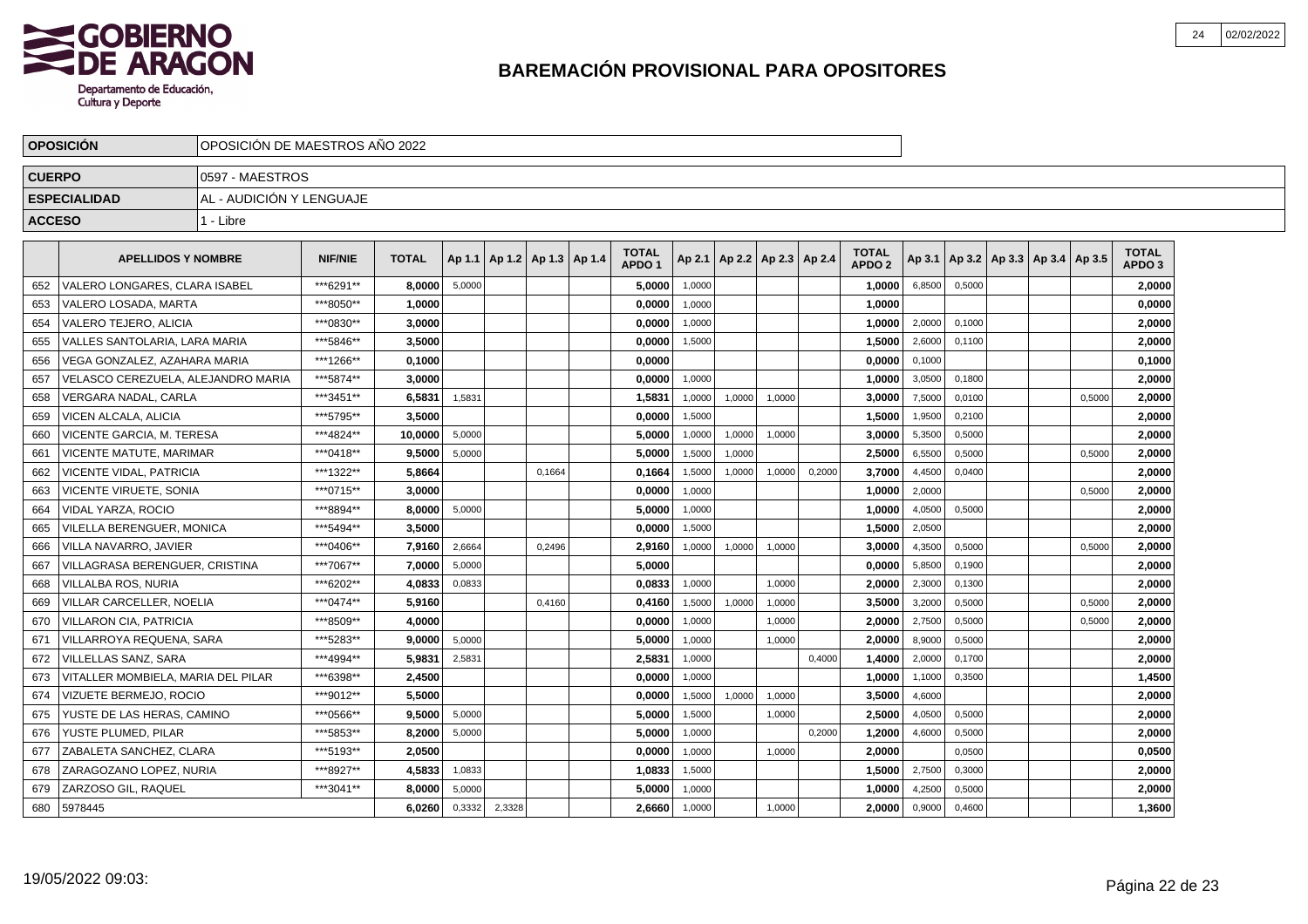

|               | <b>OPOSICION</b>                   | OPOSICIÓN DE MAESTROS AÑO 2022 |                |              |        |                                   |        |                                   |        |        |                                   |        |                                   |        |        |                                            |        |                                   |  |
|---------------|------------------------------------|--------------------------------|----------------|--------------|--------|-----------------------------------|--------|-----------------------------------|--------|--------|-----------------------------------|--------|-----------------------------------|--------|--------|--------------------------------------------|--------|-----------------------------------|--|
| <b>CUERPO</b> |                                    | 0597 - MAESTROS                |                |              |        |                                   |        |                                   |        |        |                                   |        |                                   |        |        |                                            |        |                                   |  |
|               | <b>ESPECIALIDAD</b>                | AL - AUDICIÓN Y LENGUAJE       |                |              |        |                                   |        |                                   |        |        |                                   |        |                                   |        |        |                                            |        |                                   |  |
| <b>ACCESO</b> |                                    | 1 - Libre                      |                |              |        |                                   |        |                                   |        |        |                                   |        |                                   |        |        |                                            |        |                                   |  |
|               | <b>APELLIDOS Y NOMBRE</b>          |                                | <b>NIF/NIE</b> | <b>TOTAL</b> |        | Ap 1.1   Ap 1.2   Ap 1.3   Ap 1.4 |        | <b>TOTAL</b><br>APDO <sub>1</sub> |        |        | Ap 2.1   Ap 2.2   Ap 2.3   Ap 2.4 |        | <b>TOTAL</b><br>APDO <sub>2</sub> |        |        | Ap 3.1   Ap 3.2   Ap 3.3   Ap 3.4   Ap 3.5 |        | <b>TOTAL</b><br>APDO <sub>3</sub> |  |
| 652           | VALERO LONGARES. CLARA ISABEL      |                                | ***6291**      | 8.0000       | 5,0000 |                                   |        | 5,0000                            | 1,0000 |        |                                   |        | 1,0000                            | 6,8500 | 0,5000 |                                            |        | 2,0000                            |  |
| 653           | VALERO LOSADA, MARTA               |                                | ***8050**      | 1,0000       |        |                                   |        | 0,0000                            | 1,0000 |        |                                   |        | 1,0000                            |        |        |                                            |        | 0,0000                            |  |
| 654           | <b>VALERO TEJERO, ALICIA</b>       |                                | ***0830**      | 3.0000       |        |                                   |        | 0,0000                            | 1,0000 |        |                                   |        | 1,0000                            | 2,0000 | 0,1000 |                                            |        | 2,0000                            |  |
| 655           | VALLES SANTOLARIA. LARA MARIA      |                                | ***5846**      | 3.5000       |        |                                   |        | 0,0000                            | 1,5000 |        |                                   |        | 1,5000                            | 2,6000 | 0,1100 |                                            |        | 2,0000                            |  |
| 656           | VEGA GONZALEZ. AZAHARA MARIA       |                                | ***1266**      | 0.1000       |        |                                   |        | 0,0000                            |        |        |                                   |        | 0,0000                            | 0,1000 |        |                                            |        | 0,1000                            |  |
| 657           | VELASCO CEREZUELA. ALEJANDRO MARIA |                                | ***5874**      | 3.0000       |        |                                   |        | 0.0000                            | 1,0000 |        |                                   |        | 1,0000                            | 3,0500 | 0,1800 |                                            |        | 2,0000                            |  |
| 658           | VERGARA NADAL. CARLA               |                                | ***3451**      | 6.5831       | 1,5831 |                                   |        | 1.5831                            | 1,0000 | 1,0000 | 1,0000                            |        | 3.0000                            | 7,5000 | 0,0100 |                                            | 0.5000 | 2,0000                            |  |
| 659           | VICEN ALCALA, ALICIA               |                                | ***5795**      | 3.5000       |        |                                   |        | 0.0000                            | 1,5000 |        |                                   |        | 1,5000                            | 1,9500 | 0,2100 |                                            |        | 2,0000                            |  |
| 660           | VICENTE GARCIA. M. TERESA          |                                | ***4824**      | 10,0000      | 5,0000 |                                   |        | 5,0000                            | 1,0000 | 1,0000 | 1,0000                            |        | 3,0000                            | 5,3500 | 0,5000 |                                            |        | 2,0000                            |  |
| 661           | VICENTE MATUTE. MARIMAR            |                                | ***0418**      | 9,5000       | 5,0000 |                                   |        | 5,0000                            | 1,5000 | 1,0000 |                                   |        | 2,5000                            | 6,5500 | 0,5000 |                                            | 0,5000 | 2,0000                            |  |
| 662           | <b>VICENTE VIDAL, PATRICIA</b>     |                                | ***1322**      | 5,8664       |        |                                   | 0,1664 | 0,1664                            | 1,5000 | 1,0000 | 1,0000                            | 0,2000 | 3,7000                            | 4,4500 | 0,0400 |                                            |        | 2,0000                            |  |
| 663           | <b>VICENTE VIRUETE, SONIA</b>      |                                | ***0715**      | 3,0000       |        |                                   |        | 0,0000                            | 1,0000 |        |                                   |        | 1,0000                            | 2,0000 |        |                                            | 0,5000 | 2,0000                            |  |
| 664           | VIDAL YARZA. ROCIO                 |                                | ***8894**      | 8,0000       | 5,0000 |                                   |        | 5,0000                            | 1,0000 |        |                                   |        | 1,0000                            | 4,0500 | 0,5000 |                                            |        | 2,0000                            |  |
| 665           | VILELLA BERENGUER, MONICA          |                                | ***5494**      | 3,5000       |        |                                   |        | 0,0000                            | 1,5000 |        |                                   |        | 1,5000                            | 2,0500 |        |                                            |        | 2,0000                            |  |
| 666           | VILLA NAVARRO, JAVIER              |                                | ***0406**      | 7,9160       | 2,6664 |                                   | 0,2496 | 2,9160                            | 1,0000 | 1,0000 | 1,0000                            |        | 3,0000                            | 4,3500 | 0,5000 |                                            | 0,5000 | 2,0000                            |  |
| 667           | VILLAGRASA BERENGUER, CRISTINA     |                                | ***7067**      | 7.0000       | 5,0000 |                                   |        | 5.0000                            |        |        |                                   |        | 0.0000                            | 5,8500 | 0,1900 |                                            |        | 2,0000                            |  |
| 668           | VILLALBA ROS, NURIA                |                                | ***6202**      | 4,0833       | 0,0833 |                                   |        | 0,0833                            | 1,0000 |        | 1.0000                            |        | 2,0000                            | 2,3000 | 0,1300 |                                            |        | 2,0000                            |  |
| 669           | VILLAR CARCELLER, NOELIA           |                                | ***0474**      | 5,9160       |        |                                   | 0.4160 | 0,4160                            | 1,5000 | 1,0000 | 1,0000                            |        | 3,5000                            | 3,2000 | 0,5000 |                                            | 0.5000 | 2,0000                            |  |
| 670           | VILLARON CIA, PATRICIA             |                                | ***8509**      | 4.0000       |        |                                   |        | 0,0000                            | 1,0000 |        | 1,0000                            |        | 2.0000                            | 2,7500 | 0,5000 |                                            | 0,5000 | 2,0000                            |  |
| 671           | VILLARROYA REQUENA, SARA           |                                | ***5283**      | 9.0000       | 5,0000 |                                   |        | 5,0000                            | 1,0000 |        | 1,0000                            |        | 2.0000                            | 8,9000 | 0,5000 |                                            |        | 2,0000                            |  |
| 672           | VILLELLAS SANZ. SARA               |                                | ***4994**      | 5.9831       | 2,5831 |                                   |        | 2,5831                            | 1,0000 |        |                                   | 0,4000 | 1,4000                            | 2,0000 | 0.1700 |                                            |        | 2,0000                            |  |
| 673           | VITALLER MOMBIELA. MARIA DEL PILAR |                                | ***6398**      | 2.4500       |        |                                   |        | 0,0000                            | 1,0000 |        |                                   |        | 1,0000                            | 1,1000 | 0.3500 |                                            |        | 1,4500                            |  |
| 674           | VIZUETE BERMEJO. ROCIO             |                                | ***9012**      | 5.5000       |        |                                   |        | 0.0000                            | 1,5000 | 1,0000 | 1,0000                            |        | 3.5000                            | 4,6000 |        |                                            |        | 2.0000                            |  |
| 675           | YUSTE DE LAS HERAS. CAMINO         |                                | ***0566**      | 9.5000       | 5,0000 |                                   |        | 5.0000                            | 1,5000 |        | 1.0000                            |        | 2.5000                            | 4,0500 | 0,5000 |                                            |        | 2,0000                            |  |
| 676           | YUSTE PLUMED. PILAR                |                                | ***5853**      | 8.2000       | 5,0000 |                                   |        | 5.0000                            | 1,0000 |        |                                   | 0,2000 | 1,2000                            | 4,6000 | 0,5000 |                                            |        | 2,0000                            |  |
| 677           | ZABALETA SANCHEZ, CLARA            |                                | ***5193**      | 2,0500       |        |                                   |        | 0,0000                            | 1,0000 |        | 1,0000                            |        | 2,0000                            |        | 0,0500 |                                            |        | 0,0500                            |  |
| 678           | ZARAGOZANO LOPEZ, NURIA            |                                | ***8927**      | 4,5833       | 1,0833 |                                   |        | 1,0833                            | 1,5000 |        |                                   |        | 1,5000                            | 2,7500 | 0,3000 |                                            |        | 2,0000                            |  |
| 679           | ZARZOSO GIL, RAQUEL                |                                | ***3041**      | 8,0000       | 5,0000 |                                   |        | 5,0000                            | 1,0000 |        |                                   |        | 1,0000                            | 4,2500 | 0,5000 |                                            |        | 2,0000                            |  |
| 680           | 5978445                            |                                |                | 6,0260       | 0,3332 | 2,3328                            |        | 2,6660                            | 1,0000 |        | 1,0000                            |        | 2,0000                            | 0,9000 | 0,4600 |                                            |        | 1,3600                            |  |